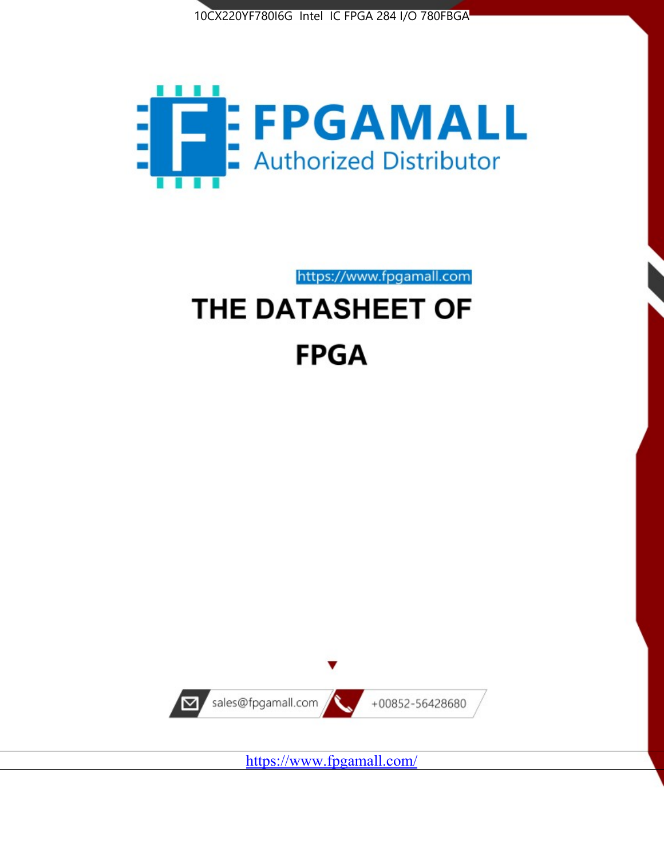



https://www.fpgamall.com

# THE DATASHEET OF **FPGA**



<https://www.fpgamall.com/>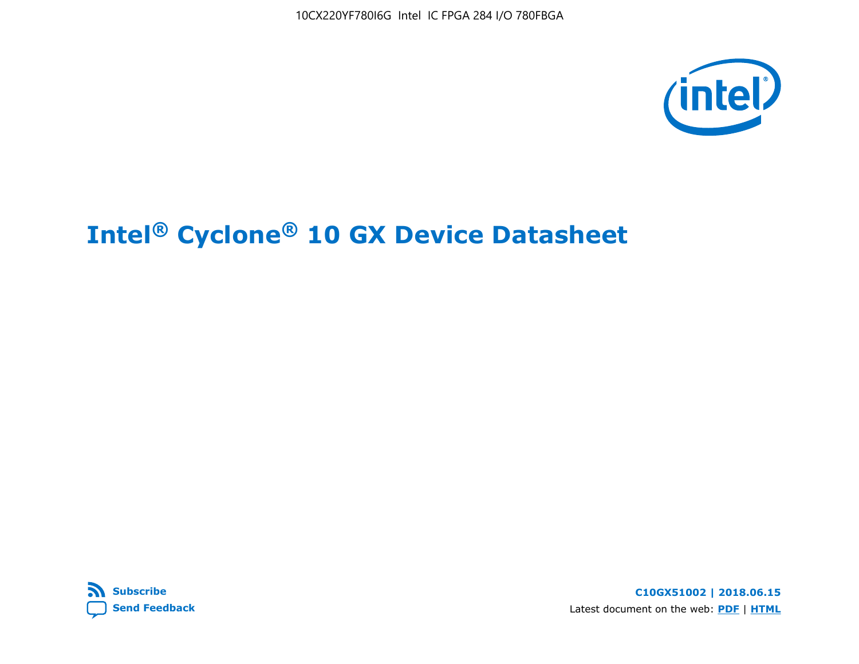



**C10GX51002 | 2018.06.15** Latest document on the web: **[PDF](https://www.altera.com/en_US/pdfs/literature/hb/cyclone-10/c10gx-51002.pdf)** | **[HTML](https://www.altera.com/documentation/muf1488511478825.html)**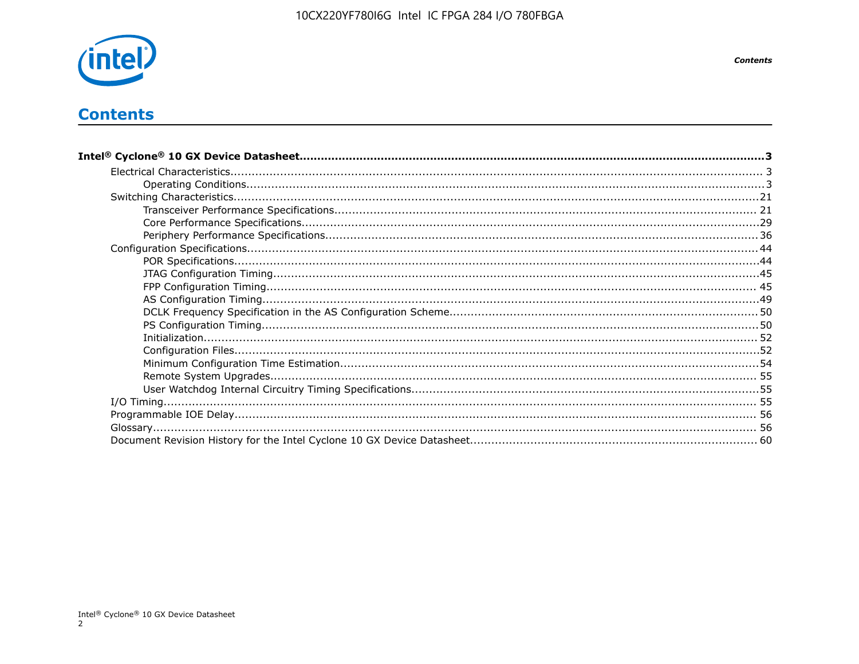

# **Contents**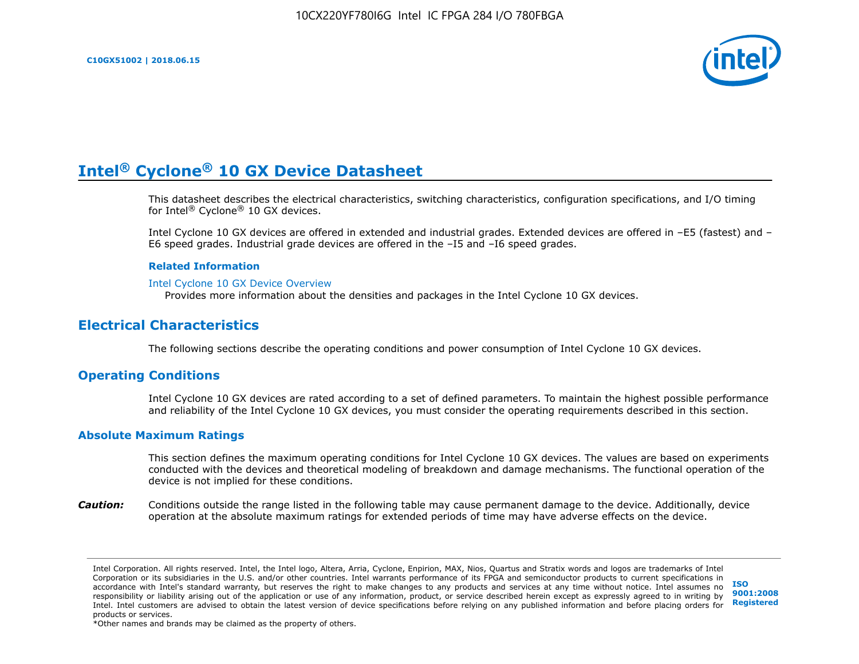

This datasheet describes the electrical characteristics, switching characteristics, configuration specifications, and I/O timing for Intel® Cyclone® 10 GX devices.

Intel Cyclone 10 GX devices are offered in extended and industrial grades. Extended devices are offered in –E5 (fastest) and – E6 speed grades. Industrial grade devices are offered in the –I5 and –I6 speed grades.

#### **Related Information**

#### [Intel Cyclone 10 GX Device Overview](https://www.altera.com/documentation/grc1488182989852.html#mvd1484026010948)

Provides more information about the densities and packages in the Intel Cyclone 10 GX devices.

# **Electrical Characteristics**

The following sections describe the operating conditions and power consumption of Intel Cyclone 10 GX devices.

# **Operating Conditions**

Intel Cyclone 10 GX devices are rated according to a set of defined parameters. To maintain the highest possible performance and reliability of the Intel Cyclone 10 GX devices, you must consider the operating requirements described in this section.

#### **Absolute Maximum Ratings**

This section defines the maximum operating conditions for Intel Cyclone 10 GX devices. The values are based on experiments conducted with the devices and theoretical modeling of breakdown and damage mechanisms. The functional operation of the device is not implied for these conditions.

*Caution:* Conditions outside the range listed in the following table may cause permanent damage to the device. Additionally, device operation at the absolute maximum ratings for extended periods of time may have adverse effects on the device.

**[ISO](http://www.altera.com/support/devices/reliability/certifications/rel-certifications.html) [9001:2008](http://www.altera.com/support/devices/reliability/certifications/rel-certifications.html) [Registered](http://www.altera.com/support/devices/reliability/certifications/rel-certifications.html)**

\*Other names and brands may be claimed as the property of others.

Intel Corporation. All rights reserved. Intel, the Intel logo, Altera, Arria, Cyclone, Enpirion, MAX, Nios, Quartus and Stratix words and logos are trademarks of Intel Corporation or its subsidiaries in the U.S. and/or other countries. Intel warrants performance of its FPGA and semiconductor products to current specifications in accordance with Intel's standard warranty, but reserves the right to make changes to any products and services at any time without notice. Intel assumes no responsibility or liability arising out of the application or use of any information, product, or service described herein except as expressly agreed to in writing by Intel. Intel customers are advised to obtain the latest version of device specifications before relying on any published information and before placing orders for products or services.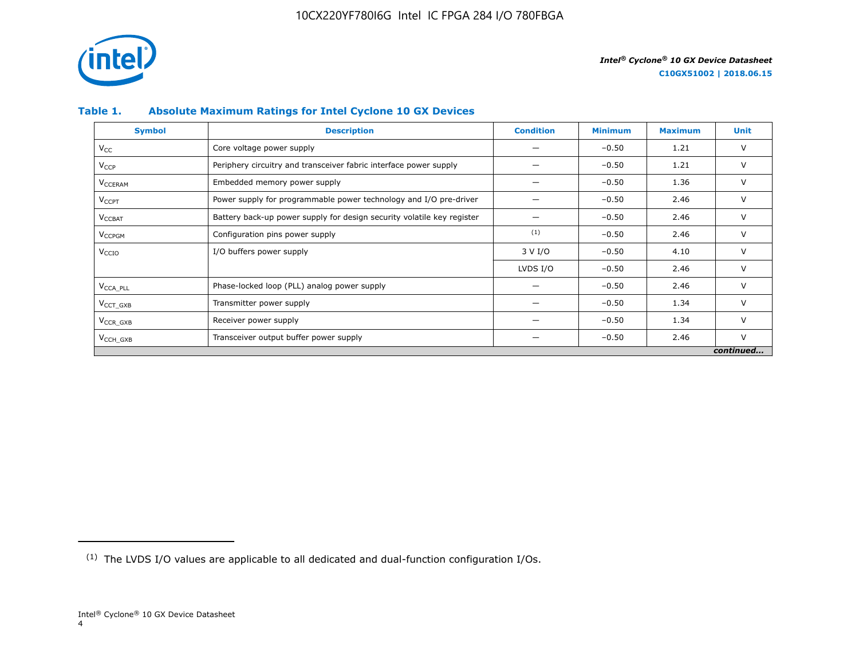

# **Table 1. Absolute Maximum Ratings for Intel Cyclone 10 GX Devices**

| <b>Symbol</b>             | <b>Description</b>                                                     | <b>Condition</b> | <b>Minimum</b> | <b>Maximum</b> | Unit      |
|---------------------------|------------------------------------------------------------------------|------------------|----------------|----------------|-----------|
| $V_{CC}$                  | Core voltage power supply                                              |                  | $-0.50$        | 1.21           | V         |
| <b>V<sub>CCP</sub></b>    | Periphery circuitry and transceiver fabric interface power supply      |                  | $-0.50$        | 1.21           | V         |
| <b>V<sub>CCERAM</sub></b> | Embedded memory power supply                                           |                  | $-0.50$        | 1.36           | $\vee$    |
| $V_{\text{CCPT}}$         | Power supply for programmable power technology and I/O pre-driver      |                  | $-0.50$        | 2.46           | V         |
| $V_{\text{CCBAT}}$        | Battery back-up power supply for design security volatile key register |                  | $-0.50$        | 2.46           | V         |
| V <sub>CCPGM</sub>        | Configuration pins power supply                                        | (1)              | $-0.50$        | 2.46           | V         |
| V <sub>CCIO</sub>         | I/O buffers power supply                                               | 3 V I/O          | $-0.50$        | 4.10           | $\vee$    |
|                           |                                                                        | LVDS I/O         | $-0.50$        | 2.46           | $\vee$    |
| V <sub>CCA PLL</sub>      | Phase-locked loop (PLL) analog power supply                            |                  | $-0.50$        | 2.46           | V         |
| $VCCT$ GXB                | Transmitter power supply                                               |                  | $-0.50$        | 1.34           | V         |
| $V_{CCR_GXB}$             | Receiver power supply                                                  |                  | $-0.50$        | 1.34           | $\vee$    |
| $V_{\text{CCH_GXB}}$      | Transceiver output buffer power supply                                 |                  | $-0.50$        | 2.46           | $\vee$    |
|                           |                                                                        |                  |                |                | continued |

<sup>(1)</sup> The LVDS I/O values are applicable to all dedicated and dual-function configuration I/Os.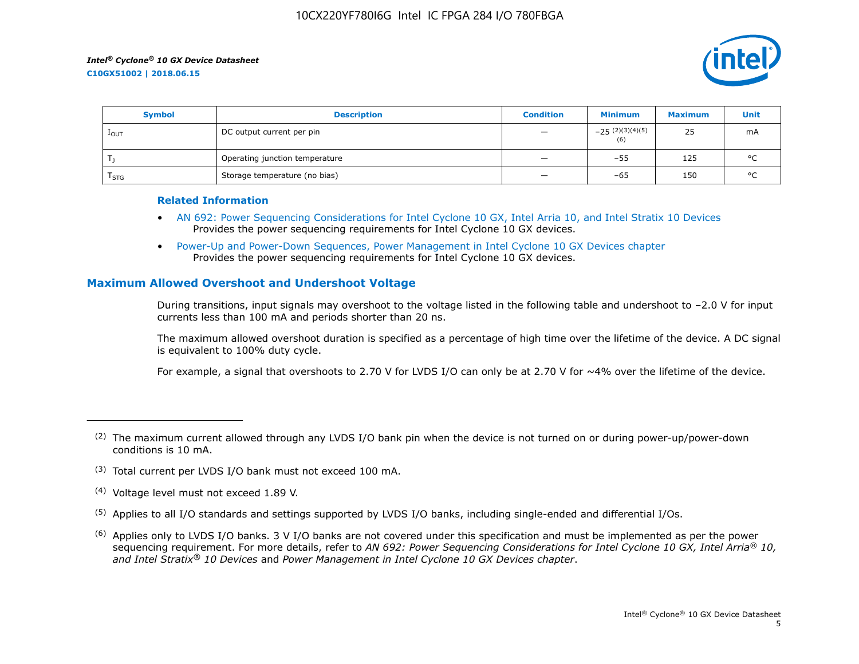

| <b>Symbol</b>    | <b>Description</b>             | <b>Condition</b>         | <b>Minimum</b>           | <b>Maximum</b> | Unit    |
|------------------|--------------------------------|--------------------------|--------------------------|----------------|---------|
| 1 <sub>OUT</sub> | DC output current per pin      | $\qquad \qquad -$        | $-25(2)(3)(4)(5)$<br>(6) | 25             | mA      |
|                  | Operating junction temperature | $\qquad \qquad -$        | $-55$                    | 125            | $\circ$ |
| $I_{STG}$        | Storage temperature (no bias)  | $\overline{\phantom{0}}$ | -65                      | 150            | $\circ$ |

#### **Related Information**

- [AN 692: Power Sequencing Considerations for Intel Cyclone 10 GX, Intel Arria 10, and Intel Stratix 10 Devices](https://www.altera.com/documentation/nik1412640107351.html#nik1412640086729) Provides the power sequencing requirements for Intel Cyclone 10 GX devices.
- [Power-Up and Power-Down Sequences, Power Management in Intel Cyclone 10 GX Devices chapter](https://www.altera.com/documentation/vua1487061384661.html#qel1490343470589) Provides the power sequencing requirements for Intel Cyclone 10 GX devices.

# **Maximum Allowed Overshoot and Undershoot Voltage**

During transitions, input signals may overshoot to the voltage listed in the following table and undershoot to –2.0 V for input currents less than 100 mA and periods shorter than 20 ns.

The maximum allowed overshoot duration is specified as a percentage of high time over the lifetime of the device. A DC signal is equivalent to 100% duty cycle.

For example, a signal that overshoots to 2.70 V for LVDS I/O can only be at 2.70 V for ~4% over the lifetime of the device.

- (3) Total current per LVDS I/O bank must not exceed 100 mA.
- (4) Voltage level must not exceed 1.89 V.
- (5) Applies to all I/O standards and settings supported by LVDS I/O banks, including single-ended and differential I/Os.
- $(6)$  Applies only to LVDS I/O banks. 3 V I/O banks are not covered under this specification and must be implemented as per the power sequencing requirement. For more details, refer to *AN 692: Power Sequencing Considerations for Intel Cyclone 10 GX, Intel Arria® 10, and Intel Stratix® 10 Devices* and *Power Management in Intel Cyclone 10 GX Devices chapter*.

 $(2)$  The maximum current allowed through any LVDS I/O bank pin when the device is not turned on or during power-up/power-down conditions is 10 mA.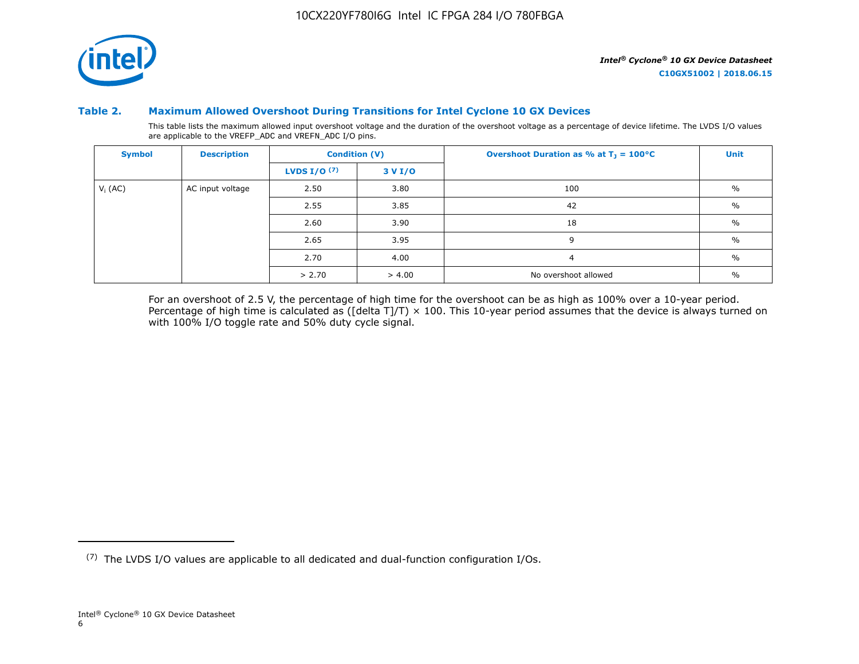

### **Table 2. Maximum Allowed Overshoot During Transitions for Intel Cyclone 10 GX Devices**

This table lists the maximum allowed input overshoot voltage and the duration of the overshoot voltage as a percentage of device lifetime. The LVDS I/O values are applicable to the VREFP\_ADC and VREFN\_ADC I/O pins.

| <b>Symbol</b> | <b>Description</b> |                       | <b>Condition (V)</b> | Overshoot Duration as % at $T_1 = 100^{\circ}C$ | Unit          |
|---------------|--------------------|-----------------------|----------------------|-------------------------------------------------|---------------|
|               |                    | <b>LVDS I/O</b> $(7)$ | 3 V I/O              |                                                 |               |
| $V_i$ (AC)    | AC input voltage   | 2.50                  | 3.80                 | 100                                             | $\frac{0}{0}$ |
|               |                    | 2.55                  | 3.85                 | 42                                              | $\%$          |
|               |                    | 2.60                  | 3.90                 | 18                                              | $\frac{0}{0}$ |
|               |                    | 2.65                  | 3.95                 | 9                                               | $\%$          |
|               |                    | 2.70                  | 4.00                 | $\overline{a}$                                  | $\%$          |
|               |                    | > 2.70                | > 4.00               | No overshoot allowed                            | $\%$          |

For an overshoot of 2.5 V, the percentage of high time for the overshoot can be as high as 100% over a 10-year period. Percentage of high time is calculated as ([delta T]/T)  $\times$  100. This 10-year period assumes that the device is always turned on with 100% I/O toggle rate and 50% duty cycle signal.

<sup>(7)</sup> The LVDS I/O values are applicable to all dedicated and dual-function configuration I/Os.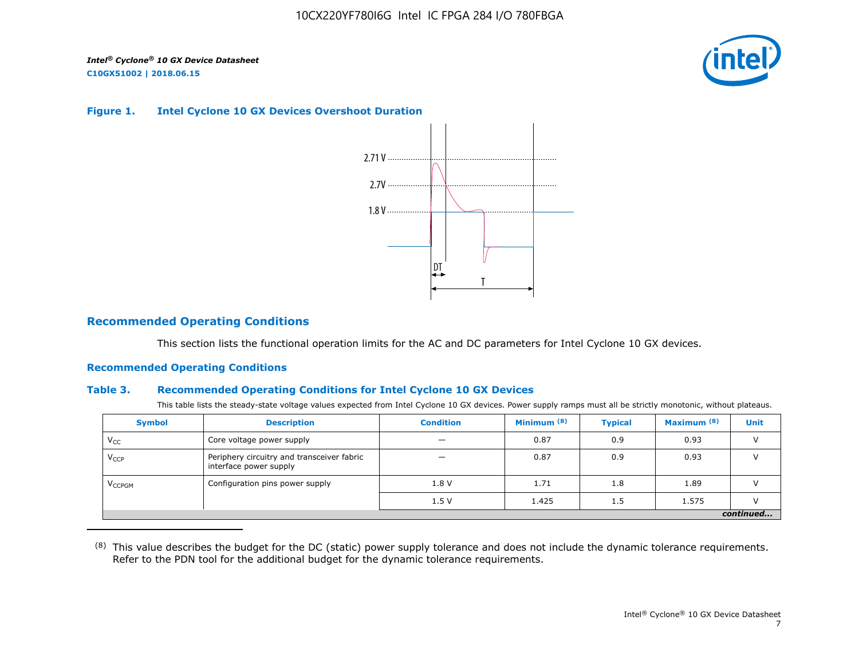

#### **Figure 1. Intel Cyclone 10 GX Devices Overshoot Duration**



# **Recommended Operating Conditions**

This section lists the functional operation limits for the AC and DC parameters for Intel Cyclone 10 GX devices.

## **Recommended Operating Conditions**

#### **Table 3. Recommended Operating Conditions for Intel Cyclone 10 GX Devices**

This table lists the steady-state voltage values expected from Intel Cyclone 10 GX devices. Power supply ramps must all be strictly monotonic, without plateaus.

| <b>Symbol</b>            | <b>Description</b>                                                   | <b>Condition</b> | Minimum <sup>(8)</sup> | <b>Typical</b> | Maximum <sup>(8)</sup> | <b>Unit</b> |  |  |  |  |  |
|--------------------------|----------------------------------------------------------------------|------------------|------------------------|----------------|------------------------|-------------|--|--|--|--|--|
| $V_{CC}$                 | Core voltage power supply                                            | -                | 0.87                   | 0.9            | 0.93                   |             |  |  |  |  |  |
| $V_{CCP}$                | Periphery circuitry and transceiver fabric<br>interface power supply | -                | 0.87                   | 0.9            | 0.93                   |             |  |  |  |  |  |
| <b>V<sub>CCPGM</sub></b> | Configuration pins power supply                                      | 1.8V             | 1.71                   | 1.8            | 1.89                   |             |  |  |  |  |  |
|                          |                                                                      | 1.5V             | 1.425                  | 1.5            | 1.575                  |             |  |  |  |  |  |
|                          | continued                                                            |                  |                        |                |                        |             |  |  |  |  |  |

<sup>(8)</sup> This value describes the budget for the DC (static) power supply tolerance and does not include the dynamic tolerance requirements. Refer to the PDN tool for the additional budget for the dynamic tolerance requirements.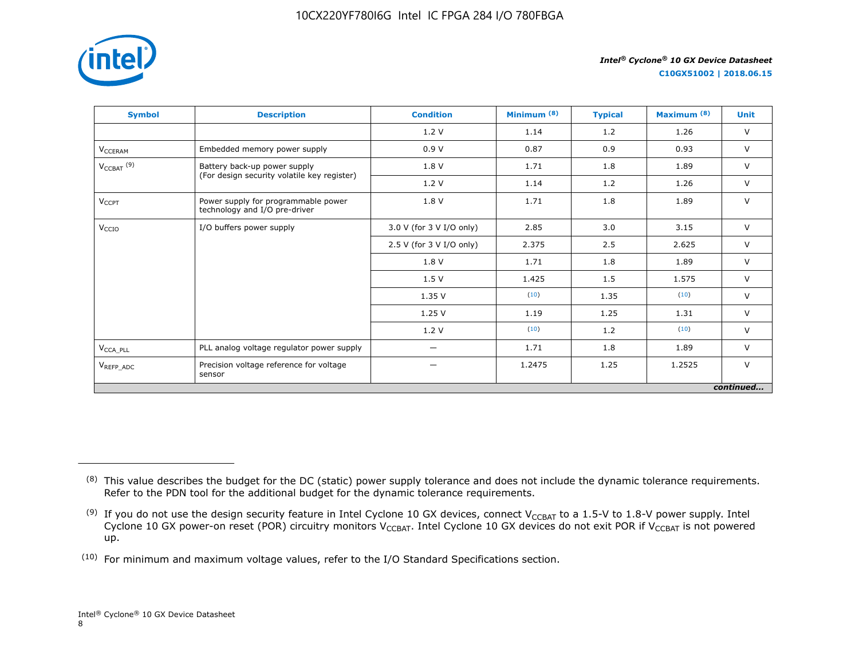

**C10GX51002 | 2018.06.15**

| <b>Symbol</b>                     | <b>Description</b>                                                   | <b>Condition</b>         | Minimum <sup>(8)</sup> | <b>Typical</b> | Maximum <sup>(8)</sup> | <b>Unit</b> |
|-----------------------------------|----------------------------------------------------------------------|--------------------------|------------------------|----------------|------------------------|-------------|
|                                   |                                                                      | 1.2V                     | 1.14                   | 1.2            | 1.26                   | $\vee$      |
| V <sub>CCERAM</sub>               | Embedded memory power supply                                         | 0.9V                     | 0.87                   | 0.9            | 0.93                   | $\vee$      |
| $V_{\text{CCBAT}}$ <sup>(9)</sup> | Battery back-up power supply                                         | 1.8 V                    | 1.71                   | 1.8            | 1.89                   | $\vee$      |
|                                   | (For design security volatile key register)                          | 1.2V                     | 1.14                   | 1.2            | 1.26                   | $\vee$      |
| $V_{CCPT}$                        | Power supply for programmable power<br>technology and I/O pre-driver | 1.8 V                    | 1.71                   | 1.8            | 1.89                   | $\vee$      |
| V <sub>CCIO</sub>                 | I/O buffers power supply                                             | 3.0 V (for 3 V I/O only) | 2.85                   | 3.0            | 3.15                   | $\vee$      |
|                                   |                                                                      | 2.5 V (for 3 V I/O only) | 2.375                  | 2.5            | 2.625                  | $\vee$      |
|                                   |                                                                      | 1.8 V                    | 1.71                   | 1.8            | 1.89                   | $\vee$      |
|                                   |                                                                      | 1.5V                     | 1.425                  | 1.5            | 1.575                  | $\vee$      |
|                                   |                                                                      | 1.35V                    | (10)                   | 1.35           | (10)                   | $\vee$      |
|                                   |                                                                      | 1.25V                    | 1.19                   | 1.25           | 1.31                   | $\vee$      |
|                                   |                                                                      | 1.2V                     | (10)                   | 1.2            | (10)                   | $\vee$      |
| $V_{\text{CCA\_PLL}}$             | PLL analog voltage regulator power supply                            | $\overline{\phantom{0}}$ | 1.71                   | 1.8            | 1.89                   | $\vee$      |
| $V_{REFP\_ADC}$                   | Precision voltage reference for voltage<br>sensor                    |                          | 1.2475                 | 1.25           | 1.2525                 | $\vee$      |
|                                   |                                                                      |                          |                        |                |                        | continued   |

<sup>&</sup>lt;sup>(8)</sup> This value describes the budget for the DC (static) power supply tolerance and does not include the dynamic tolerance requirements. Refer to the PDN tool for the additional budget for the dynamic tolerance requirements.

 $^{(9)}$  If you do not use the design security feature in Intel Cyclone 10 GX devices, connect V $_{\rm CCBAT}$  to a 1.5-V to 1.8-V power supply. Intel Cyclone 10 GX power-on reset (POR) circuitry monitors V $_{\rm CCBAT}$ . Intel Cyclone 10 GX devices do not exit POR if V $_{\rm CCBAT}$  is not powered up.

 $(10)$  For minimum and maximum voltage values, refer to the I/O Standard Specifications section.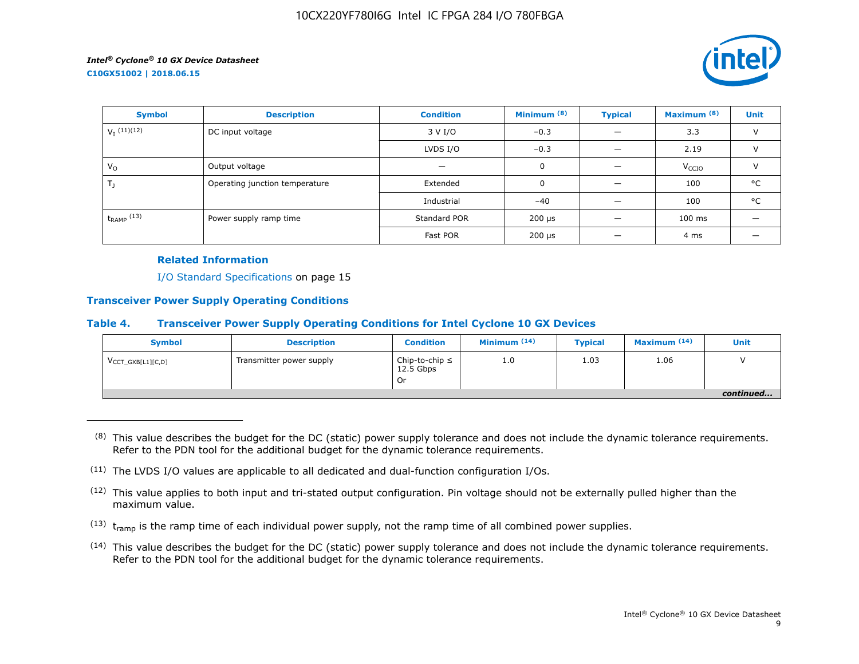

| <b>Symbol</b>             | <b>Description</b>                     | <b>Condition</b> | Minimum <sup>(8)</sup>    | <b>Typical</b> | Maximum <sup>(8)</sup> | <b>Unit</b>   |
|---------------------------|----------------------------------------|------------------|---------------------------|----------------|------------------------|---------------|
| $V_I$ <sup>(11)(12)</sup> | DC input voltage                       | 3 V I/O          | $-0.3$                    |                | 3.3                    | $\vee$        |
|                           |                                        | LVDS I/O         | $-0.3$                    |                | 2.19                   | $\vee$        |
| $V_{\rm O}$               | Output voltage                         |                  | 0                         |                | V <sub>CCIO</sub>      | $\mathcal{U}$ |
| $T_{\rm J}$               | Operating junction temperature         | Extended         | 0                         |                | 100                    | °C            |
|                           |                                        | Industrial       | $-40$                     |                | 100                    | °C            |
| $t_{RAMP}$ (13)           | Standard POR<br>Power supply ramp time |                  | 200 µs                    |                | $100$ ms               |               |
|                           |                                        | Fast POR         | $200 \text{ }\mu\text{s}$ |                | 4 ms                   |               |

## **Related Information**

I/O Standard Specifications on page 15

## **Transceiver Power Supply Operating Conditions**

#### **Table 4. Transceiver Power Supply Operating Conditions for Intel Cyclone 10 GX Devices**

| <b>Symbol</b>                 | <b>Description</b>       | <b>Condition</b>                         | Minimum $(14)$ | <b>Typical</b> | Maximum $(14)$ | Unit      |
|-------------------------------|--------------------------|------------------------------------------|----------------|----------------|----------------|-----------|
| $V_{\text{CCT_GXB[L1][C,D]}}$ | Transmitter power supply | Chip-to-chip $\leq$<br>12.5 Gbps<br>. Or | 1.0            | 1.03           | 1.06           |           |
|                               |                          |                                          |                |                |                | continued |

 $(8)$  This value describes the budget for the DC (static) power supply tolerance and does not include the dynamic tolerance requirements. Refer to the PDN tool for the additional budget for the dynamic tolerance requirements.

- $(13)$  t<sub>ramp</sub> is the ramp time of each individual power supply, not the ramp time of all combined power supplies.
- (14) This value describes the budget for the DC (static) power supply tolerance and does not include the dynamic tolerance requirements. Refer to the PDN tool for the additional budget for the dynamic tolerance requirements.

 $(11)$  The LVDS I/O values are applicable to all dedicated and dual-function configuration I/Os.

 $(12)$  This value applies to both input and tri-stated output configuration. Pin voltage should not be externally pulled higher than the maximum value.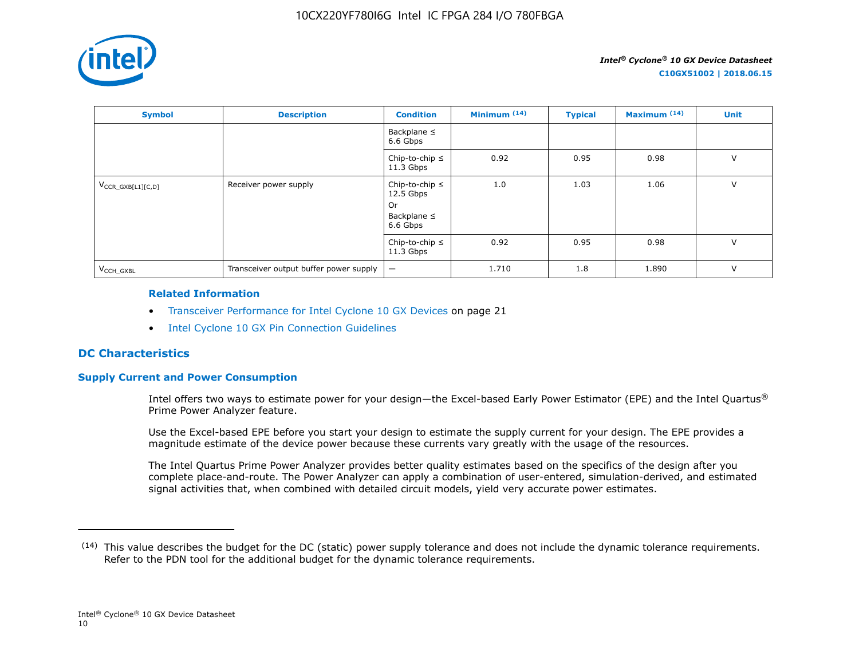

| <b>Symbol</b>          | <b>Description</b>                     | <b>Condition</b>                                                         | Minimum $(14)$ | <b>Typical</b> | Maximum <sup>(14)</sup> | <b>Unit</b> |
|------------------------|----------------------------------------|--------------------------------------------------------------------------|----------------|----------------|-------------------------|-------------|
|                        |                                        | Backplane $\leq$<br>6.6 Gbps                                             |                |                |                         |             |
|                        |                                        | Chip-to-chip $\leq$<br>$11.3$ Gbps                                       | 0.92           | 0.95           | 0.98                    | $\vee$      |
| $V_{CCR_GXB[L1][C,D]}$ | Receiver power supply                  | Chip-to-chip $\leq$<br>$12.5$ Gbps<br>0r<br>Backplane $\leq$<br>6.6 Gbps | 1.0            | 1.03           | 1.06                    | $\vee$      |
|                        |                                        | Chip-to-chip $\leq$<br>$11.3$ Gbps                                       | 0.92           | 0.95           | 0.98                    | $\vee$      |
| V <sub>CCH GXBL</sub>  | Transceiver output buffer power supply | $\qquad \qquad -$                                                        | 1.710          | 1.8            | 1.890                   | $\vee$      |

#### **Related Information**

- Transceiver Performance for Intel Cyclone 10 GX Devices on page 21
- [Intel Cyclone 10 GX Pin Connection Guidelines](https://documentation.altera.com/#/link/osf1485840198234/hjb1485915147847)

# **DC Characteristics**

# **Supply Current and Power Consumption**

Intel offers two ways to estimate power for your design—the Excel-based Early Power Estimator (EPE) and the Intel Quartus® Prime Power Analyzer feature.

Use the Excel-based EPE before you start your design to estimate the supply current for your design. The EPE provides a magnitude estimate of the device power because these currents vary greatly with the usage of the resources.

The Intel Quartus Prime Power Analyzer provides better quality estimates based on the specifics of the design after you complete place-and-route. The Power Analyzer can apply a combination of user-entered, simulation-derived, and estimated signal activities that, when combined with detailed circuit models, yield very accurate power estimates.

 $(14)$  This value describes the budget for the DC (static) power supply tolerance and does not include the dynamic tolerance requirements. Refer to the PDN tool for the additional budget for the dynamic tolerance requirements.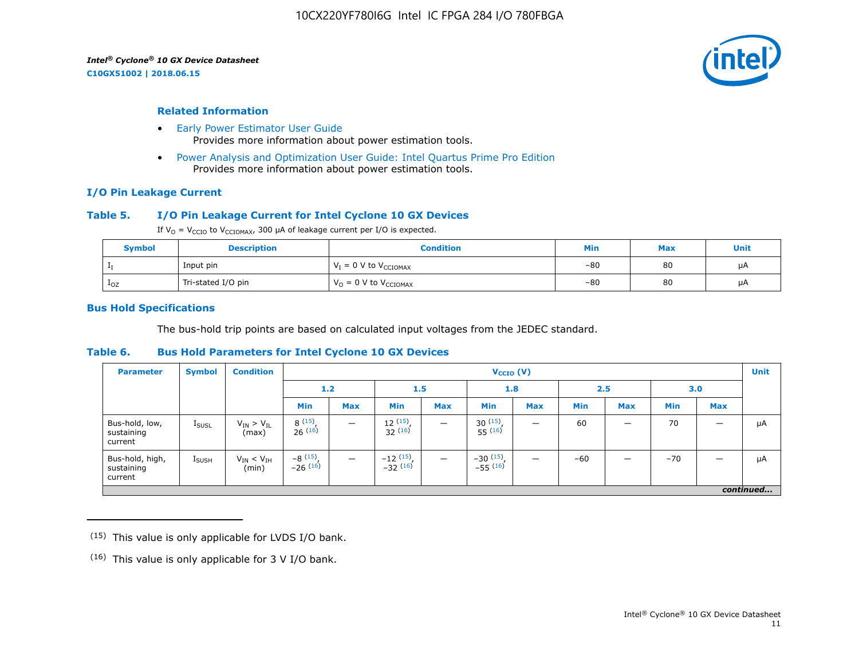**C10GX51002 | 2018.06.15**



#### **Related Information**

- [Early Power Estimator User Guide](https://www.altera.com/documentation/mhi1422370348549.html#mhi1422300784510) Provides more information about power estimation tools.
- [Power Analysis and Optimization User Guide: Intel Quartus Prime Pro Edition](https://www.altera.com/documentation/osq1513989409475.html#mwh1410384023666) Provides more information about power estimation tools.

#### **I/O Pin Leakage Current**

### **Table 5. I/O Pin Leakage Current for Intel Cyclone 10 GX Devices**

If  $V_0 = V_{CCIO}$  to  $V_{CCIOMAX}$ , 300 µA of leakage current per I/O is expected.

| <b>Symbol</b> | <b>Description</b> | Condition                           | Min   | <b>Max</b> | Unit |
|---------------|--------------------|-------------------------------------|-------|------------|------|
|               | Input pin          | $V_I = 0$ V to $V_{\text{CCIOMAX}}$ | $-80$ | 80         | μA   |
| $1_{OZ}$      | Tri-stated I/O pin | $V_{O} = 0$ V to $V_{CCIOMAX}$      | $-80$ | 80         | μA   |

#### **Bus Hold Specifications**

The bus-hold trip points are based on calculated input voltages from the JEDEC standard.

#### **Table 6. Bus Hold Parameters for Intel Cyclone 10 GX Devices**

| <b>Parameter</b>                         | <b>Symbol</b>     | <b>Condition</b>             |                         | $V_{CCIO} (V)$           |                                           |                          |                              |            |            |            |            |            | <b>Unit</b> |
|------------------------------------------|-------------------|------------------------------|-------------------------|--------------------------|-------------------------------------------|--------------------------|------------------------------|------------|------------|------------|------------|------------|-------------|
|                                          |                   |                              |                         | 1.2<br>1.5               |                                           |                          | 1.8                          |            | 2.5        |            | 3.0        |            |             |
|                                          |                   |                              | Min                     | <b>Max</b>               | Min                                       | <b>Max</b>               | <b>Min</b>                   | <b>Max</b> | <b>Min</b> | <b>Max</b> | <b>Min</b> | <b>Max</b> |             |
| Bus-hold, low,<br>sustaining<br>current  | <b>I</b> SUSL     | $V_{IN}$ > $V_{IL}$<br>(max) | 8(15)<br>26(16)         |                          | 12(15)<br>32(16)                          | $\overline{\phantom{m}}$ | $30^{(15)}$ .<br>$55^{(16)}$ | -          | 60         | –          | 70         |            | μA          |
| Bus-hold, high,<br>sustaining<br>current | $I_{\text{SUSH}}$ | $V_{IN}$ < $V_{IH}$<br>(min) | $-8(15)$ ,<br>$-26(16)$ | $\overline{\phantom{m}}$ | $-12$ $\frac{(15)}{-32}$ $\frac{(16)}{1}$ | $\overline{\phantom{m}}$ | $-30(15)$ ,<br>$-55(16)$     | -          | $-60$      |            | $-70$      |            | μA          |
|                                          |                   |                              |                         |                          |                                           |                          |                              |            |            |            |            |            | continued   |

 $(15)$  This value is only applicable for LVDS I/O bank.

 $(16)$  This value is only applicable for 3 V I/O bank.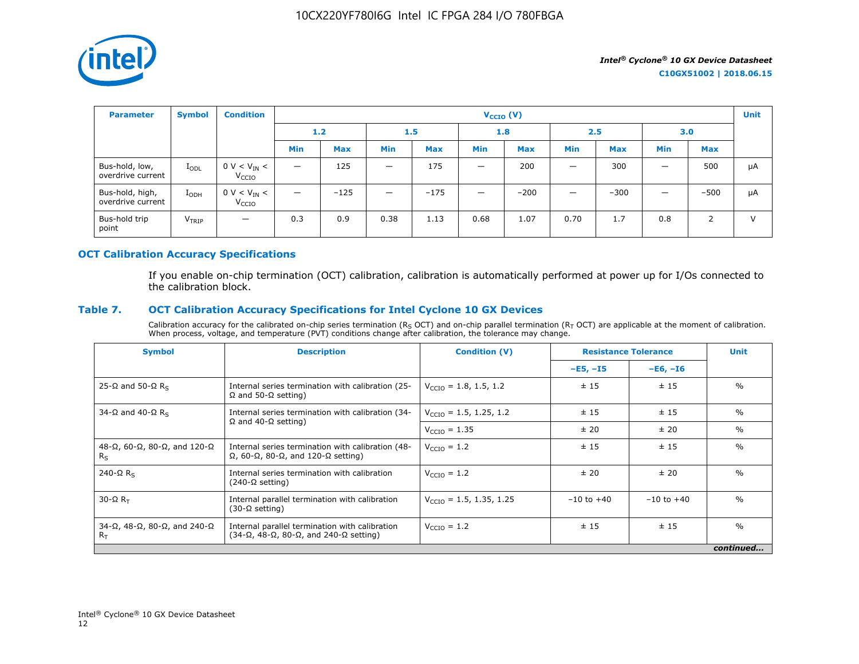

| <b>Parameter</b>                     | <b>Symbol</b>     | <b>Condition</b>                      |                   |                         |                                |            | $V_{CCIO} (V)$           |            |                          |            |     |            | <b>Unit</b> |
|--------------------------------------|-------------------|---------------------------------------|-------------------|-------------------------|--------------------------------|------------|--------------------------|------------|--------------------------|------------|-----|------------|-------------|
|                                      |                   |                                       |                   | 1.2 <sub>1</sub><br>1.5 |                                | 1.8        |                          | 2.5        |                          | 3.0        |     |            |             |
|                                      |                   |                                       | <b>Min</b>        | <b>Max</b>              | <b>Min</b>                     | <b>Max</b> | <b>Min</b>               | <b>Max</b> | <b>Min</b>               | <b>Max</b> | Min | <b>Max</b> |             |
| Bus-hold, low,<br>overdrive current  | $I_{ODL}$         | $0 V < V_{IN} <$<br>V <sub>CCIO</sub> | $\qquad \qquad -$ | 125                     | $\qquad \qquad \longleftarrow$ | 175        | $\overline{\phantom{0}}$ | 200        | $\overline{\phantom{0}}$ | 300        | -   | 500        | μA          |
| Bus-hold, high,<br>overdrive current | $I_{ODH}$         | $0 V < V_{IN} <$<br>V <sub>CCIO</sub> | $\qquad \qquad -$ | $-125$                  | $\qquad \qquad \longleftarrow$ | $-175$     | $\overline{\phantom{0}}$ | $-200$     | $\overline{\phantom{0}}$ | $-300$     | -   | $-500$     | μA          |
| Bus-hold trip<br>point               | V <sub>TRIP</sub> | $\overline{\phantom{m}}$              | 0.3               | 0.9                     | 0.38                           | 1.13       | 0.68                     | 1.07       | 0.70                     | 1.7        | 0.8 | 2          | $\vee$      |

# **OCT Calibration Accuracy Specifications**

If you enable on-chip termination (OCT) calibration, calibration is automatically performed at power up for I/Os connected to the calibration block.

# **Table 7. OCT Calibration Accuracy Specifications for Intel Cyclone 10 GX Devices**

Calibration accuracy for the calibrated on-chip series termination ( $R_S$  OCT) and on-chip parallel termination ( $R_T$  OCT) are applicable at the moment of calibration. When process, voltage, and temperature (PVT) conditions change after calibration, the tolerance may change.

| <b>Symbol</b>                                                          | <b>Description</b>                                                                                                       | <b>Condition (V)</b>                | <b>Resistance Tolerance</b> |                | <b>Unit</b>   |
|------------------------------------------------------------------------|--------------------------------------------------------------------------------------------------------------------------|-------------------------------------|-----------------------------|----------------|---------------|
|                                                                        |                                                                                                                          |                                     | $-E5, -I5$                  | $-E6, -I6$     |               |
| 25-Ω and 50-Ω R <sub>s</sub>                                           | Internal series termination with calibration (25-<br>$\Omega$ and 50- $\Omega$ setting)                                  | $V_{\text{CCTO}} = 1.8, 1.5, 1.2$   | ± 15                        | ±15            | $\frac{0}{0}$ |
| 34-Ω and 40-Ω R <sub>s</sub>                                           | Internal series termination with calibration (34-                                                                        | $V_{\text{CCIO}} = 1.5, 1.25, 1.2$  | ± 15                        | ±15            | $\%$          |
|                                                                        | $\Omega$ and 40- $\Omega$ setting)                                                                                       | $V_{\text{CCIO}} = 1.35$            | ± 20                        | ± 20           | $\%$          |
| $48-\Omega$ , 60- $\Omega$ , 80- $\Omega$ , and 120- $\Omega$<br>$R_S$ | Internal series termination with calibration (48-<br>$\Omega$ , 60- $\Omega$ , 80- $\Omega$ , and 120- $\Omega$ setting) | $V_{\text{CCIO}} = 1.2$             | ±15                         | ±15            | $\frac{0}{0}$ |
| 240- $\Omega$ R <sub>s</sub>                                           | Internal series termination with calibration<br>$(240-\Omega \text{ setting})$                                           | $V_{\text{CTO}} = 1.2$              | ±20                         | ± 20           | $\frac{0}{0}$ |
| $30 - \Omega R$                                                        | Internal parallel termination with calibration<br>$(30-\Omega \text{ setting})$                                          | $V_{\text{CCIO}} = 1.5, 1.35, 1.25$ | $-10$ to $+40$              | $-10$ to $+40$ | $\frac{0}{0}$ |
| $34-\Omega$ , $48-\Omega$ , $80-\Omega$ , and $240-\Omega$<br>$R_T$    | Internal parallel termination with calibration<br>$(34-\Omega, 48-\Omega, 80-\Omega,$ and $240-\Omega$ setting)          | $V_{\text{CCIO}} = 1.2$             | ± 15                        | ±15            | $\frac{0}{0}$ |
|                                                                        |                                                                                                                          |                                     |                             |                | continued     |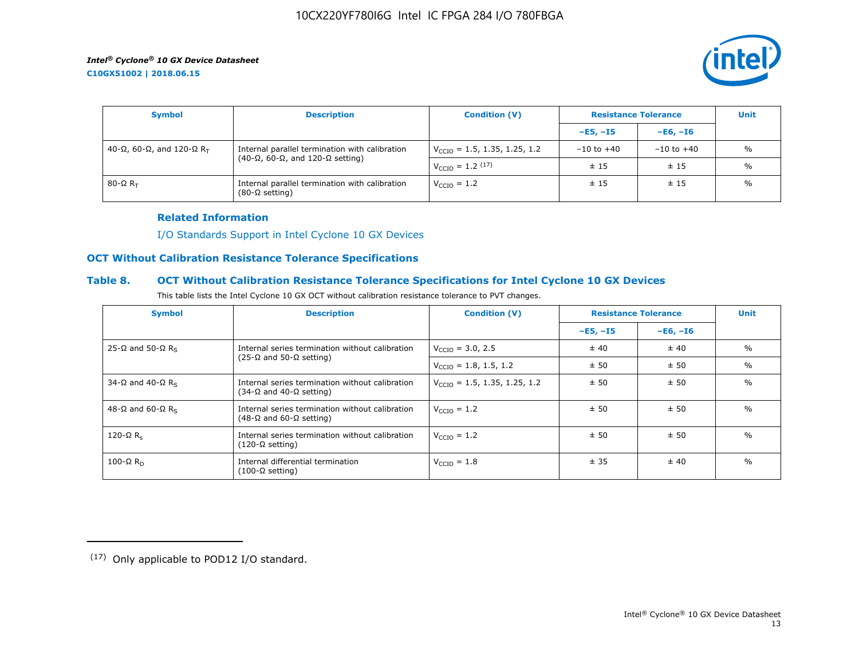**C10GX51002 | 2018.06.15**



| <b>Symbol</b>               | <b>Description</b>                                                                                    | <b>Condition (V)</b>                     | <b>Resistance Tolerance</b> |                | <b>Unit</b>   |
|-----------------------------|-------------------------------------------------------------------------------------------------------|------------------------------------------|-----------------------------|----------------|---------------|
|                             |                                                                                                       |                                          | $-E5, -15$                  | $-E6. -I6$     |               |
| 40-Ω, 60-Ω, and 120-Ω $R_T$ | Internal parallel termination with calibration<br>$(40-\Omega, 60-\Omega,$ and 120- $\Omega$ setting) | $V_{\text{CCIO}} = 1.5, 1.35, 1.25, 1.2$ | $-10$ to $+40$              | $-10$ to $+40$ | $\frac{0}{0}$ |
|                             |                                                                                                       | $V_{\text{CCIO}} = 1.2 \, (17)$          | ±15                         | ±15            | $\frac{0}{0}$ |
| 80-Ω $R_{\rm T}$            | Internal parallel termination with calibration<br>$(80-\Omega \text{ setting})$                       | $V_{\text{CCIO}} = 1.2$                  | ±15                         | ±15            | $\frac{0}{0}$ |

### **Related Information**

[I/O Standards Support in Intel Cyclone 10 GX Devices](https://www.altera.com/documentation/vua1487061384661.html#ofz1487753759953)

# **OCT Without Calibration Resistance Tolerance Specifications**

# **Table 8. OCT Without Calibration Resistance Tolerance Specifications for Intel Cyclone 10 GX Devices**

| This table lists the Intel Cyclone 10 GX OCT without calibration resistance tolerance to PVT changes. |  |
|-------------------------------------------------------------------------------------------------------|--|
|-------------------------------------------------------------------------------------------------------|--|

| <b>Symbol</b>                | <b>Description</b>                                                                         | <b>Condition (V)</b>                     | <b>Resistance Tolerance</b> |            | <b>Unit</b>   |
|------------------------------|--------------------------------------------------------------------------------------------|------------------------------------------|-----------------------------|------------|---------------|
|                              |                                                                                            |                                          | $-E5, -15$                  | $-E6, -I6$ |               |
| 25-Ω and 50-Ω R <sub>s</sub> | Internal series termination without calibration                                            | $V_{\text{CCIO}} = 3.0, 2.5$             | ± 40                        | ± 40       | $\frac{0}{0}$ |
|                              | $(25-\Omega)$ and 50-Ω setting)                                                            | $V_{\text{CCIO}} = 1.8, 1.5, 1.2$        | ± 50                        | ± 50       | $\%$          |
| 34-Ω and 40-Ω R <sub>s</sub> | Internal series termination without calibration<br>(34-Ω and 40-Ω setting)                 | $V_{\text{CCIO}} = 1.5, 1.35, 1.25, 1.2$ | ± 50                        | ± 50       | $\frac{0}{0}$ |
| 48-Ω and 60-Ω R <sub>s</sub> | Internal series termination without calibration<br>$(48-\Omega)$ and 60- $\Omega$ setting) | $V_{\text{CTO}} = 1.2$                   | ± 50                        | ± 50       | $\frac{0}{0}$ |
| 120- $\Omega$ R <sub>s</sub> | Internal series termination without calibration<br>(120-Ω setting)                         | $V_{\text{CCIO}} = 1.2$                  | ± 50                        | ± 50       | $\frac{0}{0}$ |
| 100-Ω $R_D$                  | Internal differential termination<br>$(100-\Omega \text{ setting})$                        | $V_{\text{CCIO}} = 1.8$                  | ± 35                        | ± 40       | $\frac{0}{0}$ |

<sup>(17)</sup> Only applicable to POD12 I/O standard.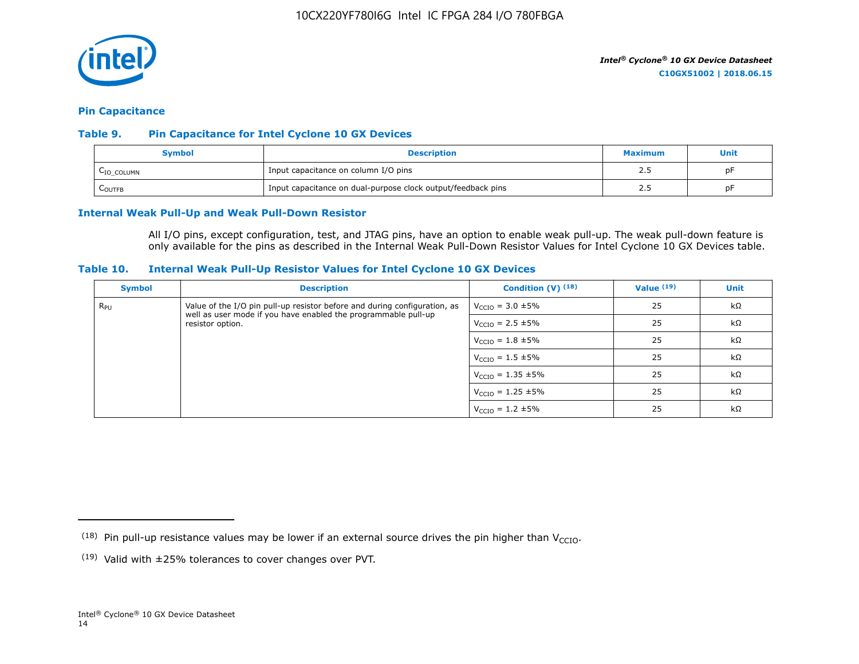

#### **Pin Capacitance**

## **Table 9. Pin Capacitance for Intel Cyclone 10 GX Devices**

| Symbol                 | <b>Description</b>                                           | <b>Maximum</b> | Unit |
|------------------------|--------------------------------------------------------------|----------------|------|
| L <sub>IO_COLUMN</sub> | Input capacitance on column I/O pins                         | ر . ے          | DF   |
| LOUTFB                 | Input capacitance on dual-purpose clock output/feedback pins | ر . د          | pF   |

### **Internal Weak Pull-Up and Weak Pull-Down Resistor**

All I/O pins, except configuration, test, and JTAG pins, have an option to enable weak pull-up. The weak pull-down feature is only available for the pins as described in the Internal Weak Pull-Down Resistor Values for Intel Cyclone 10 GX Devices table.

#### **Table 10. Internal Weak Pull-Up Resistor Values for Intel Cyclone 10 GX Devices**

| <b>Symbol</b> | <b>Description</b>                                                                                                                          | Condition $(V)$ $(18)$           | Value $(19)$ | <b>Unit</b> |
|---------------|---------------------------------------------------------------------------------------------------------------------------------------------|----------------------------------|--------------|-------------|
| $R_{\rm PU}$  | Value of the I/O pin pull-up resistor before and during configuration, as<br>well as user mode if you have enabled the programmable pull-up | $V_{\text{CCIO}} = 3.0 \pm 5\%$  | 25           | $k\Omega$   |
|               | resistor option.                                                                                                                            | $V_{\text{CCIO}} = 2.5 \pm 5\%$  | 25           | $k\Omega$   |
|               |                                                                                                                                             | $V_{\text{CCIO}} = 1.8 \pm 5\%$  | 25           | $k\Omega$   |
|               |                                                                                                                                             | $V_{\text{CCIO}} = 1.5 \pm 5\%$  | 25           | $k\Omega$   |
|               |                                                                                                                                             | $V_{\text{CCIO}} = 1.35 \pm 5\%$ | 25           | kΩ          |
|               |                                                                                                                                             | $V_{\text{CCIO}} = 1.25 \pm 5\%$ | 25           | $k\Omega$   |
|               |                                                                                                                                             | $V_{\text{CCIO}} = 1.2 \pm 5\%$  | 25           | $k\Omega$   |

<sup>&</sup>lt;sup>(18)</sup> Pin pull-up resistance values may be lower if an external source drives the pin higher than V<sub>CCIO</sub>.

 $(19)$  Valid with  $\pm 25\%$  tolerances to cover changes over PVT.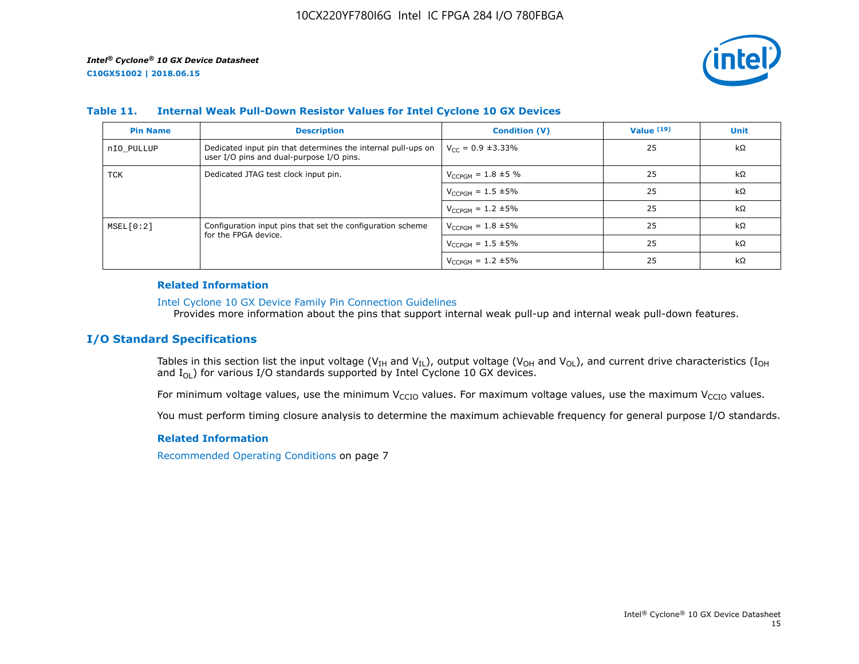

## **Table 11. Internal Weak Pull-Down Resistor Values for Intel Cyclone 10 GX Devices**

| <b>Pin Name</b> | <b>Description</b>                                                                                       | <b>Condition (V)</b>       | Value $(19)$ | <b>Unit</b> |
|-----------------|----------------------------------------------------------------------------------------------------------|----------------------------|--------------|-------------|
| nIO PULLUP      | Dedicated input pin that determines the internal pull-ups on<br>user I/O pins and dual-purpose I/O pins. | $V_{CC} = 0.9 \pm 3.33\%$  | 25           | $k\Omega$   |
| TCK             | Dedicated JTAG test clock input pin.                                                                     | $V_{CCPGM} = 1.8 \pm 5 \%$ | 25           | $k\Omega$   |
|                 |                                                                                                          | $V_{CCPGM} = 1.5 \pm 5\%$  | 25           | $k\Omega$   |
|                 |                                                                                                          | $V_{CCPGM} = 1.2 \pm 5\%$  | 25           | kΩ          |
| MSEL[0:2]       | Configuration input pins that set the configuration scheme                                               | $V_{CCPGM} = 1.8 \pm 5\%$  | 25           | $k\Omega$   |
|                 | for the FPGA device.                                                                                     | $V_{CCPGM} = 1.5 \pm 5\%$  | 25           | $k\Omega$   |
|                 |                                                                                                          | $V_{CCPGM} = 1.2 \pm 5\%$  | 25           | $k\Omega$   |

#### **Related Information**

#### [Intel Cyclone 10 GX Device Family Pin Connection Guidelines](https://www.altera.com/documentation/osf1485840198234.html#hjb1485915147847)

Provides more information about the pins that support internal weak pull-up and internal weak pull-down features.

# **I/O Standard Specifications**

Tables in this section list the input voltage (V<sub>IH</sub> and V<sub>IL</sub>), output voltage (V<sub>OH</sub> and V<sub>OL</sub>), and current drive characteristics (I<sub>OH</sub> and  $I_{OL}$ ) for various I/O standards supported by Intel Cyclone 10 GX devices.

For minimum voltage values, use the minimum V<sub>CCIO</sub> values. For maximum voltage values, use the maximum V<sub>CCIO</sub> values.

You must perform timing closure analysis to determine the maximum achievable frequency for general purpose I/O standards.

#### **Related Information**

Recommended Operating Conditions on page 7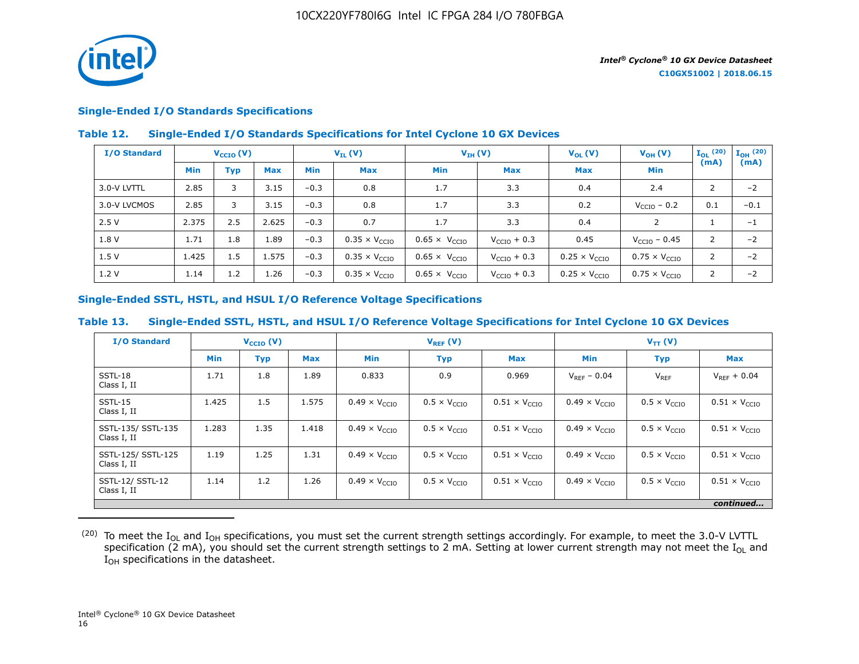

# **Single-Ended I/O Standards Specifications**

## **Table 12. Single-Ended I/O Standards Specifications for Intel Cyclone 10 GX Devices**

| I/O Standard |       | $V_{\text{CCIO}}(V)$ |            | $V_{IL}(V)$ |                               | $V_{IH} (V)$                  |                         | $V_{OL}(V)$                   | $V_{OH} (V)$                  | $I_{OL}$ (20)  | $\mathbf{I}_{\mathbf{OH}}$ (20) |
|--------------|-------|----------------------|------------|-------------|-------------------------------|-------------------------------|-------------------------|-------------------------------|-------------------------------|----------------|---------------------------------|
|              | Min   | Typ                  | <b>Max</b> | <b>Min</b>  | <b>Max</b>                    | <b>Min</b>                    | <b>Max</b>              | <b>Max</b>                    | <b>Min</b>                    | (mA)           | (mA)                            |
| 3.0-V LVTTL  | 2.85  | 3                    | 3.15       | $-0.3$      | 0.8                           | 1.7                           | 3.3                     | 0.4                           | 2.4                           | 2              | $-2$                            |
| 3.0-V LVCMOS | 2.85  | 3                    | 3.15       | $-0.3$      | 0.8                           | 1.7                           | 3.3                     | 0.2                           | $V_{\text{CCIO}}$ – 0.2       | 0.1            | $-0.1$                          |
| 2.5V         | 2.375 | 2.5                  | 2.625      | $-0.3$      | 0.7                           | 1.7                           | 3.3                     | 0.4                           | $\mathcal{P}$                 |                | $-1$                            |
| 1.8 V        | 1.71  | 1.8                  | 1.89       | $-0.3$      | $0.35 \times V_{\text{CCIO}}$ | $0.65 \times V_{CCIO}$        | $V_{\text{CCIO}} + 0.3$ | 0.45                          | $V_{\text{CCIO}} - 0.45$      | 2              | $-2$                            |
| 1.5V         | 1.425 | 1.5                  | 1.575      | $-0.3$      | $0.35 \times V_{CCIO}$        | $0.65 \times V_{\text{CCIO}}$ | $V_{\text{CCIO}} + 0.3$ | $0.25 \times V_{CCIO}$        | $0.75 \times V_{\text{CCIO}}$ | 2              | $-2$                            |
| 1.2V         | 1.14  | 1.2                  | 1.26       | $-0.3$      | $0.35 \times V_{\text{CCIO}}$ | $0.65 \times V_{\text{CCIO}}$ | $V_{\text{CCIO}} + 0.3$ | $0.25 \times V_{\text{CCIO}}$ | $0.75 \times V_{\text{CCIO}}$ | $\overline{2}$ | $-2$                            |

## **Single-Ended SSTL, HSTL, and HSUL I/O Reference Voltage Specifications**

## **Table 13. Single-Ended SSTL, HSTL, and HSUL I/O Reference Voltage Specifications for Intel Cyclone 10 GX Devices**

| <b>I/O Standard</b>               |            | $V_{\text{CCIO}}(V)$ |            | $V_{REF}(V)$                  |                              |                               | $V_{TT} (V)$                  |                              |                               |
|-----------------------------------|------------|----------------------|------------|-------------------------------|------------------------------|-------------------------------|-------------------------------|------------------------------|-------------------------------|
|                                   | <b>Min</b> | <b>Typ</b>           | <b>Max</b> | <b>Min</b>                    | <b>Typ</b>                   | <b>Max</b>                    | <b>Min</b>                    | <b>Typ</b>                   | <b>Max</b>                    |
| SSTL-18<br>Class I, II            | 1.71       | 1.8                  | 1.89       | 0.833                         | 0.9                          | 0.969                         | $V_{RFF} - 0.04$              | $V_{REF}$                    | $V_{RFF}$ + 0.04              |
| SSTL-15<br>Class I, II            | 1.425      | 1.5                  | 1.575      | $0.49 \times V_{CCIO}$        | $0.5 \times V_{\text{CCIO}}$ | $0.51 \times V_{CCIO}$        | $0.49 \times V_{CCIO}$        | $0.5 \times V_{\text{CCIO}}$ | $0.51 \times V_{\text{CCIO}}$ |
| SSTL-135/ SSTL-135<br>Class I, II | 1.283      | 1.35                 | 1.418      | $0.49 \times V_{CCIO}$        | $0.5 \times V_{\text{CCIO}}$ | $0.51 \times V_{\text{CCIO}}$ | $0.49 \times V_{\text{CCIO}}$ | $0.5 \times V_{\text{CCIO}}$ | $0.51 \times V_{\text{CCIO}}$ |
| SSTL-125/ SSTL-125<br>Class I, II | 1.19       | 1.25                 | 1.31       | $0.49 \times V_{\text{CCIO}}$ | $0.5 \times V_{\text{CTO}}$  | $0.51 \times V_{\text{CCIO}}$ | $0.49 \times V_{\text{CCIO}}$ | $0.5 \times V_{\text{CCIO}}$ | $0.51 \times V_{\text{CCIO}}$ |
| SSTL-12/ SSTL-12<br>Class I, II   | 1.14       | 1.2                  | 1.26       | $0.49 \times V_{\text{CCIO}}$ | $0.5 \times V_{\text{CCIO}}$ | $0.51 \times V_{\text{CCIO}}$ | $0.49 \times V_{\text{CCIO}}$ | $0.5 \times V_{\text{CCIO}}$ | $0.51 \times V_{\text{CCIO}}$ |
|                                   |            |                      |            |                               |                              |                               |                               |                              | continued                     |

 $^{(20)}$  To meet the I<sub>OL</sub> and I<sub>OH</sub> specifications, you must set the current strength settings accordingly. For example, to meet the 3.0-V LVTTL specification (2 mA), you should set the current strength settings to 2 mA. Setting at lower current strength may not meet the I<sub>OL</sub> and I<sub>OH</sub> specifications in the datasheet.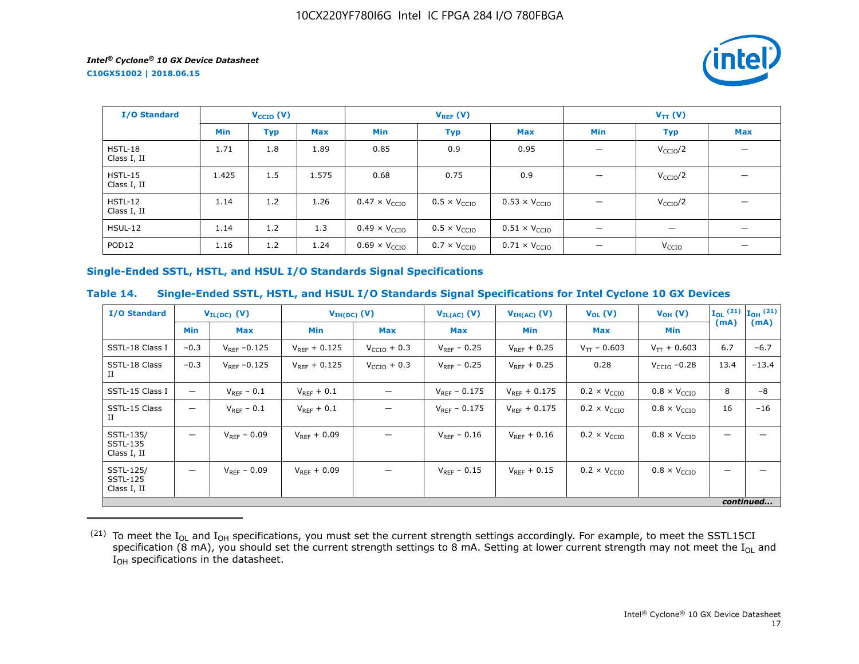**C10GX51002 | 2018.06.15**



| I/O Standard             |       | $V_{\text{CCIO}}(V)$ |       | $V_{REF}(V)$                  |                              |                               | $V_{TT} (V)$                   |                                |            |
|--------------------------|-------|----------------------|-------|-------------------------------|------------------------------|-------------------------------|--------------------------------|--------------------------------|------------|
|                          | Min   | <b>Typ</b>           | Max   | Min                           | <b>Typ</b>                   | <b>Max</b>                    | Min                            | <b>Typ</b>                     | <b>Max</b> |
| $HSTL-18$<br>Class I, II | 1.71  | 1.8                  | 1.89  | 0.85                          | 0.9                          | 0.95                          |                                | V <sub>CCIO</sub> /2           |            |
| HSTL-15<br>Class I, II   | 1.425 | 1.5                  | 1.575 | 0.68                          | 0.75                         | 0.9                           |                                | $V_{\rm CCIO}/2$               |            |
| $HSTL-12$<br>Class I, II | 1.14  | 1.2                  | 1.26  | $0.47 \times V_{CCIO}$        | $0.5 \times V_{\text{CCIO}}$ | $0.53 \times V_{CCIO}$        |                                | V <sub>CCIO</sub> /2           |            |
| HSUL-12                  | 1.14  | 1.2                  | 1.3   | $0.49 \times V_{\text{CCIO}}$ | $0.5 \times V_{\text{CCIO}}$ | $0.51 \times V_{\text{CCIO}}$ | $\qquad \qquad \longleftarrow$ | $\qquad \qquad \longleftarrow$ |            |
| POD <sub>12</sub>        | 1.16  | 1.2                  | 1.24  | $0.69 \times V_{\text{CCIO}}$ | $0.7 \times V_{\text{CCIO}}$ | $0.71 \times V_{\text{CCIO}}$ |                                | V <sub>CCIO</sub>              |            |

# **Single-Ended SSTL, HSTL, and HSUL I/O Standards Signal Specifications**

# **Table 14. Single-Ended SSTL, HSTL, and HSUL I/O Standards Signal Specifications for Intel Cyclone 10 GX Devices**

| <b>I/O Standard</b>                         | $V_{IL(DC)}$ (V)         |                   | $V_{IH(DC)}$ (V)  |                         | $V_{IL(AC)}$ (V)  | $V_{IH(AC)}$ (V)  | $V_{OL}(V)$                  | $V_{OH} (V)$                 |      | $\mathbf{I}_{OL}$ (21) $\mathbf{I}_{OH}$ (21) |
|---------------------------------------------|--------------------------|-------------------|-------------------|-------------------------|-------------------|-------------------|------------------------------|------------------------------|------|-----------------------------------------------|
|                                             | <b>Min</b>               | <b>Max</b>        | <b>Min</b>        | Max                     | Max               | Min               | <b>Max</b>                   | Min                          | (mA) | (mA)                                          |
| SSTL-18 Class I                             | $-0.3$                   | $V_{RFF} - 0.125$ | $V_{RFF}$ + 0.125 | $V_{\text{CCIO}} + 0.3$ | $V_{RFF}$ – 0.25  | $V_{RFF}$ + 0.25  | $V_{TT}$ – 0.603             | $V_{TT}$ + 0.603             | 6.7  | $-6.7$                                        |
| SSTL-18 Class<br>П                          | $-0.3$                   | $V_{REF}$ -0.125  | $V_{RFF} + 0.125$ | $V_{CCIO}$ + 0.3        | $V_{REF}$ – 0.25  | $V_{RFF}$ + 0.25  | 0.28                         | $VCCIO -0.28$                | 13.4 | $-13.4$                                       |
| SSTL-15 Class I                             | $\overline{\phantom{0}}$ | $V_{REF}$ – 0.1   | $V_{REF}$ + 0.1   |                         | $V_{RFF} - 0.175$ | $V_{RFF}$ + 0.175 | $0.2 \times V_{\text{CCIO}}$ | $0.8 \times V_{\text{CCIO}}$ | 8    | $-8$                                          |
| SSTL-15 Class<br>П                          | $\overline{\phantom{0}}$ | $V_{RFF}$ – 0.1   | $V_{REF} + 0.1$   |                         | $V_{RFF}$ – 0.175 | $V_{RFF}$ + 0.175 | $0.2 \times V_{\text{CCIO}}$ | $0.8 \times V_{\text{CCIO}}$ | 16   | $-16$                                         |
| SSTL-135/<br><b>SSTL-135</b><br>Class I, II | $\overline{\phantom{0}}$ | $V_{REF} - 0.09$  | $V_{RFF} + 0.09$  |                         | $V_{RFF} - 0.16$  | $V_{RFF}$ + 0.16  | $0.2 \times V_{\text{CCIO}}$ | $0.8 \times V_{\text{CCIO}}$ |      |                                               |
| SSTL-125/<br><b>SSTL-125</b><br>Class I, II | —                        | $V_{RFF}$ – 0.09  | $V_{RFF}$ + 0.09  |                         | $V_{RFF}$ – 0.15  | $V_{RFF}$ + 0.15  | $0.2 \times V_{\text{CCIO}}$ | $0.8 \times V_{\text{CCIO}}$ |      |                                               |
|                                             |                          |                   |                   |                         |                   |                   |                              |                              |      | continued                                     |

 $^{(21)}$  To meet the I<sub>OL</sub> and I<sub>OH</sub> specifications, you must set the current strength settings accordingly. For example, to meet the SSTL15CI specification (8 mA), you should set the current strength settings to 8 mA. Setting at lower current strength may not meet the I<sub>OL</sub> and  $I_{OH}$  specifications in the datasheet.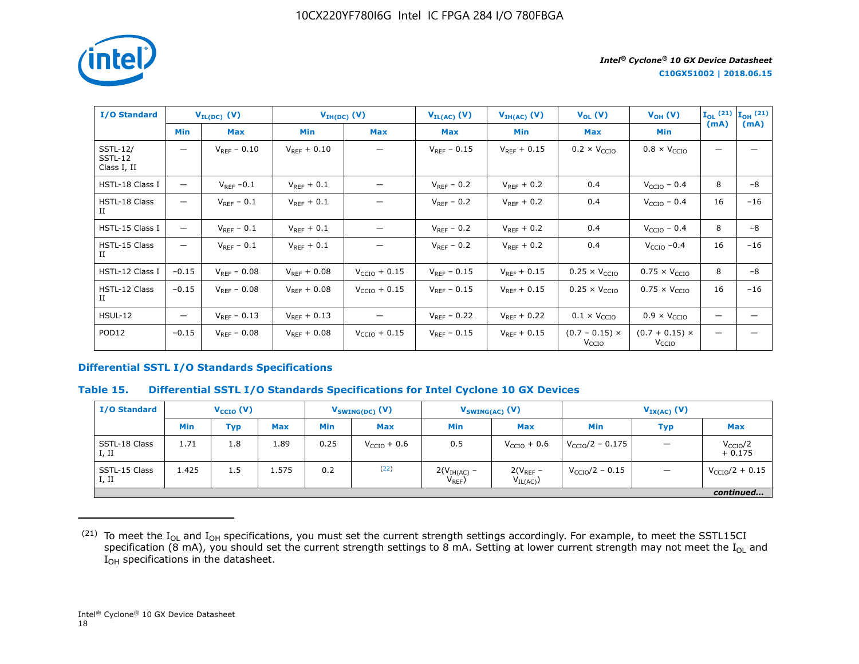

| <b>I/O Standard</b>                       |                                | $V_{IL(DC)}$ (V) | $V_{IH(DC)}(V)$  |                          | $V_{IL(AC)}$ (V) | $V_{IH(AC)}(V)$  | $V_{OL}(V)$                                | $V_{OH} (V)$                               | $\mathbf{I}_{OL}$ (21) $\mathbf{I}_{OH}$ (21) |       |
|-------------------------------------------|--------------------------------|------------------|------------------|--------------------------|------------------|------------------|--------------------------------------------|--------------------------------------------|-----------------------------------------------|-------|
|                                           | <b>Min</b>                     | <b>Max</b>       | Min              | <b>Max</b>               | Max              | Min              | Max                                        | Min                                        | (mA)                                          | (mA)  |
| <b>SSTL-12/</b><br>SSTL-12<br>Class I, II | $\qquad \qquad \longleftarrow$ | $V_{RFF} - 0.10$ | $V_{RFF}$ + 0.10 |                          | $V_{RFF}$ – 0.15 | $V_{RFF}$ + 0.15 | $0.2 \times V_{\text{CCIO}}$               | $0.8 \times V_{\text{CCIO}}$               |                                               |       |
| HSTL-18 Class I                           | $\qquad \qquad \longleftarrow$ | $V_{RFF}$ -0.1   | $V_{RFF}$ + 0.1  |                          | $V_{RFF}$ – 0.2  | $V_{RFF}$ + 0.2  | 0.4                                        | $V_{\text{CCIO}}$ – 0.4                    | 8                                             | $-8$  |
| HSTL-18 Class<br>Ш                        | —                              | $V_{REF}$ - 0.1  | $V_{REF}$ + 0.1  |                          | $V_{REF}$ – 0.2  | $V_{REF}$ + 0.2  | 0.4                                        | $VCCIO - 0.4$                              | 16                                            | $-16$ |
| HSTL-15 Class I                           |                                | $V_{REF}$ – 0.1  | $V_{REF} + 0.1$  |                          | $V_{REF}$ – 0.2  | $V_{REF} + 0.2$  | 0.4                                        | $VCCIO - 0.4$                              | 8                                             | $-8$  |
| HSTL-15 Class<br>H                        | —                              | $V_{REF}$ – 0.1  | $V_{REF} + 0.1$  |                          | $V_{REF}$ – 0.2  | $V_{REF} + 0.2$  | 0.4                                        | $VCCIO -0.4$                               | 16                                            | $-16$ |
| HSTL-12 Class I                           | $-0.15$                        | $V_{REF} - 0.08$ | $V_{REF} + 0.08$ | $V_{\text{CCIO}} + 0.15$ | $V_{RFF} - 0.15$ | $V_{REF} + 0.15$ | $0.25 \times V_{CCIO}$                     | $0.75 \times V_{CCIO}$                     | 8                                             | $-8$  |
| HSTL-12 Class<br>$_{\rm II}$              | $-0.15$                        | $V_{RFF} - 0.08$ | $V_{REF} + 0.08$ | $V_{\text{CCIO}} + 0.15$ | $V_{RFF}$ – 0.15 | $V_{REF}$ + 0.15 | $0.25 \times V_{CCIO}$                     | $0.75 \times V_{\text{CCIO}}$              | 16                                            | $-16$ |
| HSUL-12                                   | $\qquad \qquad -$              | $V_{RFF}$ – 0.13 | $V_{RFF}$ + 0.13 |                          | $V_{RFF}$ – 0.22 | $V_{RFF}$ + 0.22 | $0.1 \times V_{\text{CCIO}}$               | $0.9 \times V_{\text{CCIO}}$               | —                                             |       |
| POD <sub>12</sub>                         | $-0.15$                        | $V_{REF}$ – 0.08 | $V_{REF} + 0.08$ | $V_{\text{CCIO}} + 0.15$ | $V_{REF}$ – 0.15 | $V_{REF} + 0.15$ | $(0.7 - 0.15) \times$<br>V <sub>CCIO</sub> | $(0.7 + 0.15) \times$<br>V <sub>CCIO</sub> |                                               |       |

# **Differential SSTL I/O Standards Specifications**

#### **Table 15. Differential SSTL I/O Standards Specifications for Intel Cyclone 10 GX Devices**

| <b>I/O Standard</b>    | $V_{\text{CCIO}}(V)$ |            | $V_{SWING(DC)}$ (V) |            | $V_{SWING(AC)}$ (V) |                              | $V_{IX(AC)}$ (V)              |                            |            |                                  |
|------------------------|----------------------|------------|---------------------|------------|---------------------|------------------------------|-------------------------------|----------------------------|------------|----------------------------------|
|                        | <b>Min</b>           | <b>Typ</b> | <b>Max</b>          | <b>Min</b> | <b>Max</b>          | <b>Min</b>                   | <b>Max</b>                    | Min                        | <b>Typ</b> | <b>Max</b>                       |
| SSTL-18 Class<br>I, II | 1.71                 | 1.8        | 1.89                | 0.25       | $VCCIO + 0.6$       | 0.5                          | $V_{\text{CCIO}} + 0.6$       | $V_{\rm CCIO}/2 - 0.175$   |            | V <sub>CCIO</sub> /2<br>$+0.175$ |
| SSTL-15 Class<br>I, II | 1.425                | 1.5        | 1.575               | 0.2        | (22)                | $2(VIH(AC) -$<br>$V_{REF}$ ) | $2(V_{REF}$ –<br>$V_{IL(AC)}$ | $V_{\text{CCIO}}/2 - 0.15$ |            | $V_{\text{CCIO}}/2 + 0.15$       |
|                        |                      |            |                     |            |                     |                              |                               |                            |            | continued                        |

 $^{(21)}$  To meet the I<sub>OL</sub> and I<sub>OH</sub> specifications, you must set the current strength settings accordingly. For example, to meet the SSTL15CI specification (8 mA), you should set the current strength settings to 8 mA. Setting at lower current strength may not meet the I<sub>OL</sub> and  $I_{OH}$  specifications in the datasheet.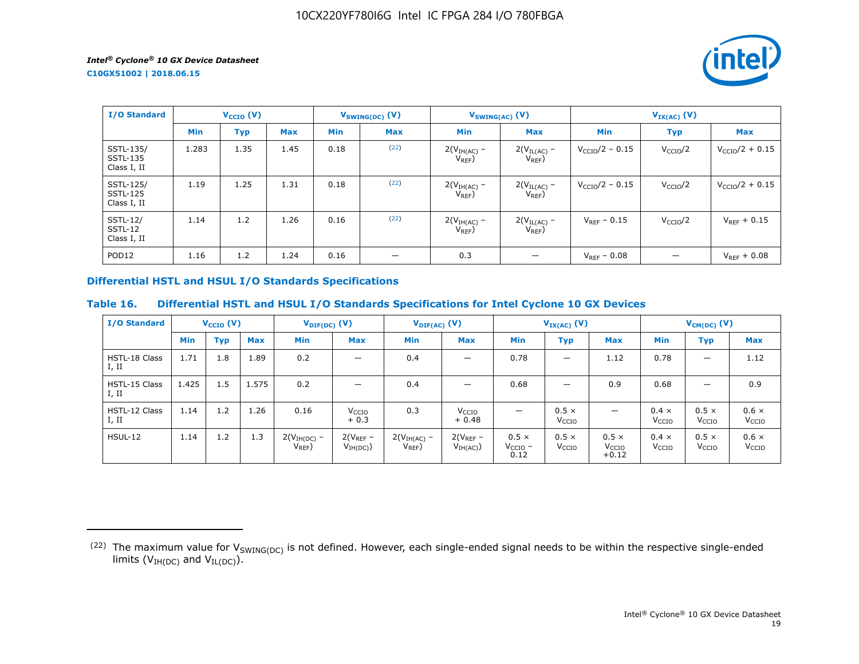*intel* 

**C10GX51002 | 2018.06.15**

| <b>I/O Standard</b>                         | $V_{\text{CCIO}}(V)$ |            |            | $V_{SWING(DC)}$ (V) |            | $V_{SWING(AC)}$ (V)          |                                 | $V_{IX(AC)}(V)$         |                      |                            |
|---------------------------------------------|----------------------|------------|------------|---------------------|------------|------------------------------|---------------------------------|-------------------------|----------------------|----------------------------|
|                                             | <b>Min</b>           | <b>Typ</b> | <b>Max</b> | <b>Min</b>          | <b>Max</b> | <b>Min</b>                   | <b>Max</b>                      | <b>Min</b>              | <b>Typ</b>           | <b>Max</b>                 |
| SSTL-135/<br><b>SSTL-135</b><br>Class I, II | 1.283                | 1.35       | 1.45       | 0.18                | (22)       | $2(VIH(AC)$ –<br>$V_{REF}$ ) | $2(V_{IL(AC)}$ –<br>$V_{REF}$ ) | $V_{\rm CCIO}/2 - 0.15$ | V <sub>CCIO</sub> /2 | $V_{\rm CCIO}/2 + 0.15$    |
| SSTL-125/<br><b>SSTL-125</b><br>Class I, II | 1.19                 | 1.25       | 1.31       | 0.18                | (22)       | $2(VIH(AC)$ –<br>$V_{REF}$ ) | $2(V_{IL(AC)} -$<br>$V_{REF}$ ) | $V_{\rm CCIO}/2 - 0.15$ | V <sub>CCIO</sub> /2 | $V_{\text{CCIO}}/2 + 0.15$ |
| <b>SSTL-12/</b><br>SSTL-12<br>Class I, II   | 1.14                 | 1.2        | 1.26       | 0.16                | (22)       | $2(VIH(AC)$ –<br>$V_{REF}$   | $2(V_{IL(AC)}$ -<br>$V_{REF}$ ) | $V_{RFF}$ – 0.15        | V <sub>CCIO</sub> /2 | $V_{RFF}$ + 0.15           |
| POD <sub>12</sub>                           | 1.16                 | 1.2        | 1.24       | 0.16                | —          | 0.3                          |                                 | $V_{RFF} - 0.08$        |                      | $V_{REF} + 0.08$           |

# **Differential HSTL and HSUL I/O Standards Specifications**

# **Table 16. Differential HSTL and HSUL I/O Standards Specifications for Intel Cyclone 10 GX Devices**

| <b>I/O Standard</b>           |            | $V_{\text{CCIO}}(V)$ |            |                              | $V_{\text{DIF(DC)}}(V)$      |                            | $V_{\text{DIF(AC)}}$ (V)     | $V_{IX(AC)}$ (V)                     |                                   |                                              | $V_{CM(DC)}$ (V)                  |                                   |                                   |
|-------------------------------|------------|----------------------|------------|------------------------------|------------------------------|----------------------------|------------------------------|--------------------------------------|-----------------------------------|----------------------------------------------|-----------------------------------|-----------------------------------|-----------------------------------|
|                               | <b>Min</b> | <b>Typ</b>           | <b>Max</b> | Min                          | <b>Max</b>                   | <b>Min</b>                 | <b>Max</b>                   | <b>Min</b>                           | Typ                               | <b>Max</b>                                   | <b>Min</b>                        | <b>Typ</b>                        | <b>Max</b>                        |
| <b>HSTL-18 Class</b><br>I, II | 1.71       | 1.8                  | 1.89       | 0.2                          | $\overline{\phantom{0}}$     | 0.4                        | $\overline{\phantom{0}}$     | 0.78                                 | —                                 | 1.12                                         | 0.78                              | $\overline{\phantom{m}}$          | 1.12                              |
| HSTL-15 Class<br>I, II        | 1.425      | 1.5                  | 1.575      | 0.2                          | $\overline{\phantom{0}}$     | 0.4                        |                              | 0.68                                 | -                                 | 0.9                                          | 0.68                              | $\overline{\phantom{0}}$          | 0.9                               |
| HSTL-12 Class<br>I, II        | 1.14       | 1.2                  | 1.26       | 0.16                         | V <sub>CCIO</sub><br>$+0.3$  | 0.3                        | V <sub>CCIO</sub><br>$+0.48$ | $\overline{\phantom{0}}$             | $0.5 \times$<br>V <sub>CCIO</sub> | $\overline{\phantom{0}}$                     | $0.4 \times$<br>V <sub>CCIO</sub> | $0.5 \times$<br>V <sub>CCIO</sub> | $0.6 \times$<br>V <sub>CCIO</sub> |
| $H$ SUL-12                    | 1.14       | 1.2                  | 1.3        | $2(VIH(DC)$ –<br>$V_{REF}$ ) | $2(V_{REF}-$<br>$V_{IH(DC)}$ | $2(VIH(AC)$ –<br>$V_{REF}$ | $2(V_{REF}-$<br>$V_{IH(AC)}$ | $0.5 \times$<br>$V_{CCIO}$ -<br>0.12 | $0.5 \times$<br>V <sub>CCIO</sub> | $0.5 \times$<br>V <sub>CCIO</sub><br>$+0.12$ | $0.4 \times$<br>V <sub>CCIO</sub> | $0.5 \times$<br>V <sub>CCIO</sub> | $0.6 \times$<br>V <sub>CCIO</sub> |

<sup>(22)</sup> The maximum value for  $V_{SWING(DC)}$  is not defined. However, each single-ended signal needs to be within the respective single-ended limits ( $V_{IH(DC)}$  and  $V_{IL(DC)}$ ).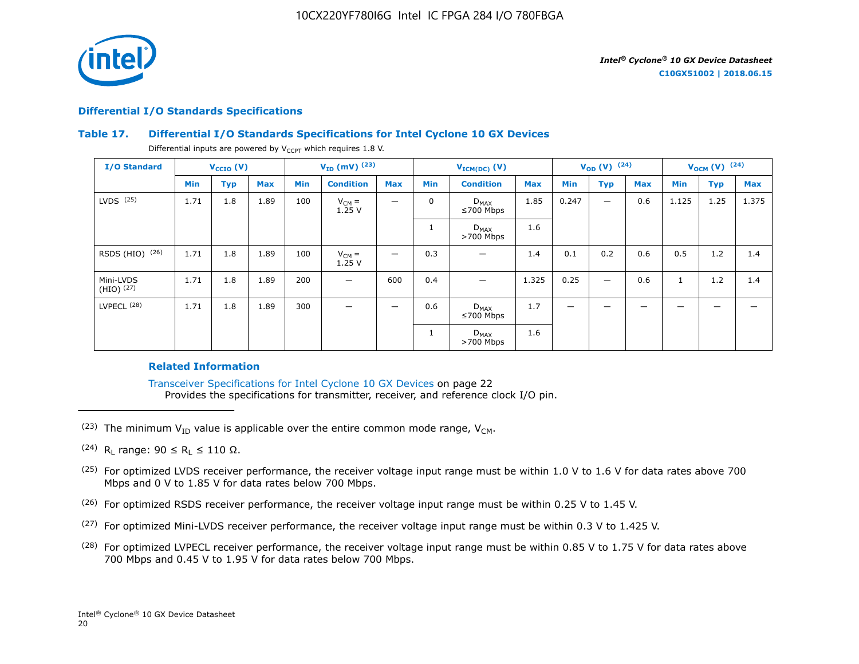

### **Differential I/O Standards Specifications**

# **Table 17. Differential I/O Standards Specifications for Intel Cyclone 10 GX Devices**

Differential inputs are powered by  $V_{CCPT}$  which requires 1.8 V.

| <b>I/O Standard</b>       |      | $V_{CCIO} (V)$ |            |            | $V_{ID}$ (mV) $^{(23)}$ |            |             | $V_{ICM(DC)}(V)$             |            | $V_{OD} (V)$ (24)        |            |            | $V_{OCM}$ (V) $(24)$ |            |            |
|---------------------------|------|----------------|------------|------------|-------------------------|------------|-------------|------------------------------|------------|--------------------------|------------|------------|----------------------|------------|------------|
|                           | Min  | <b>Typ</b>     | <b>Max</b> | <b>Min</b> | <b>Condition</b>        | <b>Max</b> | <b>Min</b>  | <b>Condition</b>             | <b>Max</b> | Min                      | <b>Typ</b> | <b>Max</b> | Min                  | <b>Typ</b> | <b>Max</b> |
| $LVDS$ $(25)$             | 1.71 | 1.8            | 1.89       | 100        | $V_{CM} =$<br>1.25V     | -          | $\mathbf 0$ | $D_{MAX}$<br>$≤700$ Mbps     | 1.85       | 0.247                    |            | 0.6        | 1.125                | 1.25       | 1.375      |
|                           |      |                |            |            |                         |            |             | $D_{MAX}$<br>$>700$ Mbps     | 1.6        |                          |            |            |                      |            |            |
| RSDS (HIO) (26)           | 1.71 | 1.8            | 1.89       | 100        | $V_{CM} =$<br>1.25V     | —          | 0.3         |                              | 1.4        | 0.1                      | 0.2        | 0.6        | 0.5                  | 1.2        | 1.4        |
| Mini-LVDS<br>$(HIO)$ (27) | 1.71 | 1.8            | 1.89       | 200        | —                       | 600        | 0.4         |                              | 1.325      | 0.25                     |            | 0.6        | $\mathbf{1}$         | 1.2        | 1.4        |
| LVPECL <sup>(28)</sup>    | 1.71 | 1.8            | 1.89       | 300        | _                       | —          | 0.6         | $D_{MAX}$<br>$\leq 700$ Mbps | 1.7        | $\overline{\phantom{m}}$ | -          | _          | -                    | -          |            |
|                           |      |                |            |            |                         |            |             | $D_{MAX}$<br>$>700$ Mbps     | 1.6        |                          |            |            |                      |            |            |

# **Related Information**

Transceiver Specifications for Intel Cyclone 10 GX Devices on page 22 Provides the specifications for transmitter, receiver, and reference clock I/O pin.

- (23) The minimum  $V_{ID}$  value is applicable over the entire common mode range,  $V_{CM}$ .
- $(24)$  R<sub>L</sub> range: 90 ≤ R<sub>L</sub> ≤ 110 Ω.
- <sup>(25)</sup> For optimized LVDS receiver performance, the receiver voltage input range must be within 1.0 V to 1.6 V for data rates above 700 Mbps and 0 V to 1.85 V for data rates below 700 Mbps.
- $(26)$  For optimized RSDS receiver performance, the receiver voltage input range must be within 0.25 V to 1.45 V.
- (27) For optimized Mini-LVDS receiver performance, the receiver voltage input range must be within 0.3 V to 1.425 V.
- <sup>(28)</sup> For optimized LVPECL receiver performance, the receiver voltage input range must be within 0.85 V to 1.75 V for data rates above 700 Mbps and 0.45 V to 1.95 V for data rates below 700 Mbps.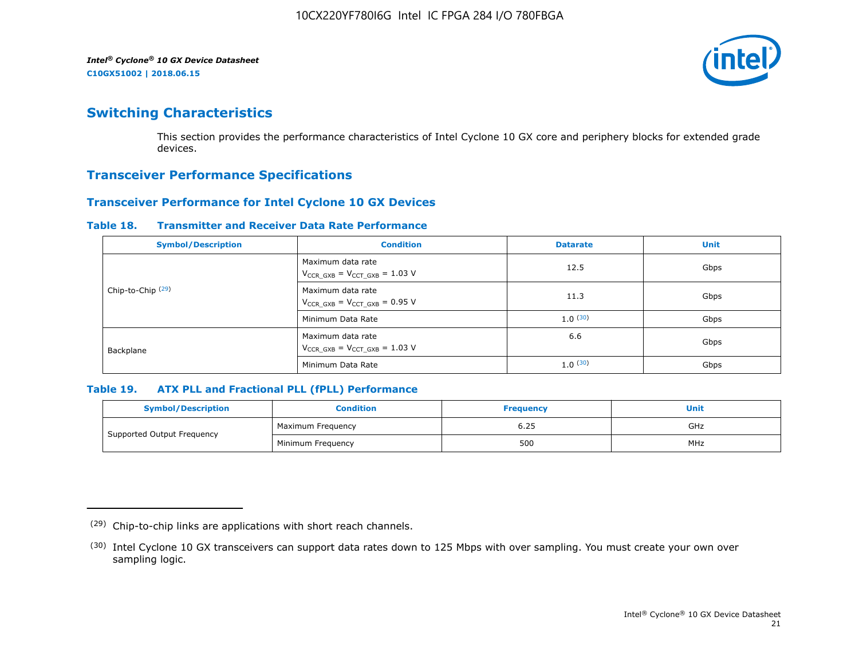

# **Switching Characteristics**

This section provides the performance characteristics of Intel Cyclone 10 GX core and periphery blocks for extended grade devices.

# **Transceiver Performance Specifications**

# **Transceiver Performance for Intel Cyclone 10 GX Devices**

#### **Table 18. Transmitter and Receiver Data Rate Performance**

| <b>Symbol/Description</b>    | <b>Condition</b>                                            | <b>Datarate</b> | <b>Unit</b> |
|------------------------------|-------------------------------------------------------------|-----------------|-------------|
|                              | Maximum data rate<br>$V_{CCR_GXB} = V_{CCT_GXB} = 1.03 V$   | 12.5            | Gbps        |
| Chip-to-Chip <sup>(29)</sup> | Maximum data rate<br>$V_{CCR_GXB} = V_{CCT_GXB} = 0.95 V$   | 11.3            | Gbps        |
|                              | Minimum Data Rate                                           | 1.0(30)         | Gbps        |
| Backplane                    | Maximum data rate<br>$V_{CCR\ GXB} = V_{CCT\ GXB} = 1.03$ V | 6.6             | Gbps        |
|                              | Minimum Data Rate                                           | 1.0(30)         | Gbps        |

# **Table 19. ATX PLL and Fractional PLL (fPLL) Performance**

| <b>Symbol/Description</b>  | Condition         | <b>Frequency</b> | <b>Unit</b> |  |
|----------------------------|-------------------|------------------|-------------|--|
|                            | Maximum Frequency | 6.25             | GHz         |  |
| Supported Output Frequency | Minimum Freguency | 500              | MHz         |  |

<sup>(29)</sup> Chip-to-chip links are applications with short reach channels.

<sup>(30)</sup> Intel Cyclone 10 GX transceivers can support data rates down to 125 Mbps with over sampling. You must create your own over sampling logic.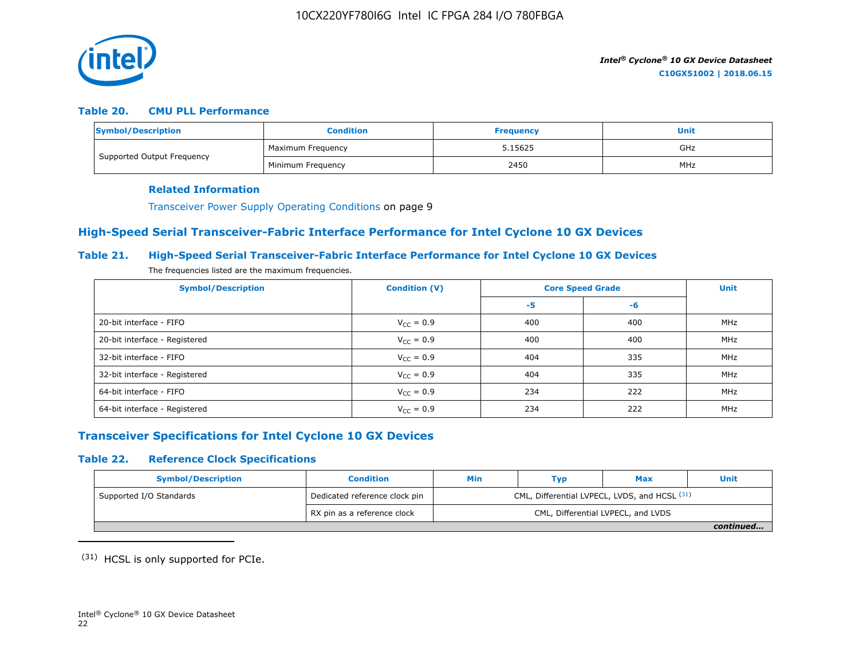

# **Table 20. CMU PLL Performance**

| Symbol/Description         | <b>Condition</b>  | <b>Frequency</b> | Unit |
|----------------------------|-------------------|------------------|------|
| Supported Output Frequency | Maximum Frequency | 5.15625          | GHz  |
|                            | Minimum Freguency | 2450             | MHz  |

#### **Related Information**

Transceiver Power Supply Operating Conditions on page 9

# **High-Speed Serial Transceiver-Fabric Interface Performance for Intel Cyclone 10 GX Devices**

# **Table 21. High-Speed Serial Transceiver-Fabric Interface Performance for Intel Cyclone 10 GX Devices**

The frequencies listed are the maximum frequencies.

| <b>Symbol/Description</b>     | <b>Condition (V)</b>  | <b>Core Speed Grade</b> | <b>Unit</b> |     |
|-------------------------------|-----------------------|-------------------------|-------------|-----|
|                               |                       | -5                      | -6          |     |
| 20-bit interface - FIFO       | $V_{CC} = 0.9$        | 400                     | 400         | MHz |
| 20-bit interface - Registered | $V_{CC} = 0.9$        | 400                     | 400         | MHz |
| 32-bit interface - FIFO       | $V_{CC} = 0.9$        | 404                     | 335         | MHz |
| 32-bit interface - Registered | $V_{\text{CC}} = 0.9$ | 404                     | 335         | MHz |
| 64-bit interface - FIFO       | $V_{CC} = 0.9$        | 234                     | 222         | MHz |
| 64-bit interface - Registered | $V_{\text{CC}} = 0.9$ | 234                     | 222         | MHz |

# **Transceiver Specifications for Intel Cyclone 10 GX Devices**

# **Table 22. Reference Clock Specifications**

| <b>Symbol/Description</b> | <b>Condition</b>              | <b>Min</b>                                    | Typ                                | Max | <b>Unit</b> |  |  |
|---------------------------|-------------------------------|-----------------------------------------------|------------------------------------|-----|-------------|--|--|
| Supported I/O Standards   | Dedicated reference clock pin | CML, Differential LVPECL, LVDS, and HCSL (31) |                                    |     |             |  |  |
|                           | RX pin as a reference clock   |                                               | CML, Differential LVPECL, and LVDS |     |             |  |  |
|                           |                               |                                               |                                    |     | continued   |  |  |

(31) HCSL is only supported for PCIe.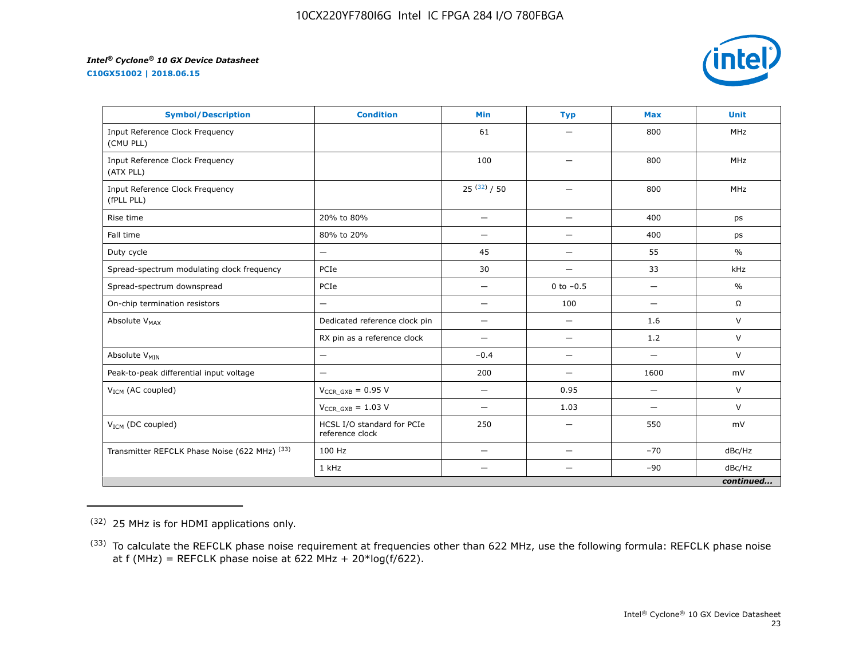**C10GX51002 | 2018.06.15**



| <b>Symbol/Description</b>                     | <b>Condition</b>                              | <b>Min</b>               | <b>Typ</b>               | <b>Max</b>               | <b>Unit</b>   |
|-----------------------------------------------|-----------------------------------------------|--------------------------|--------------------------|--------------------------|---------------|
| Input Reference Clock Frequency<br>(CMU PLL)  |                                               | 61                       |                          | 800                      | <b>MHz</b>    |
| Input Reference Clock Frequency<br>(ATX PLL)  |                                               | 100                      | —                        | 800                      | <b>MHz</b>    |
| Input Reference Clock Frequency<br>(fPLL PLL) |                                               | $25^{(32)}/50$           | $\overline{\phantom{0}}$ | 800                      | <b>MHz</b>    |
| Rise time                                     | 20% to 80%                                    | $\qquad \qquad -$        | —                        | 400                      | ps            |
| Fall time                                     | 80% to 20%                                    | $\overline{\phantom{0}}$ | $\overline{\phantom{0}}$ | 400                      | ps            |
| Duty cycle                                    | —                                             | 45                       | —                        | 55                       | $\frac{0}{0}$ |
| Spread-spectrum modulating clock frequency    | PCIe                                          | 30                       | —                        | 33                       | kHz           |
| Spread-spectrum downspread                    | PCIe                                          | —                        | 0 to $-0.5$              |                          | $\frac{0}{0}$ |
| On-chip termination resistors                 | —                                             | $\overline{\phantom{0}}$ | 100                      | $\overline{\phantom{0}}$ | $\Omega$      |
| Absolute V <sub>MAX</sub>                     | Dedicated reference clock pin                 | $\qquad \qquad -$        | $\overline{\phantom{0}}$ | 1.6                      | V             |
|                                               | RX pin as a reference clock                   |                          | $\overline{\phantom{0}}$ | 1.2                      | $\vee$        |
| Absolute V <sub>MIN</sub>                     | —                                             | $-0.4$                   | —                        | $\overline{\phantom{0}}$ | $\vee$        |
| Peak-to-peak differential input voltage       | $\overline{\phantom{0}}$                      | 200                      | $\overline{\phantom{0}}$ | 1600                     | mV            |
| V <sub>ICM</sub> (AC coupled)                 | $V_{CCR_GXB} = 0.95 V$                        |                          | 0.95                     | $\overline{\phantom{0}}$ | V             |
|                                               | $V_{CCR\ GXB} = 1.03 V$                       | —                        | 1.03                     | $\overline{\phantom{0}}$ | $\vee$        |
| $V_{ICM}$ (DC coupled)                        | HCSL I/O standard for PCIe<br>reference clock | 250                      | $\overline{\phantom{0}}$ | 550                      | mV            |
| Transmitter REFCLK Phase Noise (622 MHz) (33) | 100 Hz                                        | —                        | $\overline{\phantom{0}}$ | $-70$                    | dBc/Hz        |
|                                               | 1 kHz                                         |                          |                          | $-90$                    | dBc/Hz        |
|                                               |                                               |                          |                          |                          | continued     |

<sup>(32)</sup> 25 MHz is for HDMI applications only.

<sup>&</sup>lt;sup>(33)</sup> To calculate the REFCLK phase noise requirement at frequencies other than 622 MHz, use the following formula: REFCLK phase noise at f (MHz) = REFCLK phase noise at 622 MHz +  $20*log(f/622)$ .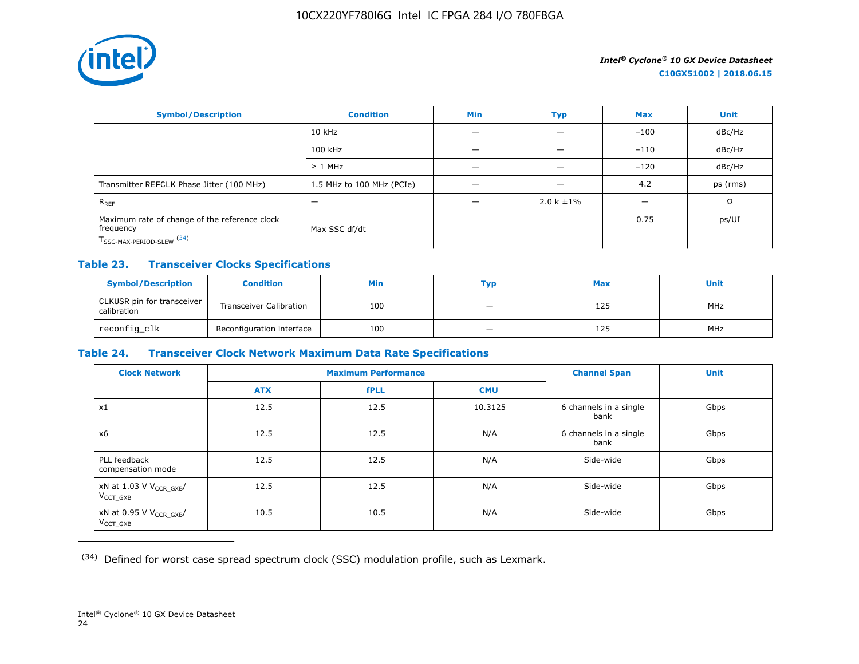

| <b>Symbol/Description</b>                                                                           | <b>Condition</b>          | <b>Min</b> | <b>Typ</b>      | <b>Max</b> | <b>Unit</b> |
|-----------------------------------------------------------------------------------------------------|---------------------------|------------|-----------------|------------|-------------|
|                                                                                                     | 10 kHz                    |            |                 | $-100$     | dBc/Hz      |
|                                                                                                     | 100 kHz                   |            |                 | $-110$     | dBc/Hz      |
|                                                                                                     | $\geq 1$ MHz              |            |                 | $-120$     | dBc/Hz      |
| Transmitter REFCLK Phase Jitter (100 MHz)                                                           | 1.5 MHz to 100 MHz (PCIe) | -          | -               | 4.2        | ps (rms)    |
| $R_{REF}$                                                                                           | -                         |            | $2.0 k \pm 1\%$ |            | Ω           |
| Maximum rate of change of the reference clock<br>frequency<br>T <sub>SSC-MAX-PERIOD-SLEW</sub> (34) | Max SSC df/dt             |            |                 | 0.75       | ps/UI       |

# **Table 23. Transceiver Clocks Specifications**

| <b>Symbol/Description</b>                 | <b>Condition</b>               | Min | Тур                      | <b>Max</b> | <b>Unit</b> |
|-------------------------------------------|--------------------------------|-----|--------------------------|------------|-------------|
| CLKUSR pin for transceiver<br>calibration | <b>Transceiver Calibration</b> | 100 | $\overline{\phantom{a}}$ | 125        | <b>MHz</b>  |
| reconfig_clk                              | Reconfiguration interface      | 100 |                          | 125        | <b>MHz</b>  |

# **Table 24. Transceiver Clock Network Maximum Data Rate Specifications**

| <b>Clock Network</b>                                 | <b>Maximum Performance</b> |             |            | <b>Channel Span</b>            | <b>Unit</b> |
|------------------------------------------------------|----------------------------|-------------|------------|--------------------------------|-------------|
|                                                      | <b>ATX</b>                 | <b>fPLL</b> | <b>CMU</b> |                                |             |
| x1                                                   | 12.5                       | 12.5        | 10.3125    | 6 channels in a single<br>bank | Gbps        |
| x6                                                   | 12.5                       | 12.5        | N/A        | 6 channels in a single<br>bank | Gbps        |
| PLL feedback<br>compensation mode                    | 12.5                       | 12.5        | N/A        | Side-wide                      | Gbps        |
| xN at 1.03 V V <sub>CCR_GXB</sub> /<br>$V_{CCT}$ GXB | 12.5                       | 12.5        | N/A        | Side-wide                      | Gbps        |
| xN at 0.95 V V <sub>CCR_GXB</sub> /<br>$V_{CCT_GXB}$ | 10.5                       | 10.5        | N/A        | Side-wide                      | Gbps        |

(34) Defined for worst case spread spectrum clock (SSC) modulation profile, such as Lexmark.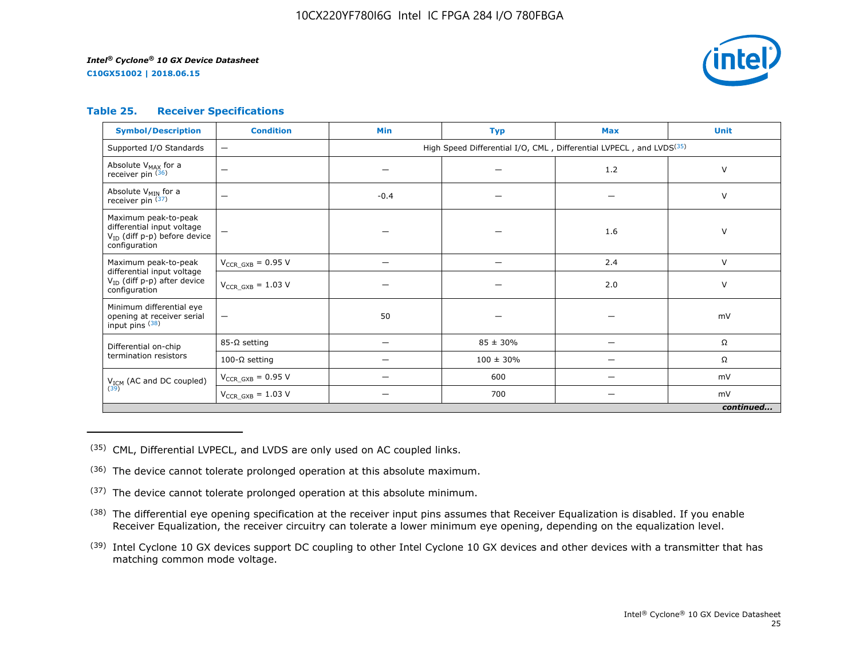**C10GX51002 | 2018.06.15**



# **Table 25. Receiver Specifications**

| <b>Symbol/Description</b>                                                                                | <b>Condition</b>         | <b>Min</b>                                                                      | <b>Typ</b>     | <b>Max</b> | <b>Unit</b> |  |  |  |
|----------------------------------------------------------------------------------------------------------|--------------------------|---------------------------------------------------------------------------------|----------------|------------|-------------|--|--|--|
| Supported I/O Standards                                                                                  | $\overline{\phantom{0}}$ | High Speed Differential I/O, CML, Differential LVPECL, and LVDS <sup>(35)</sup> |                |            |             |  |  |  |
| Absolute V <sub>MAX</sub> for a<br>receiver pin $(36)$                                                   | $\overline{\phantom{0}}$ |                                                                                 |                | 1.2        | V           |  |  |  |
| Absolute V <sub>MIN</sub> for a<br>receiver pin $(37)$                                                   | $\overline{\phantom{0}}$ | $-0.4$                                                                          |                |            | V           |  |  |  |
| Maximum peak-to-peak<br>differential input voltage<br>$V_{ID}$ (diff p-p) before device<br>configuration |                          |                                                                                 |                | 1.6        | V           |  |  |  |
| Maximum peak-to-peak                                                                                     | $V_{CCR\ GXB} = 0.95 V$  |                                                                                 | -              | 2.4        | V           |  |  |  |
| differential input voltage<br>$V_{ID}$ (diff p-p) after device<br>configuration                          | $V_{CCR\ GXB} = 1.03 V$  |                                                                                 |                | 2.0        | V           |  |  |  |
| Minimum differential eye<br>opening at receiver serial<br>input pins (38)                                | $\overline{\phantom{m}}$ | 50                                                                              |                |            | mV          |  |  |  |
| Differential on-chip                                                                                     | $85-\Omega$ setting      | —                                                                               | $85 \pm 30\%$  | —          | Ω           |  |  |  |
| termination resistors                                                                                    | 100-Ω setting            |                                                                                 | $100 \pm 30\%$ |            | Ω           |  |  |  |
| $V_{ICM}$ (AC and DC coupled)<br>(39)                                                                    | $V_{CCR_GXB} = 0.95 V$   |                                                                                 | 600            |            | mV          |  |  |  |
|                                                                                                          | $V_{CCR\ GXB} = 1.03 V$  |                                                                                 | 700            |            | mV          |  |  |  |
|                                                                                                          | continued                |                                                                                 |                |            |             |  |  |  |

(35) CML, Differential LVPECL, and LVDS are only used on AC coupled links.

- (36) The device cannot tolerate prolonged operation at this absolute maximum.
- $(37)$  The device cannot tolerate prolonged operation at this absolute minimum.
- <sup>(38)</sup> The differential eye opening specification at the receiver input pins assumes that Receiver Equalization is disabled. If you enable Receiver Equalization, the receiver circuitry can tolerate a lower minimum eye opening, depending on the equalization level.
- <sup>(39)</sup> Intel Cyclone 10 GX devices support DC coupling to other Intel Cyclone 10 GX devices and other devices with a transmitter that has matching common mode voltage.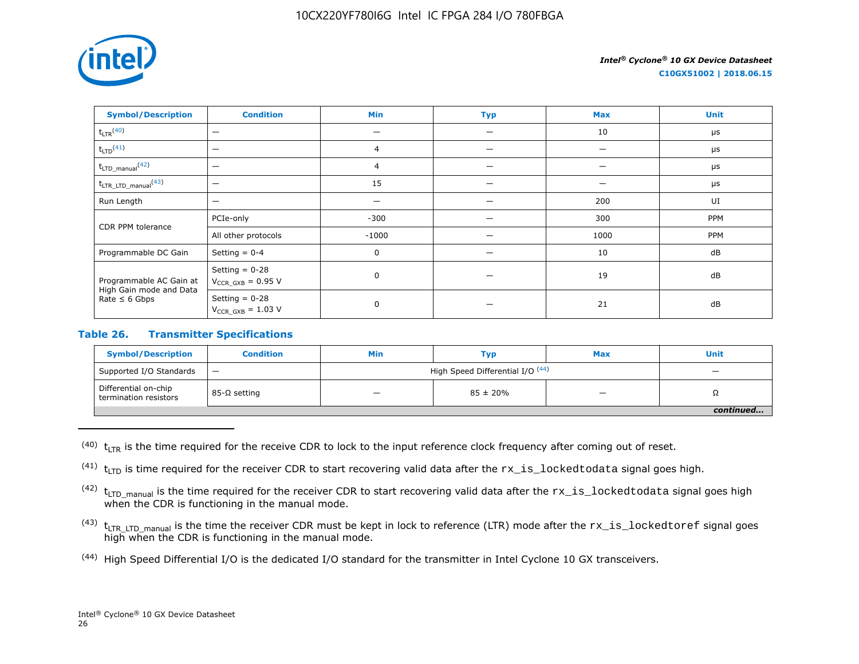

**C10GX51002 | 2018.06.15**

| <b>Symbol/Description</b>                                                                                                                                            | <b>Condition</b>         | Min            | <b>Typ</b> | <b>Max</b> | <b>Unit</b> |
|----------------------------------------------------------------------------------------------------------------------------------------------------------------------|--------------------------|----------------|------------|------------|-------------|
| $t_{LTR}$ <sup>(40)</sup>                                                                                                                                            | $\overline{\phantom{0}}$ |                |            | 10         | $\mu$ s     |
| $t_{LTD}$ <sup>(41)</sup>                                                                                                                                            | $\overline{\phantom{0}}$ | 4              |            |            | $\mu$ s     |
| $t_{\text{LTD\_manual}}$ <sup>(42)</sup>                                                                                                                             | $\overline{\phantom{0}}$ | $\overline{4}$ |            |            | $\mu s$     |
| $t_{\text{LTR\_LTD\_manual}}$ <sup>(43)</sup>                                                                                                                        | $\overline{\phantom{0}}$ | 15             |            |            | $\mu s$     |
| Run Length                                                                                                                                                           | $\overline{\phantom{0}}$ |                |            | 200        | UI          |
| CDR PPM tolerance                                                                                                                                                    | PCIe-only                | $-300$         |            | 300        | PPM         |
|                                                                                                                                                                      | All other protocols      | $-1000$        |            | 1000       | PPM         |
| Programmable DC Gain                                                                                                                                                 | Setting $= 0-4$          | 0              |            | 10         | dB          |
| Setting $= 0-28$<br>Programmable AC Gain at<br>$V_{CCR_GXB} = 0.95 V$<br>High Gain mode and Data<br>Setting $= 0-28$<br>Rate $\leq 6$ Gbps<br>$V_{CCR_GXB} = 1.03 V$ |                          | $\mathbf 0$    |            | 19         | dB          |
|                                                                                                                                                                      |                          | $\mathbf 0$    |            | 21         | dB          |

# **Table 26. Transmitter Specifications**

| <b>Symbol/Description</b>                     | <b>Condition</b>                | Min                              | Тур                      | <b>Max</b> | <b>Unit</b> |  |
|-----------------------------------------------|---------------------------------|----------------------------------|--------------------------|------------|-------------|--|
| Supported I/O Standards                       | $\overbrace{\phantom{1232211}}$ | High Speed Differential I/O (44) | $\overline{\phantom{0}}$ |            |             |  |
| Differential on-chip<br>termination resistors | 85-Ω setting                    |                                  | $85 \pm 20\%$            |            | 75          |  |
|                                               |                                 |                                  |                          |            |             |  |

 $(40)$  t<sub>LTR</sub> is the time required for the receive CDR to lock to the input reference clock frequency after coming out of reset.

<sup>(41)</sup>  $t_{\text{LTD}}$  is time required for the receiver CDR to start recovering valid data after the  $rx\_is\_locked$ todata signal goes high.

 $(42)$  t<sub>LTD</sub> manual is the time required for the receiver CDR to start recovering valid data after the  $rx\_is\_locked$ todata signal goes high when the CDR is functioning in the manual mode.

- $(43)$  t<sub>LTR LTD</sub> manual is the time the receiver CDR must be kept in lock to reference (LTR) mode after the  $rx\_is\_lockedtoref$  signal goes high when the CDR is functioning in the manual mode.
- (44) High Speed Differential I/O is the dedicated I/O standard for the transmitter in Intel Cyclone 10 GX transceivers.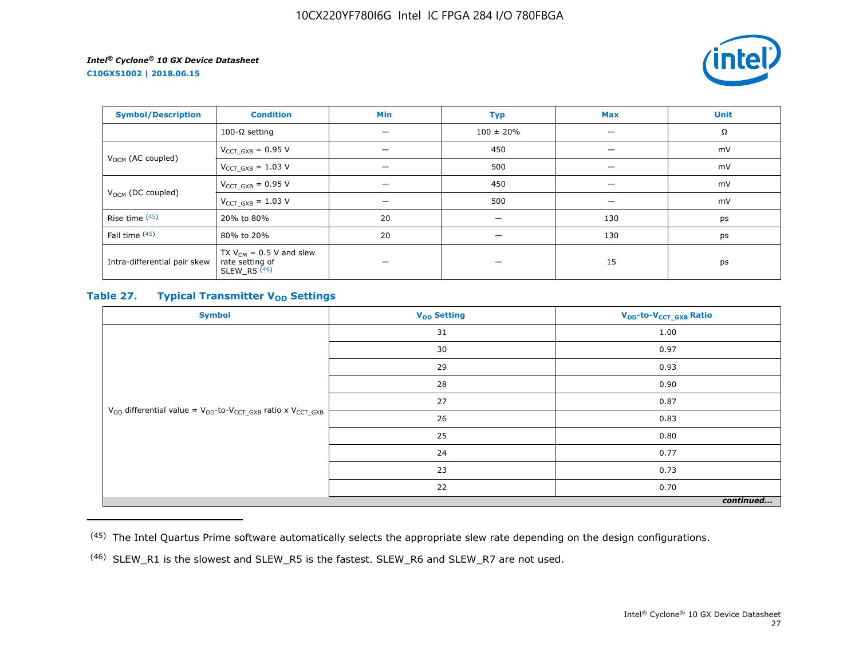**C10GX51002 | 2018.06.15**



| <b>Symbol/Description</b>     | <b>Condition</b>                                                  | Min | <b>Typ</b>               | <b>Max</b> | <b>Unit</b> |
|-------------------------------|-------------------------------------------------------------------|-----|--------------------------|------------|-------------|
|                               | 100-Ω setting                                                     | -   | $100 \pm 20\%$           | –          | Ω           |
|                               | $V_{CCT_GXB} = 0.95 V$                                            |     | 450                      |            | mV          |
| V <sub>OCM</sub> (AC coupled) | $V_{CCT_GXB} = 1.03 V$                                            |     | 500                      | –          | mV          |
| V <sub>OCM</sub> (DC coupled) | $V_{CCT_GXB} = 0.95 V$                                            |     | 450                      |            | mV          |
|                               | $V_{CCT_GXB} = 1.03 V$                                            |     | 500                      |            | mV          |
| Rise time (45)                | 20% to 80%                                                        | 20  | --                       | 130        | ps          |
| Fall time (45)                | 80% to 20%                                                        | 20  | $\overline{\phantom{0}}$ | 130        | ps          |
| Intra-differential pair skew  | TX $V_{CM}$ = 0.5 V and slew<br>rate setting of<br>SLEW R5 $(46)$ |     |                          | 15         | ps          |

# **Table 27. Typical Transmitter V<sub>OD</sub>** Settings

| <b>Symbol</b>                                                                     | V <sub>OD</sub> Setting | V <sub>OD</sub> -to-V <sub>CCT_GXB</sub> Ratio |  |  |  |
|-----------------------------------------------------------------------------------|-------------------------|------------------------------------------------|--|--|--|
|                                                                                   | 31                      | 1.00                                           |  |  |  |
|                                                                                   | 30                      | 0.97                                           |  |  |  |
|                                                                                   | 29                      | 0.93                                           |  |  |  |
|                                                                                   | 28                      | 0.90                                           |  |  |  |
|                                                                                   | 27                      | 0.87                                           |  |  |  |
| $V_{OD}$ differential value = $V_{OD}$ -to- $V_{CCT\_GXB}$ ratio x $V_{CCT\_GXB}$ | 26                      | 0.83                                           |  |  |  |
|                                                                                   | 25                      | 0.80                                           |  |  |  |
|                                                                                   | 24                      | 0.77                                           |  |  |  |
|                                                                                   | 23                      | 0.73                                           |  |  |  |
|                                                                                   | 22                      | 0.70                                           |  |  |  |
| continued                                                                         |                         |                                                |  |  |  |

<sup>(45)</sup> The Intel Quartus Prime software automatically selects the appropriate slew rate depending on the design configurations.

<sup>(46)</sup> SLEW\_R1 is the slowest and SLEW\_R5 is the fastest. SLEW\_R6 and SLEW\_R7 are not used.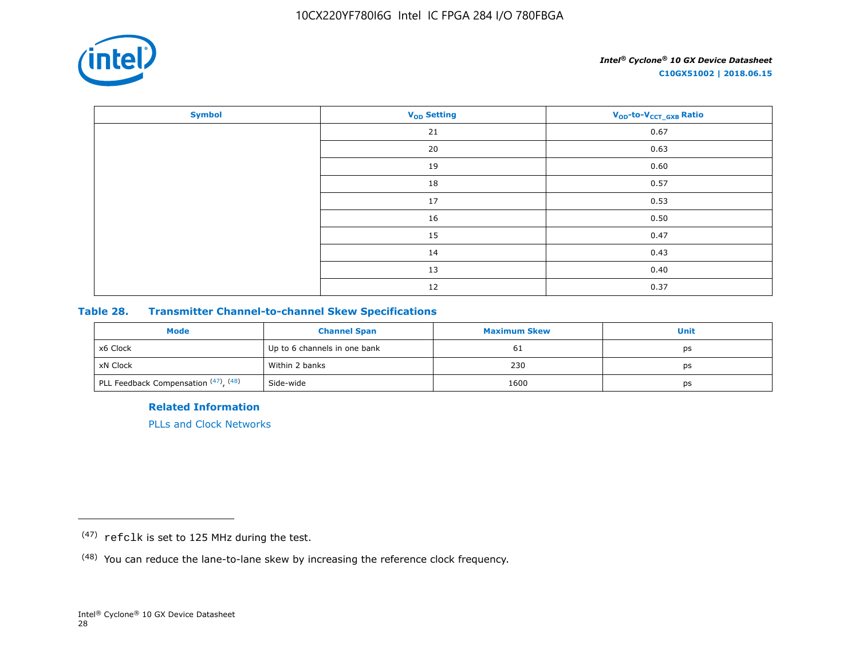

| <b>Symbol</b> | <b>V<sub>OD</sub></b> Setting | V <sub>OD</sub> -to-V <sub>CCT_GXB</sub> Ratio |
|---------------|-------------------------------|------------------------------------------------|
|               | 21                            | 0.67                                           |
|               | 20                            | 0.63                                           |
|               | 19                            | 0.60                                           |
|               | 18                            | 0.57                                           |
|               | 17                            | 0.53                                           |
|               | 16                            | 0.50                                           |
|               | 15                            | 0.47                                           |
|               | 14                            | 0.43                                           |
|               | 13                            | 0.40                                           |
|               | 12                            | 0.37                                           |

# **Table 28. Transmitter Channel-to-channel Skew Specifications**

| <b>Mode</b>                                       | <b>Channel Span</b>          | <b>Maximum Skew</b> | Unit |
|---------------------------------------------------|------------------------------|---------------------|------|
| x6 Clock                                          | Up to 6 channels in one bank | 61                  | ps   |
| xN Clock                                          | Within 2 banks               | 230                 | ps   |
| <sup>1</sup> PLL Feedback Compensation (47), (48) | Side-wide                    | 1600                | ps   |

**Related Information**

[PLLs and Clock Networks](https://documentation.altera.com/#/link/hki1486507600636/mbh1486506924952)

<sup>(47)</sup> refclk is set to 125 MHz during the test.

<sup>(48)</sup> You can reduce the lane-to-lane skew by increasing the reference clock frequency.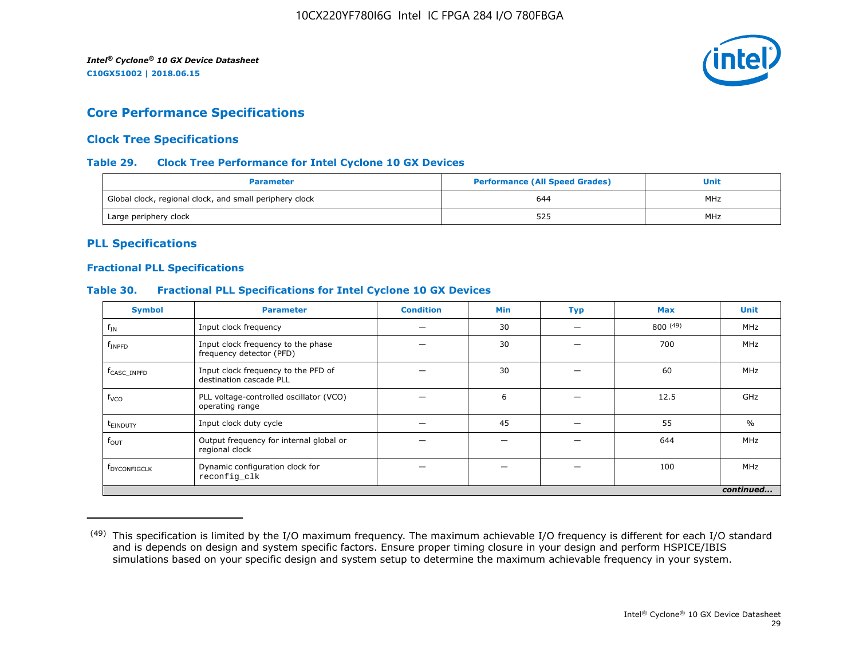

# **Core Performance Specifications**

# **Clock Tree Specifications**

# **Table 29. Clock Tree Performance for Intel Cyclone 10 GX Devices**

| <b>Parameter</b>                                        | <b>Performance (All Speed Grades)</b> | Unit |
|---------------------------------------------------------|---------------------------------------|------|
| Global clock, regional clock, and small periphery clock | 644                                   | MHz  |
| Large periphery clock                                   | 525                                   | MHz  |

# **PLL Specifications**

## **Fractional PLL Specifications**

# **Table 30. Fractional PLL Specifications for Intel Cyclone 10 GX Devices**

| <b>Symbol</b>            | <b>Parameter</b>                                               | <b>Condition</b> | <b>Min</b> | <b>Typ</b> | <b>Max</b> | <b>Unit</b>   |
|--------------------------|----------------------------------------------------------------|------------------|------------|------------|------------|---------------|
| $f_{IN}$                 | Input clock frequency                                          |                  | 30         |            | 800(49)    | MHz           |
| $f_{INPP}$               | Input clock frequency to the phase<br>frequency detector (PFD) |                  | 30         |            | 700        | MHz           |
| f <sub>CASC</sub> INPFD  | Input clock frequency to the PFD of<br>destination cascade PLL |                  | 30         |            | 60         | MHz           |
| $f_{VCO}$                | PLL voltage-controlled oscillator (VCO)<br>operating range     |                  | 6          |            | 12.5       | GHz           |
| t <sub>einduty</sub>     | Input clock duty cycle                                         |                  | 45         |            | 55         | $\frac{0}{0}$ |
| $f_{\text{OUT}}$         | Output frequency for internal global or<br>regional clock      |                  |            |            | 644        | MHz           |
| f <sub>DYCONFIGCLK</sub> | Dynamic configuration clock for<br>reconfig_clk                |                  |            |            | 100        | MHz           |
|                          |                                                                |                  |            |            |            | continued     |

<sup>&</sup>lt;sup>(49)</sup> This specification is limited by the I/O maximum frequency. The maximum achievable I/O frequency is different for each I/O standard and is depends on design and system specific factors. Ensure proper timing closure in your design and perform HSPICE/IBIS simulations based on your specific design and system setup to determine the maximum achievable frequency in your system.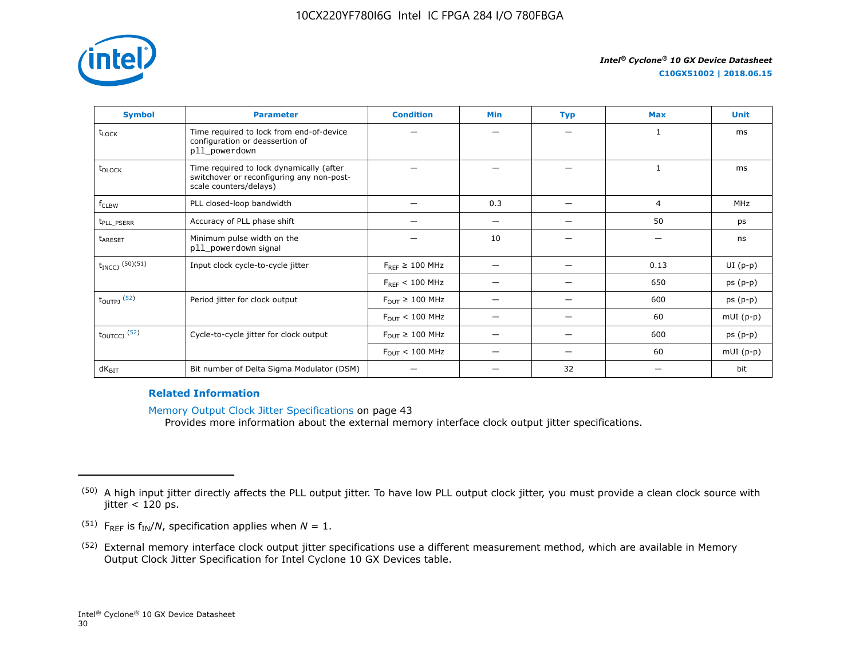

| <b>Symbol</b>            | <b>Parameter</b>                                                                                                | <b>Condition</b>                      | Min | <b>Typ</b> | <b>Max</b> | <b>Unit</b> |
|--------------------------|-----------------------------------------------------------------------------------------------------------------|---------------------------------------|-----|------------|------------|-------------|
| t <sub>LOCK</sub>        | Time required to lock from end-of-device<br>configuration or deassertion of<br>pll_powerdown                    |                                       |     |            | 1          | ms          |
| t <sub>DLOCK</sub>       | Time required to lock dynamically (after<br>switchover or reconfiguring any non-post-<br>scale counters/delays) |                                       |     |            |            | ms          |
| $f_{CLBW}$               | PLL closed-loop bandwidth                                                                                       |                                       | 0.3 |            | 4          | <b>MHz</b>  |
| t <sub>PLL</sub> PSERR   | Accuracy of PLL phase shift                                                                                     |                                       | —   | -          | 50         | ps          |
| t <sub>ARESET</sub>      | Minimum pulse width on the<br>pll_powerdown signal                                                              |                                       | 10  |            | –          | ns          |
| $t_{INCCJ}$ (50)(51)     | Input clock cycle-to-cycle jitter                                                                               | $F_{RFF} \geq 100$ MHz                |     | -          | 0.13       | $UI(p-p)$   |
|                          |                                                                                                                 | $F_{RFF}$ < 100 MHz                   |     |            | 650        | $ps(p-p)$   |
| $t_{\text{OUTPJ}}$ (52)  | Period jitter for clock output                                                                                  | $F_{\text{OUT}} \geq 100 \text{ MHz}$ |     |            | 600        | $ps(p-p)$   |
|                          |                                                                                                                 | $F_{\text{OUT}}$ < 100 MHz            |     | -          | 60         | $mUI(p-p)$  |
| $t_{\text{OUTCCJ}}$ (52) | Cycle-to-cycle jitter for clock output                                                                          | $F_{\text{OUT}} \geq 100 \text{ MHz}$ |     |            | 600        | $ps(p-p)$   |
|                          |                                                                                                                 | $F_{\text{OUT}} < 100 \text{ MHz}$    |     |            | 60         | $mUI(p-p)$  |
| $dK_{\text{BIT}}$        | Bit number of Delta Sigma Modulator (DSM)                                                                       |                                       |     | 32         |            | bit         |

# **Related Information**

Memory Output Clock Jitter Specifications on page 43

Provides more information about the external memory interface clock output jitter specifications.

- <sup>(51)</sup> F<sub>REF</sub> is  $f_{IN}/N$ , specification applies when  $N = 1$ .
- (52) External memory interface clock output jitter specifications use a different measurement method, which are available in Memory Output Clock Jitter Specification for Intel Cyclone 10 GX Devices table.

<sup>&</sup>lt;sup>(50)</sup> A high input jitter directly affects the PLL output jitter. To have low PLL output clock jitter, you must provide a clean clock source with jitter  $<$  120 ps.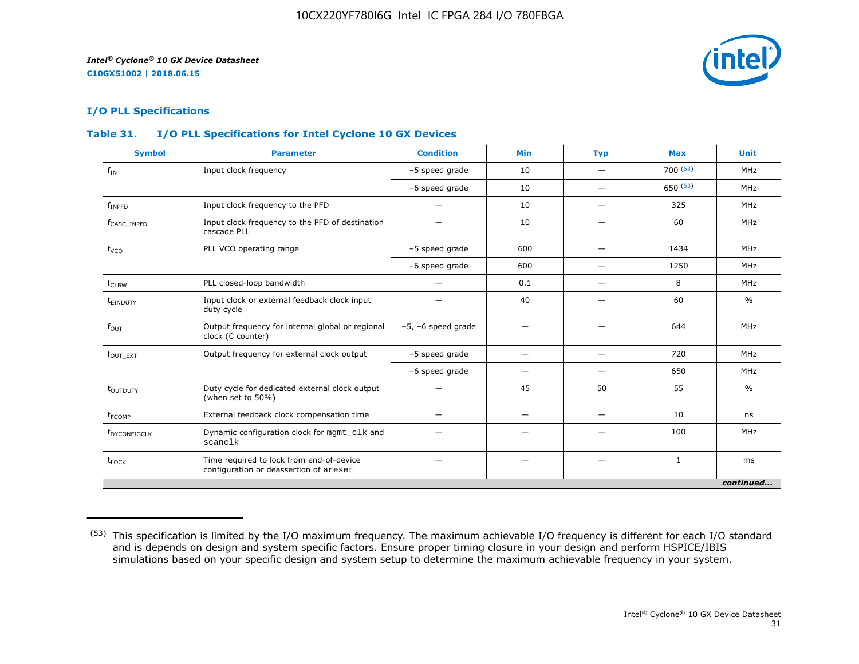

# **I/O PLL Specifications**

# **Table 31. I/O PLL Specifications for Intel Cyclone 10 GX Devices**

| <b>Symbol</b>            | <b>Parameter</b>                                                                   | <b>Condition</b>        | <b>Min</b>               | <b>Typ</b>               | <b>Max</b>   | <b>Unit</b>   |
|--------------------------|------------------------------------------------------------------------------------|-------------------------|--------------------------|--------------------------|--------------|---------------|
| $f_{IN}$                 | Input clock frequency                                                              | -5 speed grade          | 10                       |                          | 700(53)      | MHz           |
|                          |                                                                                    | -6 speed grade          | 10                       | —                        | 650(53)      | MHz           |
| $f_{INPFD}$              | Input clock frequency to the PFD                                                   |                         | 10                       |                          | 325          | MHz           |
| f <sub>CASC</sub> INPFD  | Input clock frequency to the PFD of destination<br>cascade PLL                     |                         | 10                       |                          | 60           | MHz           |
| f <sub>vco</sub>         | PLL VCO operating range                                                            | -5 speed grade          | 600                      |                          | 1434         | MHz           |
|                          |                                                                                    | -6 speed grade          | 600                      | $\overline{\phantom{0}}$ | 1250         | MHz           |
| $f_{CLBW}$               | PLL closed-loop bandwidth                                                          | —                       | 0.1                      | $\overline{\phantom{0}}$ | 8            | MHz           |
| t <sub>einduty</sub>     | Input clock or external feedback clock input<br>duty cycle                         |                         | 40                       |                          | 60           | $\frac{0}{0}$ |
| $f_{\text{OUT}}$         | Output frequency for internal global or regional<br>clock (C counter)              | $-5$ , $-6$ speed grade | -                        |                          | 644          | MHz           |
| $fOUT$ $_{EXT}$          | Output frequency for external clock output                                         | -5 speed grade          | -                        |                          | 720          | MHz           |
|                          |                                                                                    | -6 speed grade          | -                        |                          | 650          | MHz           |
| t <sub>outputy</sub>     | Duty cycle for dedicated external clock output<br>(when set to 50%)                |                         | 45                       | 50                       | 55           | $\frac{0}{0}$ |
| t <sub>FCOMP</sub>       | External feedback clock compensation time                                          |                         | $\overline{\phantom{m}}$ |                          | 10           | ns            |
| f <sub>DYCONFIGCLK</sub> | Dynamic configuration clock for mgmt_clk and<br>scanclk                            |                         |                          |                          | 100          | MHz           |
| $t_{\text{LOCK}}$        | Time required to lock from end-of-device<br>configuration or deassertion of areset |                         |                          |                          | $\mathbf{1}$ | ms            |
|                          |                                                                                    |                         |                          |                          |              | continued     |

<sup>(53)</sup> This specification is limited by the I/O maximum frequency. The maximum achievable I/O frequency is different for each I/O standard and is depends on design and system specific factors. Ensure proper timing closure in your design and perform HSPICE/IBIS simulations based on your specific design and system setup to determine the maximum achievable frequency in your system.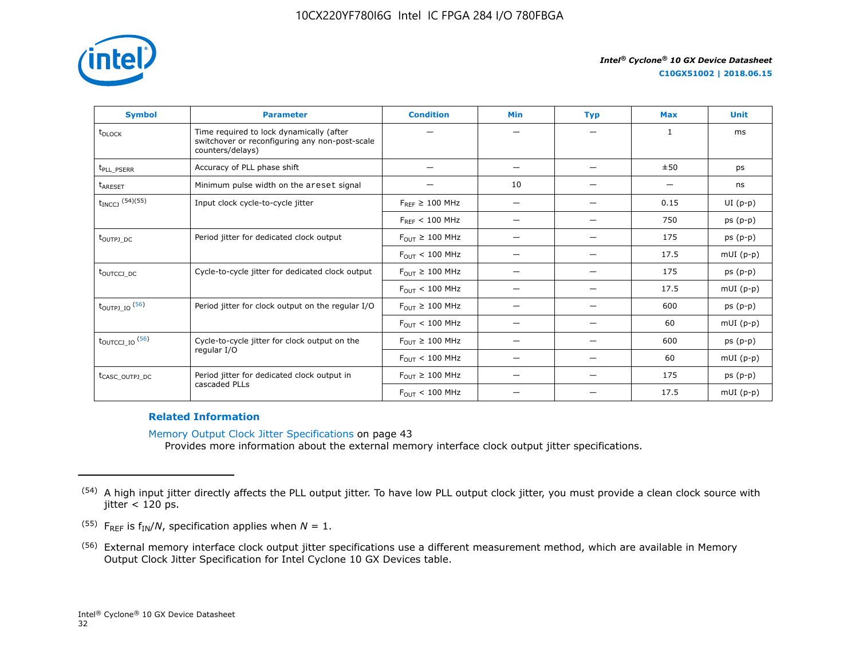

**C10GX51002 | 2018.06.15**

| <b>Symbol</b>                     | <b>Parameter</b>                                                                                               | <b>Condition</b>                      | <b>Min</b>               | <b>Typ</b> | <b>Max</b>   | <b>Unit</b> |
|-----------------------------------|----------------------------------------------------------------------------------------------------------------|---------------------------------------|--------------------------|------------|--------------|-------------|
| t <sub>DLOCK</sub>                | Time required to lock dynamically (after<br>switchover or reconfiguring any non-post-scale<br>counters/delays) |                                       |                          |            | $\mathbf{1}$ | ms          |
| t <sub>PLL_PSERR</sub>            | Accuracy of PLL phase shift                                                                                    |                                       | —                        |            | ±50          | ps          |
| <b>LARESET</b>                    | Minimum pulse width on the areset signal                                                                       |                                       | 10                       |            |              | ns          |
| $t_{INCCJ}$ (54)(55)              | Input clock cycle-to-cycle jitter                                                                              | $F_{REF} \geq 100$ MHz                | $\overline{\phantom{0}}$ |            | 0.15         | $UI(p-p)$   |
|                                   |                                                                                                                | $F_{RFF}$ < 100 MHz                   |                          |            | 750          | $ps(p-p)$   |
| toutpj DC                         | Period jitter for dedicated clock output                                                                       | $F_{OUT} \geq 100$ MHz                |                          |            | 175          | $ps(p-p)$   |
|                                   |                                                                                                                | $F_{OIII}$ < 100 MHz                  | $\overline{\phantom{0}}$ |            | 17.5         | $mUI(p-p)$  |
| t <sub>outccj</sub> <sub>pc</sub> | Cycle-to-cycle jitter for dedicated clock output                                                               | $F_{OIII} \geq 100$ MHz               | –                        |            | 175          | $ps(p-p)$   |
|                                   |                                                                                                                | $F_{OUT}$ < 100 MHz                   | —                        |            | 17.5         | $mUI(p-p)$  |
| $t_{\text{OUTPI\_IO}}$ (56)       | Period jitter for clock output on the regular I/O                                                              | $F_{OUT} \geq 100$ MHz                | —                        |            | 600          | $ps(p-p)$   |
|                                   |                                                                                                                | $F_{\text{OUT}} < 100 \text{ MHz}$    |                          |            | 60           | $mUI(p-p)$  |
| $t_{\text{OUTCCJ\_IO}}$ (56)      | Cycle-to-cycle jitter for clock output on the                                                                  | $F_{OUT} \geq 100$ MHz                | $\overline{\phantom{0}}$ |            | 600          | $ps(p-p)$   |
|                                   | regular I/O                                                                                                    | $F_{OUT}$ < 100 MHz                   | $\overline{\phantom{0}}$ |            | 60           | $mUI(p-p)$  |
| t <sub>CASC_OUTPJ_DC</sub>        | Period jitter for dedicated clock output in                                                                    | $F_{\text{OUT}} \geq 100 \text{ MHz}$ |                          |            | 175          | $ps(p-p)$   |
|                                   | cascaded PLLs                                                                                                  | $F_{OUT}$ < 100 MHz                   |                          |            | 17.5         | $mUI(p-p)$  |

### **Related Information**

Memory Output Clock Jitter Specifications on page 43 Provides more information about the external memory interface clock output jitter specifications.

<sup>&</sup>lt;sup>(54)</sup> A high input jitter directly affects the PLL output jitter. To have low PLL output clock jitter, you must provide a clean clock source with jitter  $<$  120 ps.

<sup>&</sup>lt;sup>(55)</sup> F<sub>REF</sub> is  $f_{IN}/N$ , specification applies when  $N = 1$ .

<sup>(56)</sup> External memory interface clock output jitter specifications use a different measurement method, which are available in Memory Output Clock Jitter Specification for Intel Cyclone 10 GX Devices table.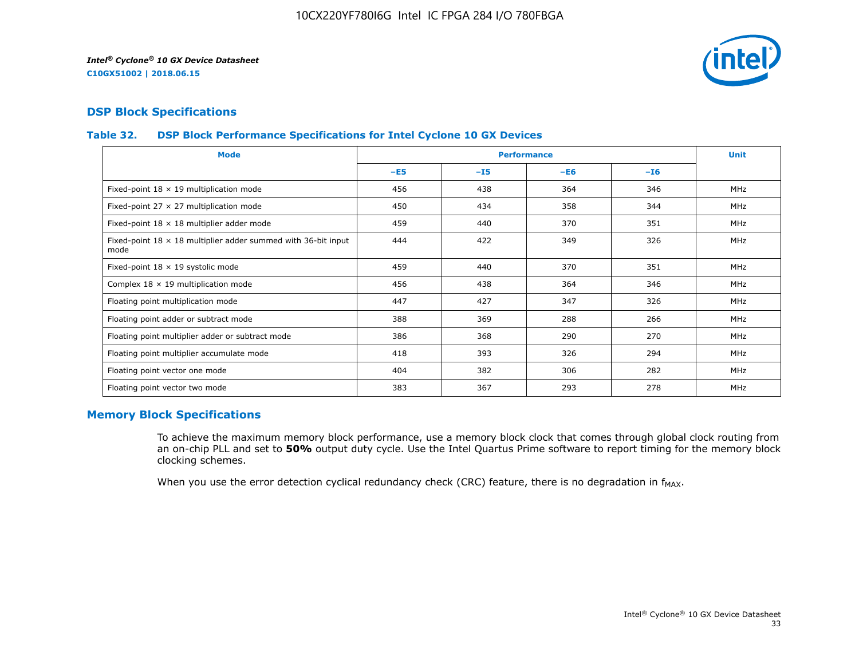

# **DSP Block Specifications**

# **Table 32. DSP Block Performance Specifications for Intel Cyclone 10 GX Devices**

| <b>Mode</b>                                                                  |       |       | <b>Performance</b> |       | <b>Unit</b> |
|------------------------------------------------------------------------------|-------|-------|--------------------|-------|-------------|
|                                                                              | $-E5$ | $-15$ | $-E6$              | $-16$ |             |
| Fixed-point $18 \times 19$ multiplication mode                               | 456   | 438   | 364                | 346   | <b>MHz</b>  |
| Fixed-point 27 $\times$ 27 multiplication mode                               | 450   | 434   | 358                | 344   | <b>MHz</b>  |
| Fixed-point $18 \times 18$ multiplier adder mode                             | 459   | 440   | 370                | 351   | <b>MHz</b>  |
| Fixed-point $18 \times 18$ multiplier adder summed with 36-bit input<br>mode | 444   | 422   | 349                | 326   | <b>MHz</b>  |
| Fixed-point 18 x 19 systolic mode                                            | 459   | 440   | 370                | 351   | <b>MHz</b>  |
| Complex $18 \times 19$ multiplication mode                                   | 456   | 438   | 364                | 346   | MHz         |
| Floating point multiplication mode                                           | 447   | 427   | 347                | 326   | <b>MHz</b>  |
| Floating point adder or subtract mode                                        | 388   | 369   | 288                | 266   | <b>MHz</b>  |
| Floating point multiplier adder or subtract mode                             | 386   | 368   | 290                | 270   | MHz         |
| Floating point multiplier accumulate mode                                    | 418   | 393   | 326                | 294   | <b>MHz</b>  |
| Floating point vector one mode                                               | 404   | 382   | 306                | 282   | MHz         |
| Floating point vector two mode                                               | 383   | 367   | 293                | 278   | <b>MHz</b>  |

# **Memory Block Specifications**

To achieve the maximum memory block performance, use a memory block clock that comes through global clock routing from an on-chip PLL and set to **50%** output duty cycle. Use the Intel Quartus Prime software to report timing for the memory block clocking schemes.

When you use the error detection cyclical redundancy check (CRC) feature, there is no degradation in  $f_{MAX}$ .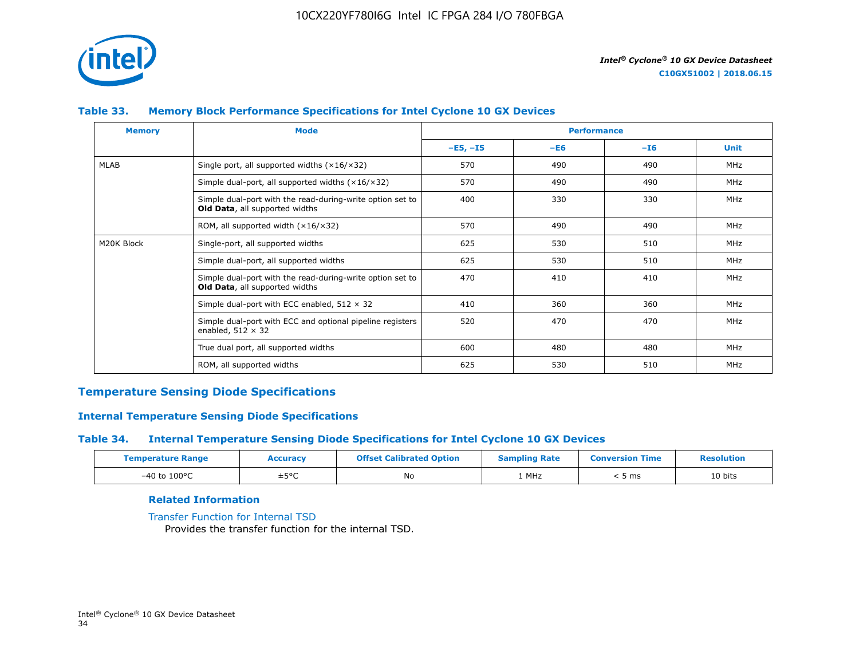

# **Table 33. Memory Block Performance Specifications for Intel Cyclone 10 GX Devices**

| <b>Memory</b> | <b>Mode</b>                                                                                        |            | <b>Performance</b> |       |             |  |
|---------------|----------------------------------------------------------------------------------------------------|------------|--------------------|-------|-------------|--|
|               |                                                                                                    | $-E5, -15$ | $-E6$              | $-16$ | <b>Unit</b> |  |
| MLAB          | Single port, all supported widths $(x16/x32)$                                                      | 570        | 490                | 490   | MHz         |  |
|               | Simple dual-port, all supported widths $(x16/x32)$                                                 | 570        | 490                | 490   | MHz         |  |
|               | Simple dual-port with the read-during-write option set to<br>Old Data, all supported widths        | 400        | 330                | 330   | <b>MHz</b>  |  |
|               | ROM, all supported width $(x16/x32)$                                                               | 570        | 490                | 490   | MHz         |  |
| M20K Block    | Single-port, all supported widths                                                                  | 625        | 530                | 510   | MHz         |  |
|               | Simple dual-port, all supported widths                                                             | 625        | 530                | 510   | MHz         |  |
|               | Simple dual-port with the read-during-write option set to<br><b>Old Data, all supported widths</b> | 470        | 410                | 410   | <b>MHz</b>  |  |
|               | Simple dual-port with ECC enabled, $512 \times 32$                                                 | 410        | 360                | 360   | <b>MHz</b>  |  |
|               | Simple dual-port with ECC and optional pipeline registers<br>enabled, $512 \times 32$              | 520        | 470                | 470   | <b>MHz</b>  |  |
|               | True dual port, all supported widths                                                               | 600        | 480                | 480   | MHz         |  |
|               | ROM, all supported widths                                                                          | 625        | 530                | 510   | <b>MHz</b>  |  |

# **Temperature Sensing Diode Specifications**

# **Internal Temperature Sensing Diode Specifications**

# **Table 34. Internal Temperature Sensing Diode Specifications for Intel Cyclone 10 GX Devices**

| <b>Temperature Range</b> | <b>Accuracy</b> | <b>Offset Calibrated Option</b> | <b>Sampling Rate</b> | <b>Conversion Time</b> | <b>Resolution</b> |
|--------------------------|-----------------|---------------------------------|----------------------|------------------------|-------------------|
| $-40$ to $100^{\circ}$ C | ±5°C            | No                              | 1 MHz                | ms د                   | 10 bits           |

# **Related Information**

[Transfer Function for Internal TSD](https://www.altera.com/documentation/vua1487061384661.html#utv1490341047242) Provides the transfer function for the internal TSD.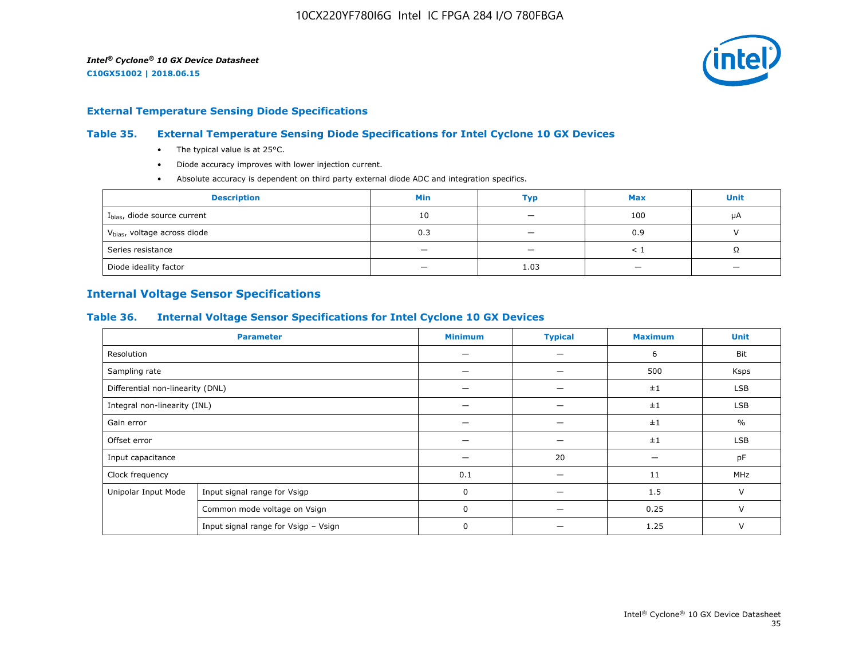

#### **External Temperature Sensing Diode Specifications**

# **Table 35. External Temperature Sensing Diode Specifications for Intel Cyclone 10 GX Devices**

- The typical value is at 25°C.
- Diode accuracy improves with lower injection current.
- Absolute accuracy is dependent on third party external diode ADC and integration specifics.

| <b>Description</b>                       | <b>Min</b>               | Тур                      | <b>Max</b> | <b>Unit</b> |
|------------------------------------------|--------------------------|--------------------------|------------|-------------|
| I <sub>bias</sub> , diode source current | 10                       | $\overline{\phantom{0}}$ | 100        | μA          |
| V <sub>bias</sub> , voltage across diode | 0.3                      |                          | 0.9        |             |
| Series resistance                        | $\overline{\phantom{0}}$ | $\overline{\phantom{a}}$ |            | 75          |
| Diode ideality factor                    | -                        | 1.03                     |            |             |

# **Internal Voltage Sensor Specifications**

## **Table 36. Internal Voltage Sensor Specifications for Intel Cyclone 10 GX Devices**

| <b>Parameter</b>                 |                                      | <b>Minimum</b> | <b>Typical</b>           | <b>Maximum</b> | <b>Unit</b>   |
|----------------------------------|--------------------------------------|----------------|--------------------------|----------------|---------------|
| Resolution                       |                                      |                | —                        | 6              | Bit           |
| Sampling rate                    |                                      |                | $\overline{\phantom{0}}$ | 500            | Ksps          |
| Differential non-linearity (DNL) |                                      |                |                          | ±1             | <b>LSB</b>    |
|                                  | Integral non-linearity (INL)         |                |                          | ±1             | <b>LSB</b>    |
| Gain error                       |                                      |                |                          | ±1             | $\frac{0}{0}$ |
| Offset error                     |                                      |                |                          | ±1             | LSB           |
| Input capacitance                |                                      |                | 20                       |                | pF            |
| Clock frequency                  |                                      | 0.1            | -                        | 11             | MHz           |
| Unipolar Input Mode              | Input signal range for Vsigp         | $\Omega$       |                          | 1.5            | $\vee$        |
|                                  | Common mode voltage on Vsign         | $\mathbf 0$    |                          | 0.25           | $\vee$        |
|                                  | Input signal range for Vsigp - Vsign | 0              |                          | 1.25           | V             |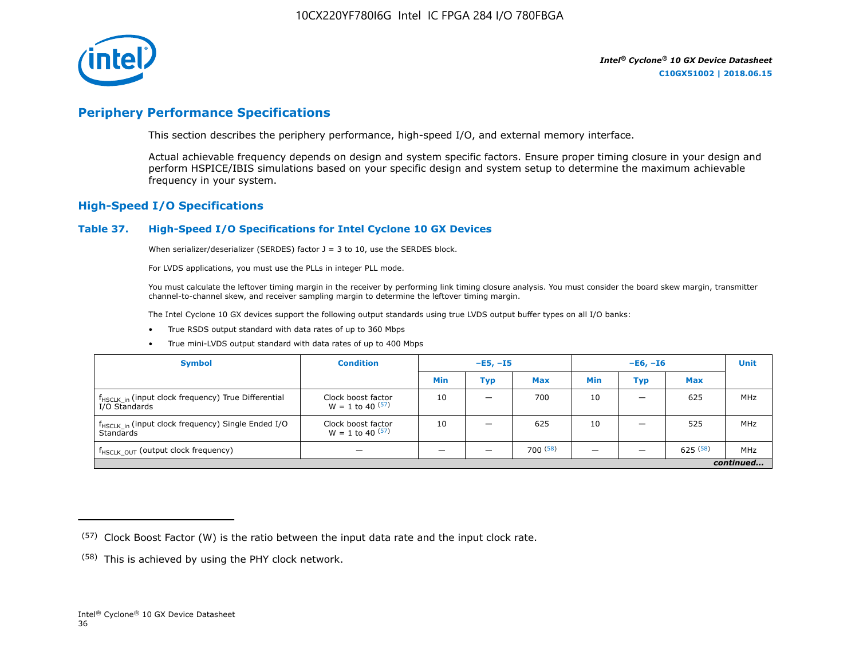

# **Periphery Performance Specifications**

This section describes the periphery performance, high-speed I/O, and external memory interface.

Actual achievable frequency depends on design and system specific factors. Ensure proper timing closure in your design and perform HSPICE/IBIS simulations based on your specific design and system setup to determine the maximum achievable frequency in your system.

# **High-Speed I/O Specifications**

#### **Table 37. High-Speed I/O Specifications for Intel Cyclone 10 GX Devices**

When serializer/deserializer (SERDES) factor  $J = 3$  to 10, use the SERDES block.

For LVDS applications, you must use the PLLs in integer PLL mode.

You must calculate the leftover timing margin in the receiver by performing link timing closure analysis. You must consider the board skew margin, transmitter channel-to-channel skew, and receiver sampling margin to determine the leftover timing margin.

The Intel Cyclone 10 GX devices support the following output standards using true LVDS output buffer types on all I/O banks:

- True RSDS output standard with data rates of up to 360 Mbps
- True mini-LVDS output standard with data rates of up to 400 Mbps

| <b>Symbol</b>                                                                    | <b>Condition</b>                           | $-E5, -15$ |                          | $-E6, -I6$ |            |     | <b>Unit</b> |     |
|----------------------------------------------------------------------------------|--------------------------------------------|------------|--------------------------|------------|------------|-----|-------------|-----|
|                                                                                  |                                            | Min        | Тур                      | <b>Max</b> | <b>Min</b> | Тур | <b>Max</b>  |     |
| f <sub>HSCLK_in</sub> (input clock frequency) True Differential<br>I/O Standards | Clock boost factor<br>$W = 1$ to 40 $(57)$ | 10         | $\overline{\phantom{0}}$ | 700        | 10         | -   | 625         | MHz |
| f <sub>HSCLK_in</sub> (input clock frequency) Single Ended I/O<br>Standards      | Clock boost factor<br>$W = 1$ to 40 $(57)$ | 10         | –                        | 625        | 10         |     | 525         | MHz |
| f <sub>HSCLK_OUT</sub> (output clock frequency)                                  |                                            |            |                          | 700(58)    |            |     | 625(58)     | MHz |
| continued                                                                        |                                            |            |                          |            |            |     |             |     |

 $(57)$  Clock Boost Factor (W) is the ratio between the input data rate and the input clock rate.

 $(58)$  This is achieved by using the PHY clock network.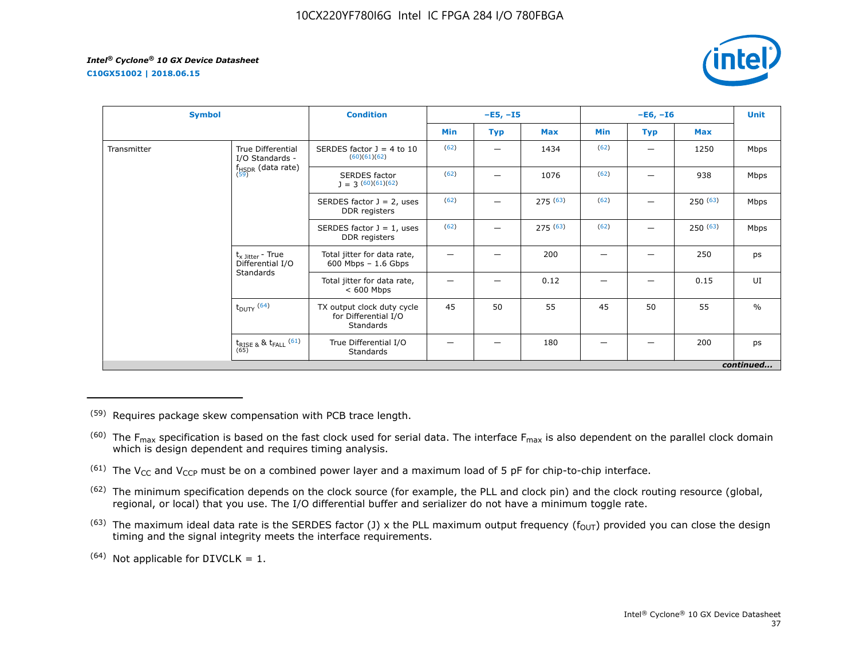**C10GX51002 | 2018.06.15**



| <b>Symbol</b> |                                                   | <b>Condition</b>                                                |      | $-E5, -I5$ |            |      | $-E6, -I6$        |         | <b>Unit</b>   |
|---------------|---------------------------------------------------|-----------------------------------------------------------------|------|------------|------------|------|-------------------|---------|---------------|
|               |                                                   |                                                                 | Min  | <b>Typ</b> | <b>Max</b> | Min  | <b>Max</b><br>Typ |         |               |
| Transmitter   | True Differential<br>I/O Standards -              | SERDES factor $J = 4$ to 10<br>(60)(61)(62)                     | (62) |            | 1434       | (62) | —                 | 1250    | Mbps          |
|               | $f_{HSDR}$ (data rate)<br>$(59)$                  | <b>SERDES</b> factor<br>$J = 3(60)(61)(62)$                     | (62) |            | 1076       | (62) |                   | 938     | Mbps          |
|               |                                                   | SERDES factor $J = 2$ , uses<br>DDR registers                   | (62) |            | 275(63)    | (62) |                   | 250(63) | Mbps          |
|               |                                                   | SERDES factor $J = 1$ , uses<br>DDR registers                   | (62) |            | 275(63)    | (62) |                   | 250(63) | Mbps          |
|               | $t_{x \text{ Jitter}}$ - True<br>Differential I/O | Total jitter for data rate,<br>$600$ Mbps $-1.6$ Gbps           |      |            | 200        | -    |                   | 250     | ps            |
|               | Standards                                         | Total jitter for data rate,<br>$< 600$ Mbps                     |      |            | 0.12       |      |                   | 0.15    | UI            |
|               | $t_{DUTY}$ (64)                                   | TX output clock duty cycle<br>for Differential I/O<br>Standards | 45   | 50         | 55         | 45   | 50                | 55      | $\frac{0}{0}$ |
|               | $t_{\text{RISE 8}}$ & $t_{\text{FALL}}$ (61)      | True Differential I/O<br>Standards                              |      |            | 180        |      |                   | 200     | ps            |
|               |                                                   |                                                                 |      |            |            |      |                   |         | continued     |

(59) Requires package skew compensation with PCB trace length.

 $^{(60)}$  The F<sub>max</sub> specification is based on the fast clock used for serial data. The interface F<sub>max</sub> is also dependent on the parallel clock domain which is design dependent and requires timing analysis.

<sup>(61)</sup> The V<sub>CC</sub> and V<sub>CCP</sub> must be on a combined power layer and a maximum load of 5 pF for chip-to-chip interface.

<sup>(62)</sup> The minimum specification depends on the clock source (for example, the PLL and clock pin) and the clock routing resource (global, regional, or local) that you use. The I/O differential buffer and serializer do not have a minimum toggle rate.

<sup>(63)</sup> The maximum ideal data rate is the SERDES factor (J) x the PLL maximum output frequency ( $f_{OUT}$ ) provided you can close the design timing and the signal integrity meets the interface requirements.

 $(64)$  Not applicable for DIVCLK = 1.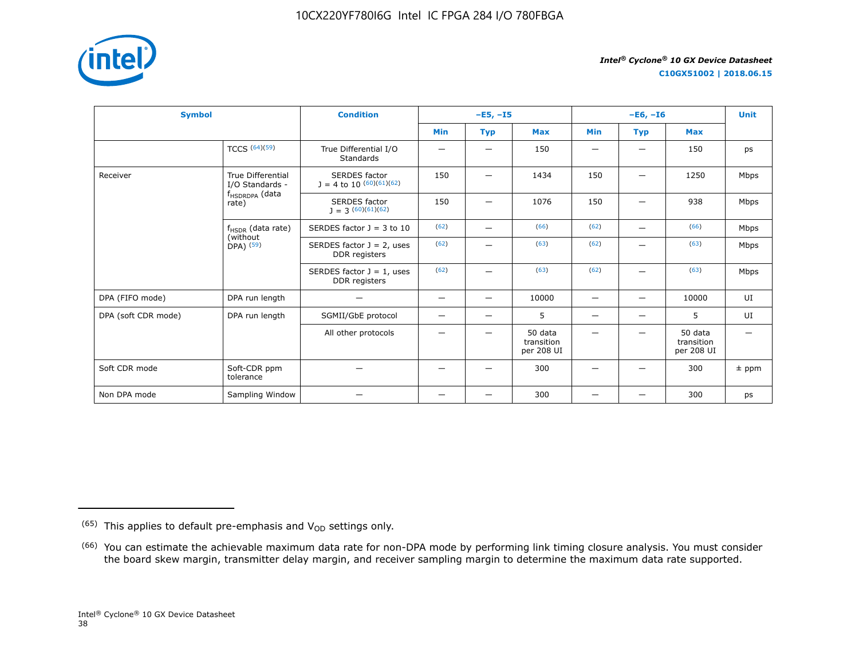

**C10GX51002 | 2018.06.15**

| <b>Symbol</b>       |                                                     | <b>Condition</b>                              |                          | $-E5, -15$               |                                     |                          | $-E6, -I6$               |                                     |         |  |
|---------------------|-----------------------------------------------------|-----------------------------------------------|--------------------------|--------------------------|-------------------------------------|--------------------------|--------------------------|-------------------------------------|---------|--|
|                     |                                                     |                                               | <b>Min</b>               | <b>Typ</b>               | <b>Max</b>                          | <b>Min</b>               | <b>Typ</b>               | <b>Max</b>                          |         |  |
|                     | TCCS $(64)(59)$                                     | True Differential I/O<br><b>Standards</b>     |                          | $\overline{\phantom{0}}$ | 150                                 | $\overline{\phantom{0}}$ | -                        | 150                                 | ps      |  |
| Receiver            | <b>True Differential</b><br>I/O Standards -         | SERDES factor<br>$J = 4$ to 10 $(60)(61)(62)$ | 150                      | $\qquad \qquad -$        | 1434                                | 150                      | $\qquad \qquad$          | 1250                                | Mbps    |  |
|                     | f <sub>HSDRDPA</sub> (data<br>rate)                 | <b>SERDES</b> factor<br>$1 = 3(60)(61)(62)$   | 150                      |                          | 1076                                | 150                      |                          | 938                                 | Mbps    |  |
|                     | $f_{HSDR}$ (data rate)<br>(without<br>$DPA)$ $(59)$ | SERDES factor $J = 3$ to 10                   | (62)                     | $\overline{\phantom{0}}$ | (66)                                | (62)                     | $\overline{\phantom{m}}$ | (66)                                | Mbps    |  |
|                     |                                                     | SERDES factor $J = 2$ , uses<br>DDR registers | (62)                     |                          | (63)                                | (62)                     |                          | (63)                                | Mbps    |  |
|                     |                                                     | SERDES factor $J = 1$ , uses<br>DDR registers | (62)                     | —                        | (63)                                | (62)                     | —                        | (63)                                | Mbps    |  |
| DPA (FIFO mode)     | DPA run length                                      | -                                             | $\overline{\phantom{m}}$ | $\overline{\phantom{0}}$ | 10000                               | $\overline{\phantom{m}}$ | $\overline{\phantom{0}}$ | 10000                               | UI      |  |
| DPA (soft CDR mode) | DPA run length                                      | SGMII/GbE protocol                            | -                        | $\qquad \qquad -$        | 5                                   | $\qquad \qquad -$        | $\overline{\phantom{0}}$ | 5                                   | UI      |  |
|                     |                                                     | All other protocols                           |                          |                          | 50 data<br>transition<br>per 208 UI |                          |                          | 50 data<br>transition<br>per 208 UI |         |  |
| Soft CDR mode       | Soft-CDR ppm<br>tolerance                           |                                               |                          |                          | 300                                 |                          |                          | 300                                 | $±$ ppm |  |
| Non DPA mode        | Sampling Window                                     |                                               | —                        | —                        | 300                                 |                          |                          | 300                                 | ps      |  |

 $(65)$  This applies to default pre-emphasis and  $V_{OD}$  settings only.

<sup>&</sup>lt;sup>(66)</sup> You can estimate the achievable maximum data rate for non-DPA mode by performing link timing closure analysis. You must consider the board skew margin, transmitter delay margin, and receiver sampling margin to determine the maximum data rate supported.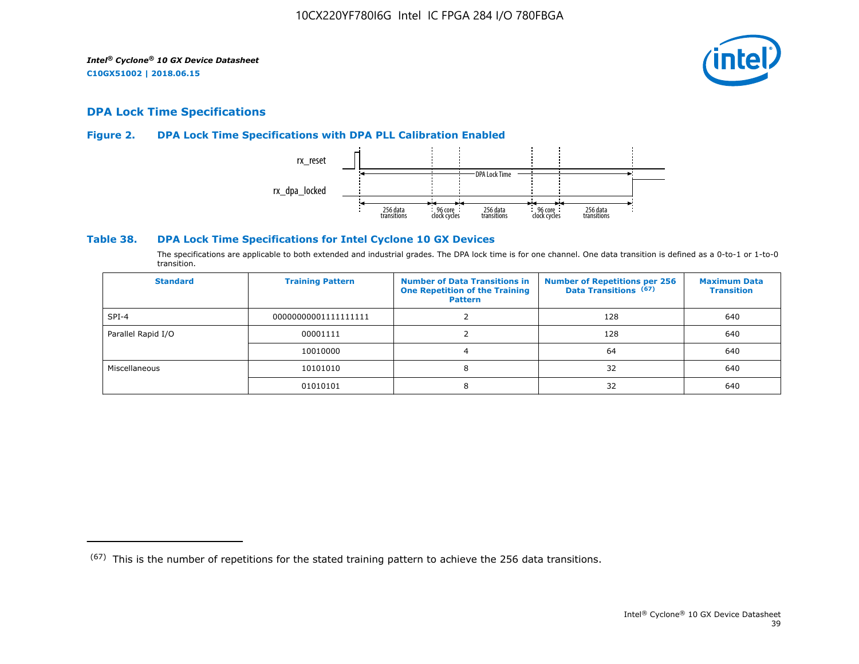

# **DPA Lock Time Specifications**

# **Figure 2. DPA Lock Time Specifications with DPA PLL Calibration Enabled**



## **Table 38. DPA Lock Time Specifications for Intel Cyclone 10 GX Devices**

The specifications are applicable to both extended and industrial grades. The DPA lock time is for one channel. One data transition is defined as a 0-to-1 or 1-to-0 transition.

| <b>Standard</b>    | <b>Training Pattern</b> | <b>Number of Data Transitions in</b><br><b>One Repetition of the Training</b><br><b>Pattern</b> | <b>Number of Repetitions per 256</b><br>Data Transitions (67) | <b>Maximum Data</b><br><b>Transition</b> |
|--------------------|-------------------------|-------------------------------------------------------------------------------------------------|---------------------------------------------------------------|------------------------------------------|
| $SPI-4$            | 00000000001111111111    |                                                                                                 | 128                                                           | 640                                      |
| Parallel Rapid I/O | 00001111                |                                                                                                 | 128                                                           | 640                                      |
|                    | 10010000                |                                                                                                 | 64                                                            | 640                                      |
| Miscellaneous      | 10101010                | 8                                                                                               | 32                                                            | 640                                      |
|                    | 01010101                | 8                                                                                               | 32                                                            | 640                                      |

 $(67)$  This is the number of repetitions for the stated training pattern to achieve the 256 data transitions.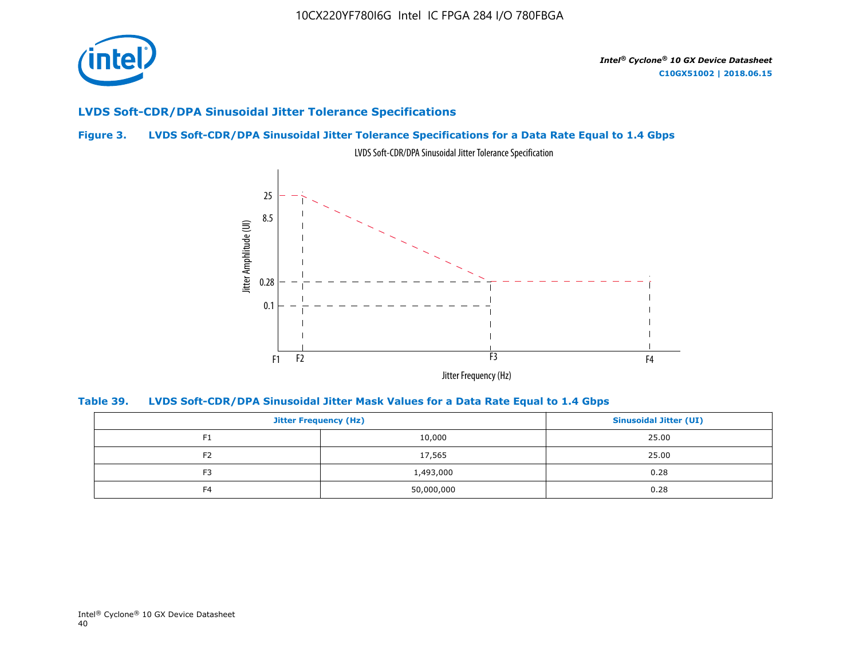

# **LVDS Soft-CDR/DPA Sinusoidal Jitter Tolerance Specifications**

# **Figure 3. LVDS Soft-CDR/DPA Sinusoidal Jitter Tolerance Specifications for a Data Rate Equal to 1.4 Gbps**



LVDS Soft-CDR/DPA Sinusoidal Jitter Tolerance Specification

**Table 39. LVDS Soft-CDR/DPA Sinusoidal Jitter Mask Values for a Data Rate Equal to 1.4 Gbps**

|                | <b>Jitter Frequency (Hz)</b> |       |  |  |  |
|----------------|------------------------------|-------|--|--|--|
| F <sub>1</sub> | 10,000                       | 25.00 |  |  |  |
| F <sub>2</sub> | 17,565                       | 25.00 |  |  |  |
| F <sub>3</sub> | 1,493,000                    | 0.28  |  |  |  |
| F <sub>4</sub> | 50,000,000                   | 0.28  |  |  |  |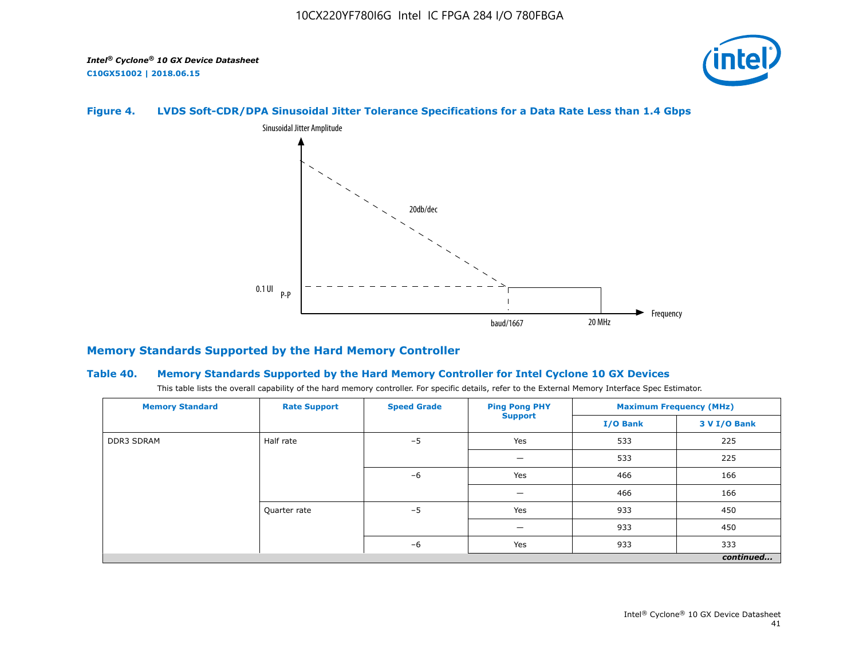

# **Figure 4. LVDS Soft-CDR/DPA Sinusoidal Jitter Tolerance Specifications for a Data Rate Less than 1.4 Gbps**



# **Memory Standards Supported by the Hard Memory Controller**

#### **Table 40. Memory Standards Supported by the Hard Memory Controller for Intel Cyclone 10 GX Devices**

This table lists the overall capability of the hard memory controller. For specific details, refer to the External Memory Interface Spec Estimator.

| <b>Memory Standard</b> | <b>Rate Support</b> | <b>Speed Grade</b> | <b>Ping Pong PHY</b> | <b>Maximum Frequency (MHz)</b> |              |  |
|------------------------|---------------------|--------------------|----------------------|--------------------------------|--------------|--|
|                        |                     |                    | <b>Support</b>       | I/O Bank                       | 3 V I/O Bank |  |
| <b>DDR3 SDRAM</b>      | Half rate           | $-5$               | Yes                  | 533                            | 225          |  |
|                        | Quarter rate        |                    | -                    | 533                            | 225          |  |
|                        |                     | $-6$<br>$-5$       | Yes                  | 466                            | 166          |  |
|                        |                     |                    | -                    | 466                            | 166          |  |
|                        |                     |                    | Yes                  | 933                            | 450          |  |
|                        |                     |                    | –                    | 933                            | 450          |  |
|                        | $-6$<br>Yes         |                    | 933                  | 333                            |              |  |
|                        |                     |                    |                      |                                | continued    |  |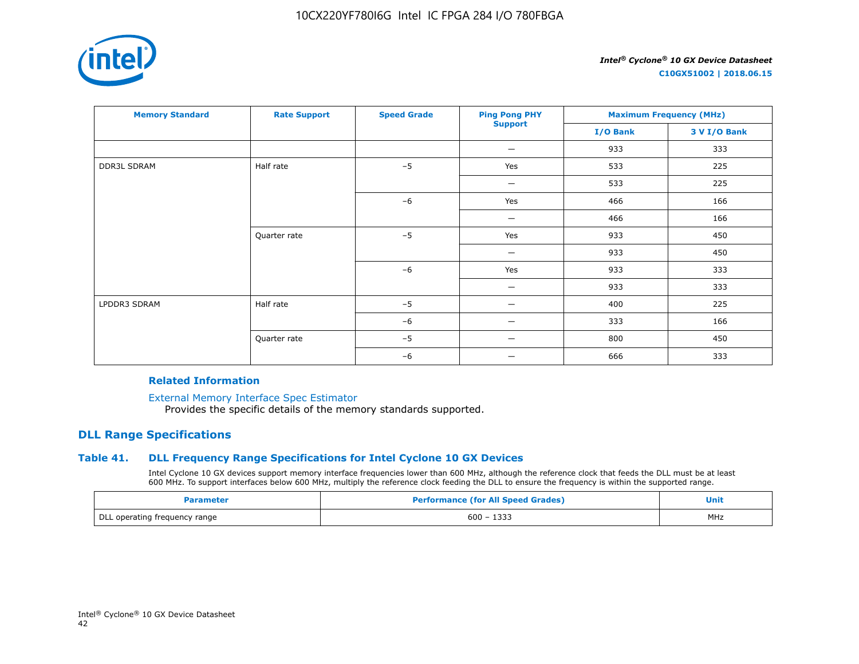

**C10GX51002 | 2018.06.15**

| <b>Memory Standard</b> | <b>Rate Support</b> | <b>Speed Grade</b> | <b>Ping Pong PHY</b>           | <b>Maximum Frequency (MHz)</b> |              |
|------------------------|---------------------|--------------------|--------------------------------|--------------------------------|--------------|
|                        |                     |                    | <b>Support</b>                 | I/O Bank                       | 3 V I/O Bank |
|                        |                     |                    | $\qquad \qquad \longleftarrow$ | 933                            | 333          |
| <b>DDR3L SDRAM</b>     | Half rate           | $-5$               | Yes                            | 533                            | 225          |
|                        |                     |                    | $\qquad \qquad \longleftarrow$ | 533                            | 225          |
|                        |                     | $-6$               | Yes                            | 466                            | 166          |
|                        |                     |                    | $\overline{\phantom{m}}$       | 466                            | 166          |
|                        | Quarter rate        | $-5$               | Yes                            | 933                            | 450          |
|                        |                     |                    | -                              | 933                            | 450          |
|                        |                     | $-6$               | Yes                            | 933                            | 333          |
|                        |                     |                    |                                | 933                            | 333          |
| LPDDR3 SDRAM           | Half rate           | $-5$               |                                | 400                            | 225          |
|                        |                     | $-6$               | -                              | 333                            | 166          |
|                        | Quarter rate        | $-5$               |                                | 800                            | 450          |
|                        |                     | $-6$               | -                              | 666                            | 333          |

#### **Related Information**

[External Memory Interface Spec Estimator](https://www.altera.com/products/intellectual-property/best-in-class-ip/external-memory/support-selector.html)

Provides the specific details of the memory standards supported.

# **DLL Range Specifications**

# **Table 41. DLL Frequency Range Specifications for Intel Cyclone 10 GX Devices**

Intel Cyclone 10 GX devices support memory interface frequencies lower than 600 MHz, although the reference clock that feeds the DLL must be at least 600 MHz. To support interfaces below 600 MHz, multiply the reference clock feeding the DLL to ensure the frequency is within the supported range.

| Parameter                     | <b>Performance (for All Speed Grades)</b> | Unit |
|-------------------------------|-------------------------------------------|------|
| DLL operating frequency range | $600 - 1333$                              | MHz  |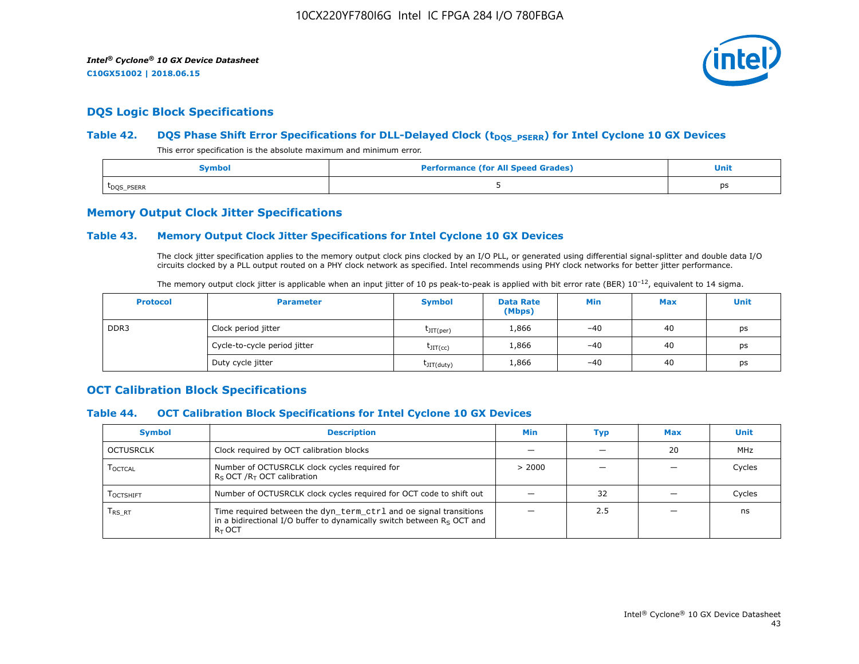

# **DQS Logic Block Specifications**

## Table 42. **DQS Phase Shift Error Specifications for DLL-Delayed Clock (t<sub>DQS\_PSERR</sub>) for Intel Cyclone 10 GX Devices**

This error specification is the absolute maximum and minimum error.

| Symbol                  | <b>Performance (for All Speed Grades)</b> | <b>Unit</b> |
|-------------------------|-------------------------------------------|-------------|
| t <sub>DQS</sub> _PSERR |                                           | ps          |

# **Memory Output Clock Jitter Specifications**

## **Table 43. Memory Output Clock Jitter Specifications for Intel Cyclone 10 GX Devices**

The clock jitter specification applies to the memory output clock pins clocked by an I/O PLL, or generated using differential signal-splitter and double data I/O circuits clocked by a PLL output routed on a PHY clock network as specified. Intel recommends using PHY clock networks for better jitter performance.

|  |  | The memory output clock jitter is applicable when an input jitter of 10 ps peak-to-peak is applied with bit error rate (BER) $10^{-12}$ , equivalent to 14 sigma. |
|--|--|-------------------------------------------------------------------------------------------------------------------------------------------------------------------|
|--|--|-------------------------------------------------------------------------------------------------------------------------------------------------------------------|

| <b>Protocol</b> | <b>Parameter</b>             | <b>Symbol</b>           | <b>Data Rate</b><br>(Mbps) | Min   | <b>Max</b> | Unit |
|-----------------|------------------------------|-------------------------|----------------------------|-------|------------|------|
| DDR3            | Clock period jitter          | $t_{\text{JIT(per)}}$   | 1,866                      | $-40$ | 40         | ps   |
|                 | Cycle-to-cycle period jitter | $\tau_{\text{JIT(cc)}}$ | 1,866                      | $-40$ | 40         | ps   |
|                 | Duty cycle jitter            | $t$ JIT $(duty)$        | 1,866                      | $-40$ | 40         | ps   |

# **OCT Calibration Block Specifications**

## **Table 44. OCT Calibration Block Specifications for Intel Cyclone 10 GX Devices**

| <b>Symbol</b>                 | <b>Description</b>                                                                                                                                         | Min    | Typ | <b>Max</b> | Unit   |
|-------------------------------|------------------------------------------------------------------------------------------------------------------------------------------------------------|--------|-----|------------|--------|
| OCTUSRCLK                     | Clock required by OCT calibration blocks                                                                                                                   |        |     | 20         | MHz    |
| <b>LOCTCAL</b>                | Number of OCTUSRCLK clock cycles required for<br>$R_S$ OCT / $R_T$ OCT calibration                                                                         | > 2000 |     |            | Cycles |
| <b>LOCTSHIFT</b>              | Number of OCTUSRCLK clock cycles required for OCT code to shift out                                                                                        |        | 32  |            | Cycles |
| $\mathsf{T}_{\mathsf{RS-RT}}$ | Time required between the dyn_term_ctrl and oe signal transitions<br>in a bidirectional I/O buffer to dynamically switch between $Rs$ OCT and<br>$R_T$ OCT |        | 2.5 |            | ns     |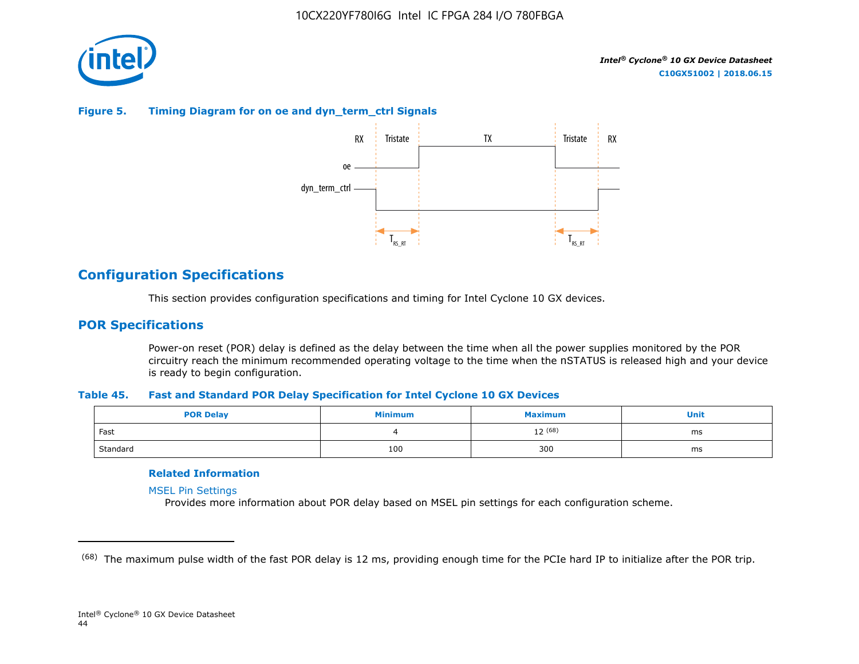

# **Figure 5. Timing Diagram for on oe and dyn\_term\_ctrl Signals**



# **Configuration Specifications**

This section provides configuration specifications and timing for Intel Cyclone 10 GX devices.

# **POR Specifications**

Power-on reset (POR) delay is defined as the delay between the time when all the power supplies monitored by the POR circuitry reach the minimum recommended operating voltage to the time when the nSTATUS is released high and your device is ready to begin configuration.

#### **Table 45. Fast and Standard POR Delay Specification for Intel Cyclone 10 GX Devices**

| <b>POR Delay</b> | Minimum | Maximum | Unit |
|------------------|---------|---------|------|
| Fast             |         | 12 (68) | ms   |
| Standard         | 100     | 300     | ms   |

# **Related Information**

[MSEL Pin Settings](https://www.altera.com/documentation/vua1487061384661.html#qui1490602367330)

Provides more information about POR delay based on MSEL pin settings for each configuration scheme.

<sup>&</sup>lt;sup>(68)</sup> The maximum pulse width of the fast POR delay is 12 ms, providing enough time for the PCIe hard IP to initialize after the POR trip.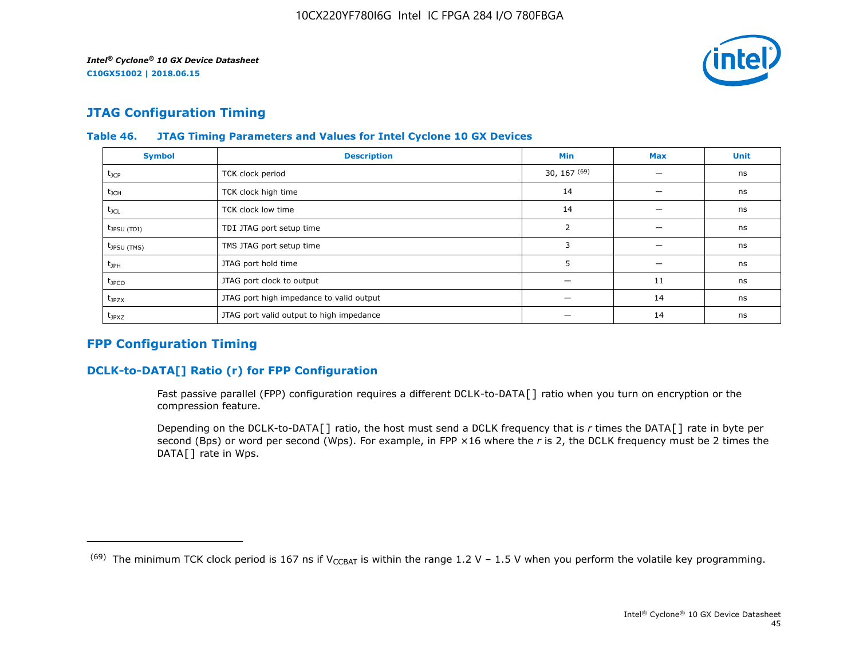

# **JTAG Configuration Timing**

| <b>Symbol</b>     | <b>Description</b>                       | Min              | <b>Max</b> | <b>Unit</b> |
|-------------------|------------------------------------------|------------------|------------|-------------|
| $t_{\text{JCP}}$  | TCK clock period                         | $30, 167^{(69)}$ |            | ns          |
| $t_{\rm JCH}$     | TCK clock high time                      | 14               |            | ns          |
| $t_{\text{JCL}}$  | TCK clock low time                       | 14               |            | ns          |
| $t_{JPSU(TDI)}$   | TDI JTAG port setup time                 | 2                |            | ns          |
| $t_{JPSU(TMS)}$   | TMS JTAG port setup time                 | 3                |            | ns          |
| $t_{\rm JPH}$     | JTAG port hold time                      | כ                |            | ns          |
| $t_{\text{JPCO}}$ | JTAG port clock to output                |                  | 11         | ns          |
| $t_{JPZX}$        | JTAG port high impedance to valid output |                  | 14         | ns          |
| $t_{JPXZ}$        | JTAG port valid output to high impedance |                  | 14         | ns          |

# **Table 46. JTAG Timing Parameters and Values for Intel Cyclone 10 GX Devices**

# **FPP Configuration Timing**

# **DCLK-to-DATA[] Ratio (r) for FPP Configuration**

Fast passive parallel (FPP) configuration requires a different DCLK-to-DATA[] ratio when you turn on encryption or the compression feature.

Depending on the DCLK-to-DATA[] ratio, the host must send a DCLK frequency that is *r* times the DATA[] rate in byte per second (Bps) or word per second (Wps). For example, in FPP ×16 where the *r* is 2, the DCLK frequency must be 2 times the DATA[] rate in Wps.

<sup>&</sup>lt;sup>(69)</sup> The minimum TCK clock period is 167 ns if V<sub>CCBAT</sub> is within the range 1.2 V – 1.5 V when you perform the volatile key programming.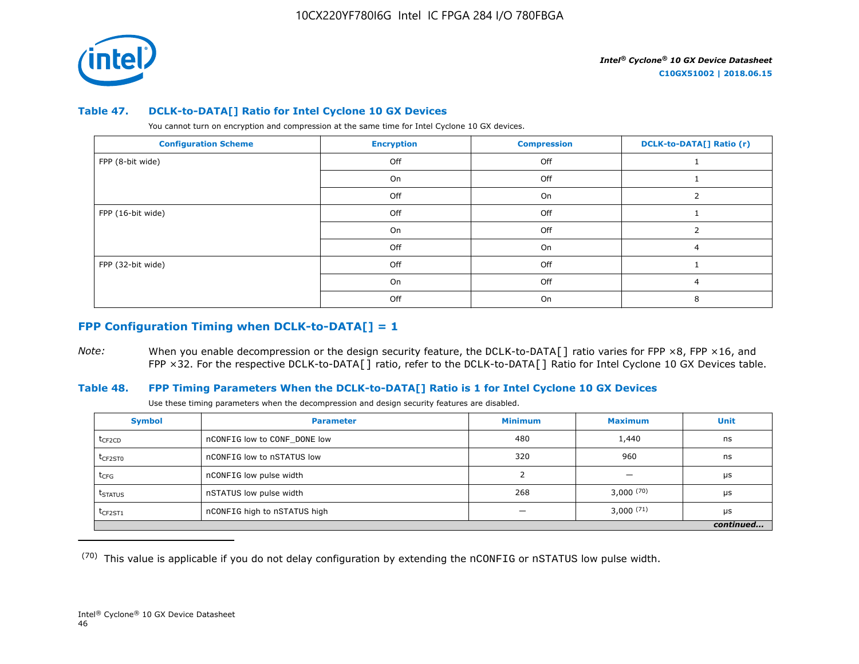

#### **Table 47. DCLK-to-DATA[] Ratio for Intel Cyclone 10 GX Devices**

You cannot turn on encryption and compression at the same time for Intel Cyclone 10 GX devices.

| <b>Configuration Scheme</b> | <b>Encryption</b> | <b>Compression</b> | <b>DCLK-to-DATA[] Ratio (r)</b> |
|-----------------------------|-------------------|--------------------|---------------------------------|
| FPP (8-bit wide)            | Off               | Off                |                                 |
|                             | On                | Off                |                                 |
|                             | Off               | On                 |                                 |
| FPP (16-bit wide)           | Off               | Off                |                                 |
|                             | On                | Off                |                                 |
|                             | Off               | On                 |                                 |
| FPP (32-bit wide)           | Off               | Off                |                                 |
|                             | On                | Off                | 4                               |
|                             | Off               | On                 |                                 |

# **FPP Configuration Timing when DCLK-to-DATA[] = 1**

*Note:* When you enable decompression or the design security feature, the DCLK-to-DATA[] ratio varies for FPP ×8, FPP ×16, and FPP ×32. For the respective DCLK-to-DATA[] ratio, refer to the DCLK-to-DATA[] Ratio for Intel Cyclone 10 GX Devices table.

# **Table 48. FPP Timing Parameters When the DCLK-to-DATA[] Ratio is 1 for Intel Cyclone 10 GX Devices**

Use these timing parameters when the decompression and design security features are disabled.

| <b>Symbol</b>       | <b>Parameter</b>             | <b>Minimum</b> | <b>Maximum</b>           | Unit      |
|---------------------|------------------------------|----------------|--------------------------|-----------|
| t <sub>CF2CD</sub>  | nCONFIG low to CONF DONE low | 480            | 1,440                    | ns        |
| t <sub>CF2ST0</sub> | nCONFIG low to nSTATUS low   | 320            | 960                      | ns        |
| $t_{CFG}$           | nCONFIG low pulse width      |                | $\overline{\phantom{0}}$ | μs        |
| t <sub>STATUS</sub> | nSTATUS low pulse width      | 268            | 3,000(70)                | μs        |
| $t$ CF2ST1          | nCONFIG high to nSTATUS high |                | $3,000^{(71)}$           | μs        |
|                     |                              |                |                          | continued |

 $(70)$  This value is applicable if you do not delay configuration by extending the nCONFIG or nSTATUS low pulse width.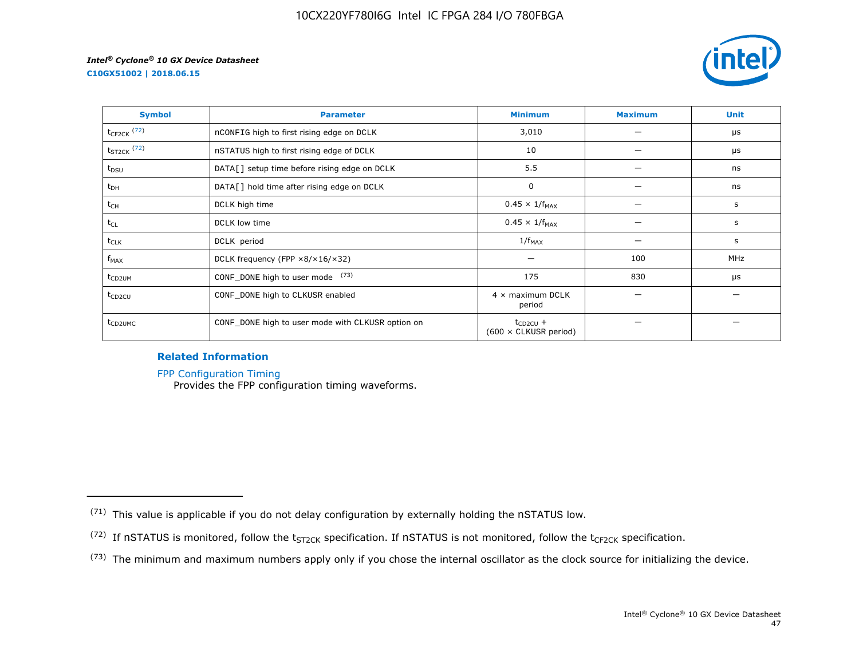



| <b>Symbol</b>       | <b>Parameter</b>                                     | <b>Minimum</b>                                | <b>Maximum</b> | <b>Unit</b> |
|---------------------|------------------------------------------------------|-----------------------------------------------|----------------|-------------|
| $t_{CF2CK}$ (72)    | nCONFIG high to first rising edge on DCLK            | 3,010                                         |                | μs          |
| $t_{ST2CK}$ (72)    | nSTATUS high to first rising edge of DCLK            | 10                                            |                | μs          |
| t <sub>DSU</sub>    | DATA[] setup time before rising edge on DCLK         | 5.5                                           |                | ns          |
| $t_{DH}$            | DATA[] hold time after rising edge on DCLK           | 0                                             |                | ns          |
| t <sub>CH</sub>     | DCLK high time                                       | $0.45 \times 1/f_{MAX}$                       |                | s           |
| $t_{CL}$            | DCLK low time                                        | $0.45 \times 1/f_{MAX}$                       |                | s           |
| $t_{CLK}$           | DCLK period                                          | $1/f_{MAX}$                                   |                | s           |
| $f_{MAX}$           | DCLK frequency (FPP $\times 8/\times 16/\times 32$ ) |                                               | 100            | <b>MHz</b>  |
| t <sub>CD2UM</sub>  | CONF_DONE high to user mode (73)                     | 175                                           | 830            | μs          |
| $t_{CD2CU}$         | CONF_DONE high to CLKUSR enabled                     | $4 \times$ maximum DCLK<br>period             |                |             |
| t <sub>CD2UMC</sub> | CONF_DONE high to user mode with CLKUSR option on    | $t_{CD2CU}$ +<br>$(600 \times$ CLKUSR period) |                |             |

# **Related Information**

[FPP Configuration Timing](https://www.altera.com/documentation/vua1487061384661.html#sss1425901817612)

Provides the FPP configuration timing waveforms.

<sup>(71)</sup> This value is applicable if you do not delay configuration by externally holding the nSTATUS low.

<sup>(72)</sup> If nSTATUS is monitored, follow the  $t_{ST2CK}$  specification. If nSTATUS is not monitored, follow the  $t_{CF2CK}$  specification.

<sup>(73)</sup> The minimum and maximum numbers apply only if you chose the internal oscillator as the clock source for initializing the device.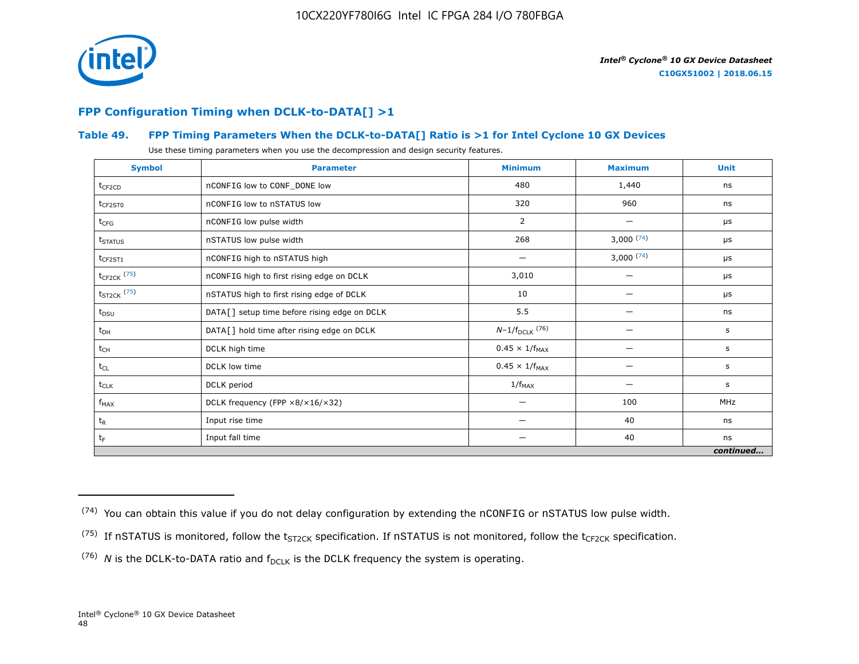

# **FPP Configuration Timing when DCLK-to-DATA[] >1**

# **Table 49. FPP Timing Parameters When the DCLK-to-DATA[] Ratio is >1 for Intel Cyclone 10 GX Devices**

Use these timing parameters when you use the decompression and design security features.

| <b>Symbol</b>       | <b>Parameter</b>                             | <b>Minimum</b>          | <b>Maximum</b> | <b>Unit</b> |
|---------------------|----------------------------------------------|-------------------------|----------------|-------------|
| $t_{CF2CD}$         | nCONFIG low to CONF_DONE low                 | 480                     | 1,440          | ns          |
| $t_{CF2ST0}$        | nCONFIG low to nSTATUS low                   | 320                     | 960            | ns          |
| $t_{CFG}$           | nCONFIG low pulse width                      | 2                       |                | μs          |
| t <sub>STATUS</sub> | nSTATUS low pulse width                      | 268                     | 3,000(74)      | μs          |
| $t_{CF2ST1}$        | nCONFIG high to nSTATUS high                 |                         | 3,000(74)      | μs          |
| $t_{CF2CK}$ (75)    | nCONFIG high to first rising edge on DCLK    | 3,010                   |                | $\mu$ s     |
| $t_{ST2CK}$ (75)    | nSTATUS high to first rising edge of DCLK    | 10                      |                | μs          |
| $t_{DSU}$           | DATA[] setup time before rising edge on DCLK | 5.5                     |                | ns          |
| $t_{DH}$            | DATA[] hold time after rising edge on DCLK   | $N-1/f_{DCLK}$ (76)     |                | s           |
| $t_{CH}$            | DCLK high time                               | $0.45 \times 1/f_{MAX}$ |                | s           |
| $t_{CL}$            | DCLK low time                                | $0.45 \times 1/f_{MAX}$ | —              | s           |
| $t_{CLK}$           | DCLK period                                  | $1/f_{MAX}$             |                | s           |
| $f_{MAX}$           | DCLK frequency (FPP ×8/×16/×32)              | -                       | 100            | <b>MHz</b>  |
| $t_{R}$             | Input rise time                              | -                       | 40             | ns          |
| $t_F$               | Input fall time                              | -                       | 40             | ns          |
|                     |                                              |                         |                | continued   |

 $(74)$  You can obtain this value if you do not delay configuration by extending the nCONFIG or nSTATUS low pulse width.

<sup>&</sup>lt;sup>(75)</sup> If nSTATUS is monitored, follow the  $t_{ST2CK}$  specification. If nSTATUS is not monitored, follow the  $t_{CF2CK}$  specification.

<sup>(76)</sup> *N* is the DCLK-to-DATA ratio and  $f_{DCLK}$  is the DCLK frequency the system is operating.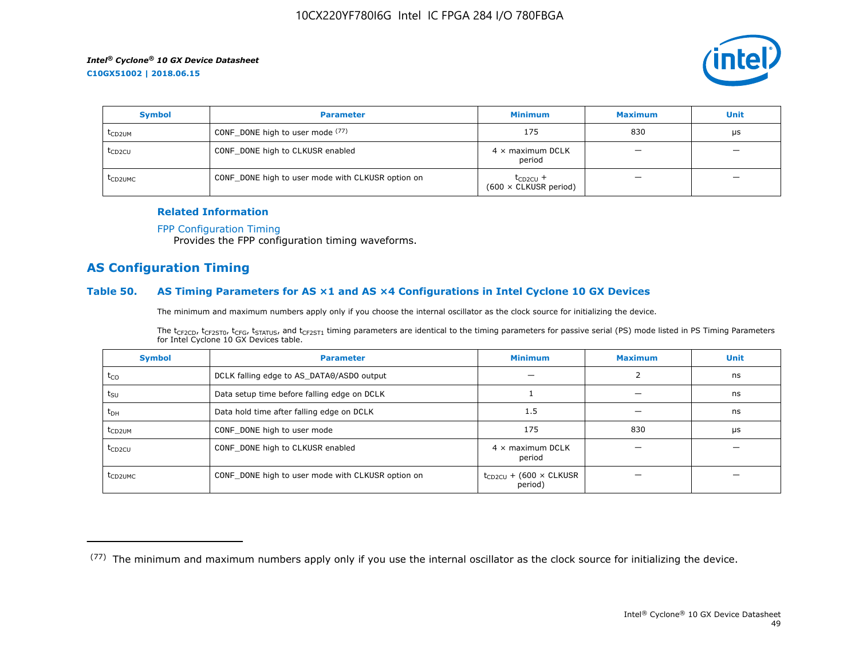

| <b>Symbol</b>       | <b>Parameter</b>                                  | <b>Minimum</b>                                | <b>Maximum</b> | <b>Unit</b>              |
|---------------------|---------------------------------------------------|-----------------------------------------------|----------------|--------------------------|
| t <sub>CD2UM</sub>  | CONF_DONE high to user mode $(77)$                | 175                                           | 830            | μs                       |
| t <sub>CD2CU</sub>  | CONF_DONE high to CLKUSR enabled                  | $4 \times$ maximum DCLK<br>period             | –              | $\overline{\phantom{0}}$ |
| t <sub>CD2UMC</sub> | CONF_DONE high to user mode with CLKUSR option on | $t_{CD2CU}$ +<br>$(600 \times$ CLKUSR period) |                | -                        |

#### **Related Information**

#### [FPP Configuration Timing](https://www.altera.com/documentation/vua1487061384661.html#sss1425901817612)

Provides the FPP configuration timing waveforms.

# **AS Configuration Timing**

#### **Table 50. AS Timing Parameters for AS ×1 and AS ×4 Configurations in Intel Cyclone 10 GX Devices**

The minimum and maximum numbers apply only if you choose the internal oscillator as the clock source for initializing the device.

The t<sub>CF2CD</sub>, t<sub>CF2ST0</sub>, t<sub>CFG</sub>, t<sub>STATUS</sub>, and t<sub>CF2ST1</sub> timing parameters are identical to the timing parameters for passive serial (PS) mode listed in PS Timing Parameters for Intel Cyclone 10 GX Devices table.

| <b>Symbol</b>       | <b>Parameter</b>                                  | <b>Minimum</b>                                | <b>Maximum</b> | <b>Unit</b> |
|---------------------|---------------------------------------------------|-----------------------------------------------|----------------|-------------|
| $t_{CO}$            | DCLK falling edge to AS_DATA0/ASDO output         |                                               |                | ns          |
| $t_{\text{SU}}$     | Data setup time before falling edge on DCLK       |                                               |                | ns          |
| $t_{DH}$            | Data hold time after falling edge on DCLK         | 1.5                                           |                | ns          |
| t <sub>CD2UM</sub>  | CONF_DONE high to user mode                       | 175                                           | 830            | μs          |
| $t_{CD2CU}$         | CONF_DONE high to CLKUSR enabled                  | $4 \times$ maximum DCLK<br>period             |                |             |
| t <sub>CD2UMC</sub> | CONF_DONE high to user mode with CLKUSR option on | $t_{CD2CU}$ + (600 $\times$ CLKUSR<br>period) |                |             |

<sup>(77)</sup> The minimum and maximum numbers apply only if you use the internal oscillator as the clock source for initializing the device.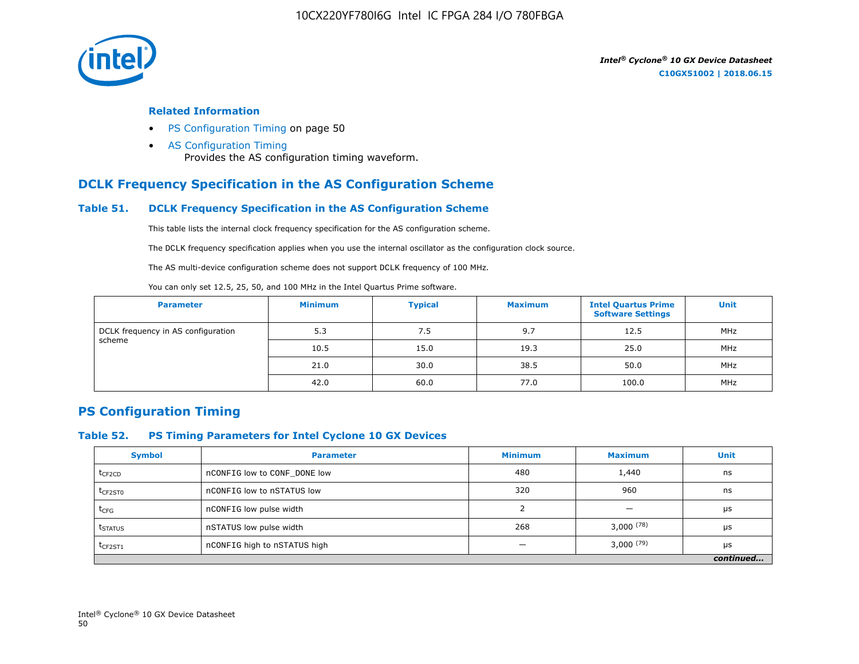

#### **Related Information**

- PS Configuration Timing on page 50
- [AS Configuration Timing](https://www.altera.com/documentation/vua1487061384661.html#sss1425901879133) Provides the AS configuration timing waveform.

# **DCLK Frequency Specification in the AS Configuration Scheme**

## **Table 51. DCLK Frequency Specification in the AS Configuration Scheme**

This table lists the internal clock frequency specification for the AS configuration scheme.

The DCLK frequency specification applies when you use the internal oscillator as the configuration clock source.

The AS multi-device configuration scheme does not support DCLK frequency of 100 MHz.

You can only set 12.5, 25, 50, and 100 MHz in the Intel Quartus Prime software.

| <b>Parameter</b>                   | <b>Minimum</b> | <b>Typical</b> | <b>Maximum</b> | <b>Intel Quartus Prime</b><br><b>Software Settings</b> | <b>Unit</b> |
|------------------------------------|----------------|----------------|----------------|--------------------------------------------------------|-------------|
| DCLK frequency in AS configuration | 5.3            | 7.5            | 9.7            | 12.5                                                   | MHz         |
| scheme                             | 10.5           | 15.0           | 19.3           | 25.0                                                   | MHz         |
|                                    | 21.0           | 30.0           | 38.5           | 50.0                                                   | MHz         |
|                                    | 42.0           | 60.0           | 77.0           | 100.0                                                  | MHz         |

# **PS Configuration Timing**

## **Table 52. PS Timing Parameters for Intel Cyclone 10 GX Devices**

| <b>Symbol</b>       | <b>Parameter</b>             | <b>Minimum</b> | <b>Maximum</b> | <b>Unit</b> |
|---------------------|------------------------------|----------------|----------------|-------------|
| $t_{CF2CD}$         | nCONFIG low to CONF DONE low | 480            | 1,440          | ns          |
| t <sub>CF2ST0</sub> | nCONFIG low to nSTATUS low   | 320            | 960            | ns          |
| $t_{CFG}$           | nCONFIG low pulse width      |                |                | μs          |
| t <sub>STATUS</sub> | nSTATUS low pulse width      | 268            | $3,000^{(78)}$ | μs          |
| $t_{CF2ST1}$        | nCONFIG high to nSTATUS high |                | $3,000^{(79)}$ | μs          |
|                     |                              |                |                | continued   |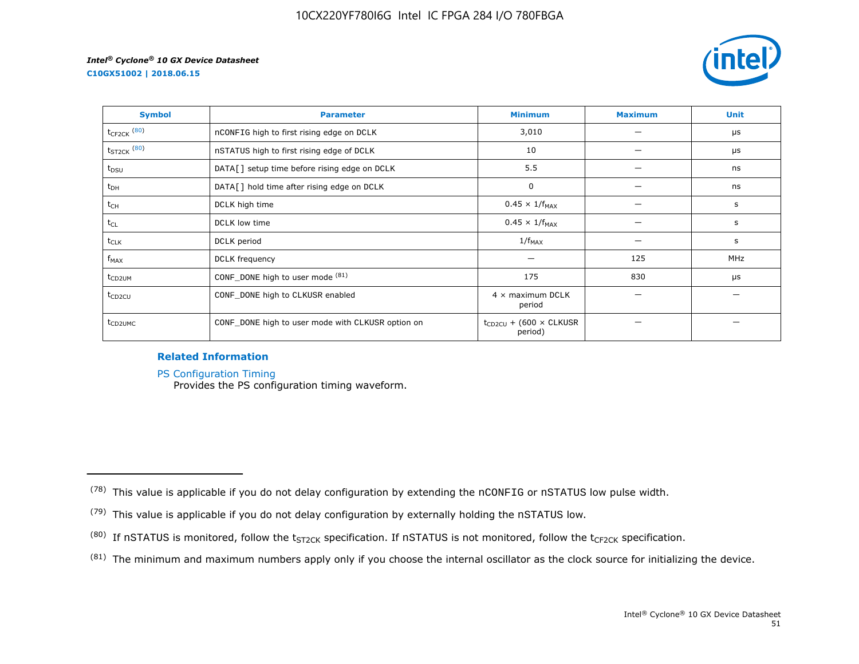**C10GX51002 | 2018.06.15**



| <b>Symbol</b>       | <b>Parameter</b>                                  | <b>Minimum</b>                                | <b>Maximum</b> | <b>Unit</b> |
|---------------------|---------------------------------------------------|-----------------------------------------------|----------------|-------------|
| $t_{CF2CK}$ $(80)$  | nCONFIG high to first rising edge on DCLK         | 3,010                                         |                | μs          |
| $t_{ST2CK}$ $(80)$  | nSTATUS high to first rising edge of DCLK         | 10                                            |                | μs          |
| $t_{DSU}$           | DATA[] setup time before rising edge on DCLK      | 5.5                                           |                | ns          |
| $t_{DH}$            | DATA[] hold time after rising edge on DCLK        | 0                                             |                | ns          |
| t <sub>CH</sub>     | DCLK high time                                    | $0.45 \times 1/f_{MAX}$                       |                | s           |
| $t_{CL}$            | DCLK low time                                     | $0.45 \times 1/f_{MAX}$                       |                | s           |
| $t_{CLK}$           | DCLK period                                       | $1/f_{MAX}$                                   |                | s           |
| $f_{MAX}$           | DCLK frequency                                    |                                               | 125            | MHz         |
| t <sub>CD2UM</sub>  | CONF_DONE high to user mode (81)                  | 175                                           | 830            | μs          |
| t <sub>CD2CU</sub>  | CONF_DONE high to CLKUSR enabled                  | $4 \times$ maximum DCLK<br>period             |                |             |
| t <sub>CD2UMC</sub> | CONF_DONE high to user mode with CLKUSR option on | $t_{CD2CU}$ + (600 $\times$ CLKUSR<br>period) |                |             |

# **Related Information**

[PS Configuration Timing](https://www.altera.com/documentation/vua1487061384661.html#sss1425901911993)

Provides the PS configuration timing waveform.

 $(81)$  The minimum and maximum numbers apply only if you choose the internal oscillator as the clock source for initializing the device.

 $(78)$  This value is applicable if you do not delay configuration by extending the nCONFIG or nSTATUS low pulse width.

<sup>(79)</sup> This value is applicable if you do not delay configuration by externally holding the nSTATUS low.

<sup>(80)</sup> If nSTATUS is monitored, follow the  $t_{ST2CK}$  specification. If nSTATUS is not monitored, follow the  $t_{CF2CK}$  specification.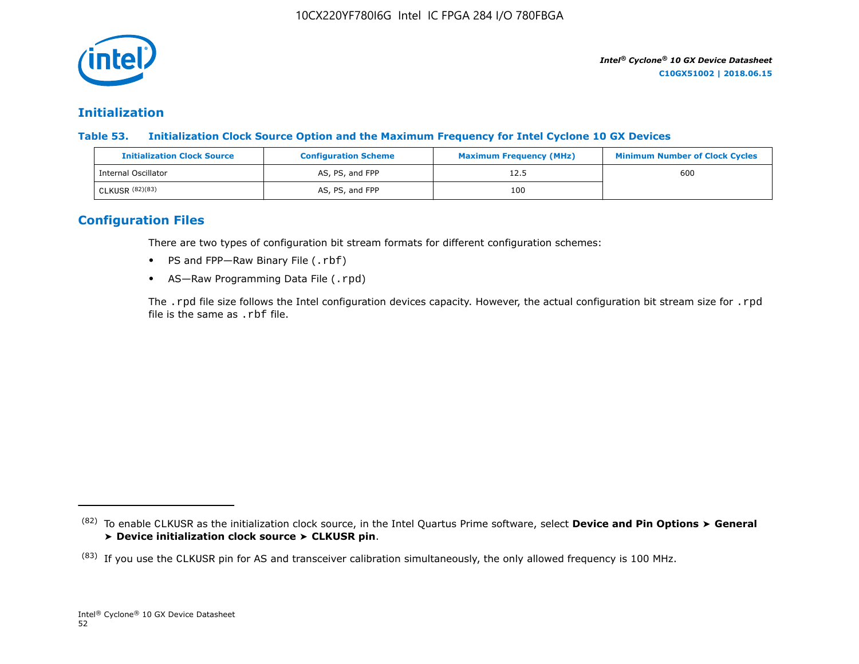

# **Initialization**

**Table 53. Initialization Clock Source Option and the Maximum Frequency for Intel Cyclone 10 GX Devices**

| <b>Initialization Clock Source</b> | <b>Configuration Scheme</b> | <b>Maximum Frequency (MHz)</b> | <b>Minimum Number of Clock Cycles</b> |
|------------------------------------|-----------------------------|--------------------------------|---------------------------------------|
| Internal Oscillator                | AS, PS, and FPP             | 12.5                           | 600                                   |
| CLKUSR (82)(83)                    | AS, PS, and FPP             | 100                            |                                       |

# **Configuration Files**

There are two types of configuration bit stream formats for different configuration schemes:

- PS and FPP-Raw Binary File (.rbf)
- AS-Raw Programming Data File (.rpd)

The .rpd file size follows the Intel configuration devices capacity. However, the actual configuration bit stream size for .rpd file is the same as .rbf file.

<sup>(82)</sup> To enable CLKUSR as the initialization clock source, in the Intel Quartus Prime software, select **Device and Pin Options** ➤ **General** ➤ **Device initialization clock source** ➤ **CLKUSR pin**.

 $(83)$  If you use the CLKUSR pin for AS and transceiver calibration simultaneously, the only allowed frequency is 100 MHz.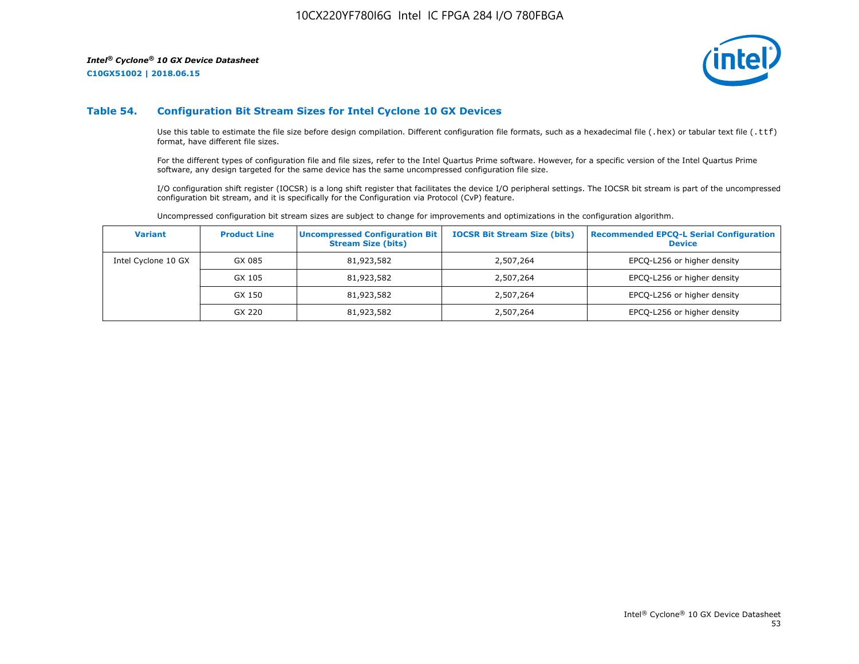**C10GX51002 | 2018.06.15**



#### **Table 54. Configuration Bit Stream Sizes for Intel Cyclone 10 GX Devices**

Use this table to estimate the file size before design compilation. Different configuration file formats, such as a hexadecimal file (.hex) or tabular text file (.ttf) format, have different file sizes.

For the different types of configuration file and file sizes, refer to the Intel Quartus Prime software. However, for a specific version of the Intel Quartus Prime software, any design targeted for the same device has the same uncompressed configuration file size.

I/O configuration shift register (IOCSR) is a long shift register that facilitates the device I/O peripheral settings. The IOCSR bit stream is part of the uncompressed configuration bit stream, and it is specifically for the Configuration via Protocol (CvP) feature.

Uncompressed configuration bit stream sizes are subject to change for improvements and optimizations in the configuration algorithm.

| <b>Variant</b>      | <b>Product Line</b> | <b>Uncompressed Configuration Bit</b><br><b>Stream Size (bits)</b> | <b>IOCSR Bit Stream Size (bits)</b> | <b>Recommended EPCO-L Serial Configuration</b><br><b>Device</b> |
|---------------------|---------------------|--------------------------------------------------------------------|-------------------------------------|-----------------------------------------------------------------|
| Intel Cyclone 10 GX | GX 085              | 81,923,582                                                         | 2,507,264                           | EPCQ-L256 or higher density                                     |
|                     | GX 105              | 81,923,582                                                         | 2,507,264                           | EPCQ-L256 or higher density                                     |
|                     | GX 150              | 81,923,582                                                         | 2,507,264                           | EPCQ-L256 or higher density                                     |
|                     | GX 220              | 81,923,582                                                         | 2,507,264                           | EPCQ-L256 or higher density                                     |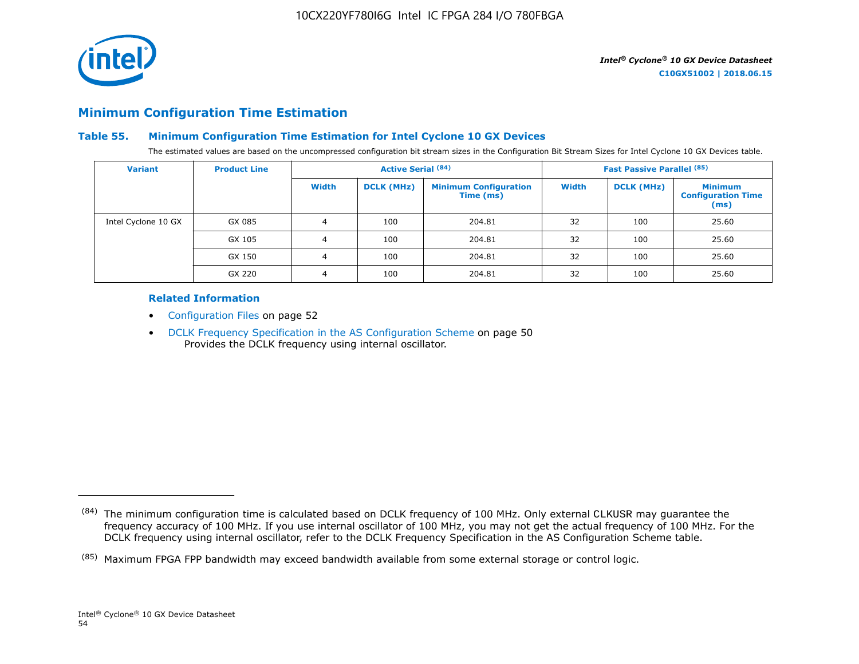

# **Minimum Configuration Time Estimation**

# **Table 55. Minimum Configuration Time Estimation for Intel Cyclone 10 GX Devices**

The estimated values are based on the uncompressed configuration bit stream sizes in the Configuration Bit Stream Sizes for Intel Cyclone 10 GX Devices table.

| <b>Variant</b>      | <b>Product Line</b> |       | <b>Active Serial (84)</b> |                                           |              | <b>Fast Passive Parallel (85)</b> |                                                     |
|---------------------|---------------------|-------|---------------------------|-------------------------------------------|--------------|-----------------------------------|-----------------------------------------------------|
|                     |                     | Width | <b>DCLK (MHz)</b>         | <b>Minimum Configuration</b><br>Time (ms) | <b>Width</b> | <b>DCLK (MHz)</b>                 | <b>Minimum</b><br><b>Configuration Time</b><br>(ms) |
| Intel Cyclone 10 GX | GX 085              | 4     | 100                       | 204.81                                    | 32           | 100                               | 25.60                                               |
|                     | GX 105              | 4     | 100                       | 204.81                                    | 32           | 100                               | 25.60                                               |
|                     | GX 150              | 4     | 100                       | 204.81                                    | 32           | 100                               | 25.60                                               |
|                     | GX 220              | 4     | 100                       | 204.81                                    | 32           | 100                               | 25.60                                               |

#### **Related Information**

- Configuration Files on page 52
- DCLK Frequency Specification in the AS Configuration Scheme on page 50 Provides the DCLK frequency using internal oscillator.

<sup>(84)</sup> The minimum configuration time is calculated based on DCLK frequency of 100 MHz. Only external CLKUSR may guarantee the frequency accuracy of 100 MHz. If you use internal oscillator of 100 MHz, you may not get the actual frequency of 100 MHz. For the DCLK frequency using internal oscillator, refer to the DCLK Frequency Specification in the AS Configuration Scheme table.

<sup>(85)</sup> Maximum FPGA FPP bandwidth may exceed bandwidth available from some external storage or control logic.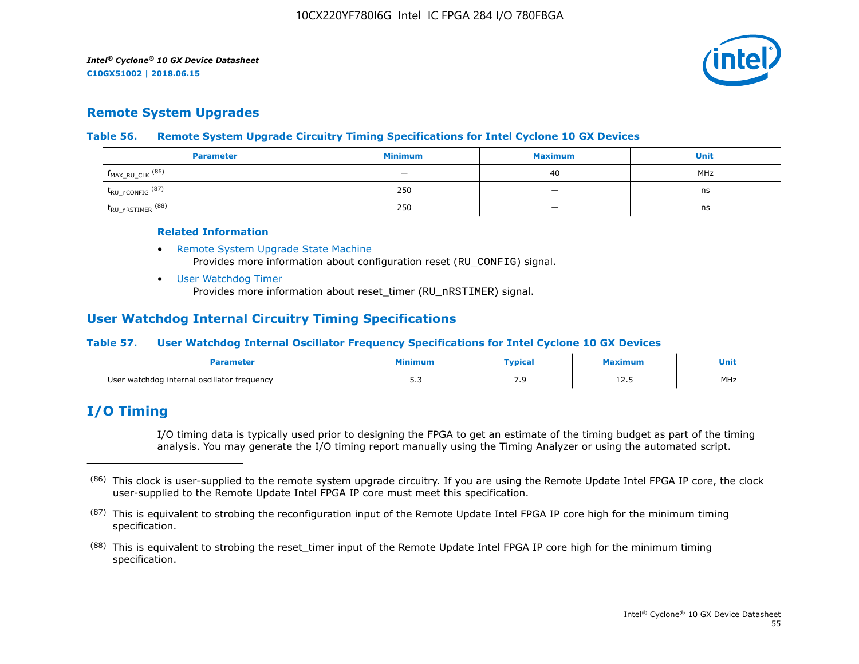

# **Remote System Upgrades**

## **Table 56. Remote System Upgrade Circuitry Timing Specifications for Intel Cyclone 10 GX Devices**

| <b>Parameter</b>               | <b>Minimum</b> | <b>Maximum</b>           | Unit |
|--------------------------------|----------------|--------------------------|------|
| $f_{MAX_RU_CLK}$ (86)          |                | 40                       | MHz  |
| $t_{RU\_nCONFIG}$ (87)         | 250            | $\overline{\phantom{a}}$ | ns   |
| $t_{\text{RU\_nRSTIMER}}$ (88) | 250            |                          | ns   |

#### **Related Information**

- [Remote System Upgrade State Machine](https://www.altera.com/documentation/vua1487061384661.html#sam1403483214821) Provides more information about configuration reset (RU\_CONFIG) signal.
- [User Watchdog Timer](https://www.altera.com/documentation/vua1487061384661.html#sam1403483217279) Provides more information about reset\_timer (RU\_nRSTIMER) signal.

# **User Watchdog Internal Circuitry Timing Specifications**

# **Table 57. User Watchdog Internal Oscillator Frequency Specifications for Intel Cyclone 10 GX Devices**

|                                             | linimur      | <b>Typical</b> | ximum | Unit<br>__ |
|---------------------------------------------|--------------|----------------|-------|------------|
| User watchdog internal oscillator frequency | - -<br>ں ، ب | ر .            | ᆂᄼᅩ   | MHz        |

# **I/O Timing**

I/O timing data is typically used prior to designing the FPGA to get an estimate of the timing budget as part of the timing analysis. You may generate the I/O timing report manually using the Timing Analyzer or using the automated script.

<sup>(86)</sup> This clock is user-supplied to the remote system upgrade circuitry. If you are using the Remote Update Intel FPGA IP core, the clock user-supplied to the Remote Update Intel FPGA IP core must meet this specification.

 $(87)$  This is equivalent to strobing the reconfiguration input of the Remote Update Intel FPGA IP core high for the minimum timing specification.

<sup>&</sup>lt;sup>(88)</sup> This is equivalent to strobing the reset\_timer input of the Remote Update Intel FPGA IP core high for the minimum timing specification.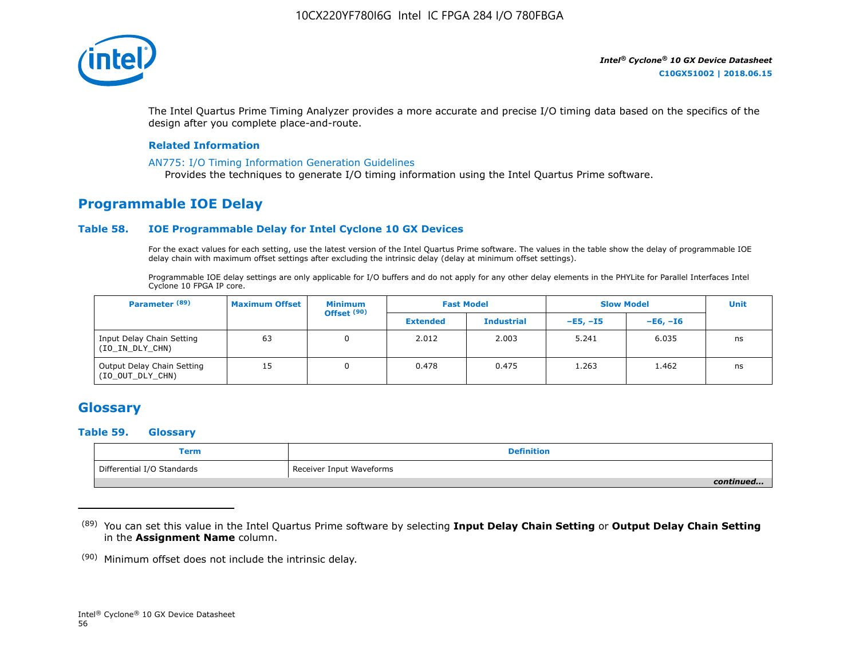

The Intel Quartus Prime Timing Analyzer provides a more accurate and precise I/O timing data based on the specifics of the design after you complete place-and-route.

#### **Related Information**

#### [AN775: I/O Timing Information Generation Guidelines](https://www.altera.com/documentation/brn1471986770305.html#obf1471988361539)

Provides the techniques to generate I/O timing information using the Intel Quartus Prime software.

# **Programmable IOE Delay**

## **Table 58. IOE Programmable Delay for Intel Cyclone 10 GX Devices**

For the exact values for each setting, use the latest version of the Intel Quartus Prime software. The values in the table show the delay of programmable IOE delay chain with maximum offset settings after excluding the intrinsic delay (delay at minimum offset settings).

Programmable IOE delay settings are only applicable for I/O buffers and do not apply for any other delay elements in the PHYLite for Parallel Interfaces Intel Cyclone 10 FPGA IP core.

| Parameter <sup>(89)</sup>                      | <b>Maximum Offset</b> | <b>Minimum</b><br>Offset <sup>(90)</sup> |                 | <b>Fast Model</b> | <b>Slow Model</b> |            | <b>Unit</b> |
|------------------------------------------------|-----------------------|------------------------------------------|-----------------|-------------------|-------------------|------------|-------------|
|                                                |                       |                                          | <b>Extended</b> | <b>Industrial</b> | $-E5. -15$        | $-E6. -I6$ |             |
| Input Delay Chain Setting<br>(IO_IN_DLY_CHN)   | 63                    | 0                                        | 2.012           | 2.003             | 5.241             | 6.035      | ns          |
| Output Delay Chain Setting<br>(IO_OUT_DLY_CHN) | 15                    |                                          | 0.478           | 0.475             | 1.263             | 1.462      | ns          |

# **Glossary**

#### **Table 59. Glossary**

| Term                       | <b>Definition</b>        |
|----------------------------|--------------------------|
| Differential I/O Standards | Receiver Input Waveforms |
|                            | continued                |

<sup>(89)</sup> You can set this value in the Intel Quartus Prime software by selecting **Input Delay Chain Setting** or **Output Delay Chain Setting** in the **Assignment Name** column.

(90) Minimum offset does not include the intrinsic delay.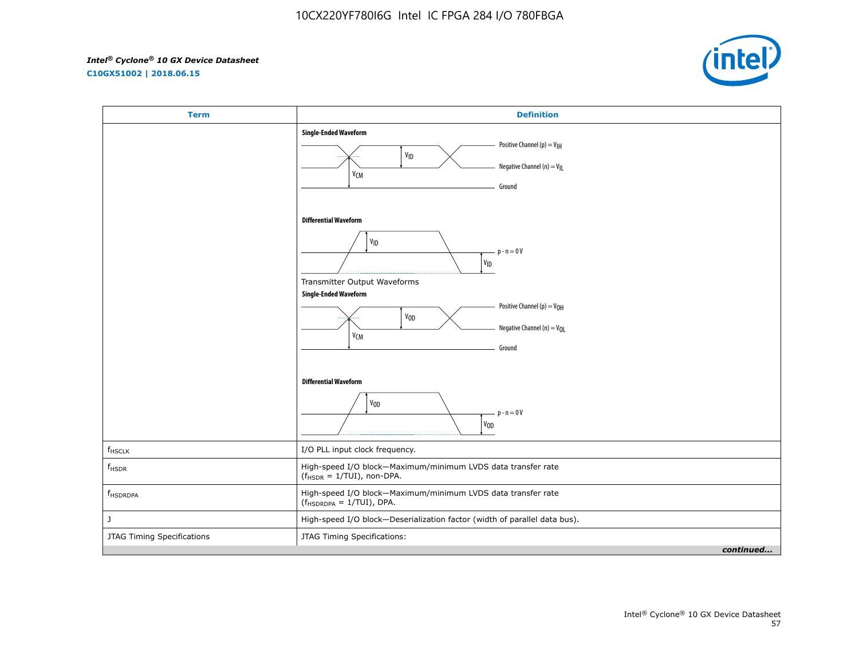**C10GX51002 | 2018.06.15**



| <b>Term</b>                | <b>Definition</b>                                                                                                                                                                                                                                                                                            |
|----------------------------|--------------------------------------------------------------------------------------------------------------------------------------------------------------------------------------------------------------------------------------------------------------------------------------------------------------|
|                            | <b>Single-Ended Waveform</b><br>Positive Channel (p) = $V_{\text{H}}$<br>VID<br>Negative Channel (n) = $V_{\parallel}$<br>V <sub>CM</sub><br>Ground                                                                                                                                                          |
|                            | <b>Differential Waveform</b><br>$\mathsf{V}_{\mathsf{ID}}$<br>$p - n = 0V$<br>$\mathsf{v}_{\mathsf{ID}}$<br>Transmitter Output Waveforms<br><b>Single-Ended Waveform</b><br>Positive Channel (p) = V <sub>OH</sub><br>V <sub>OD</sub><br>Negative Channel (n) = V <sub>OL</sub><br>V <sub>CM</sub><br>Ground |
|                            | <b>Differential Waveform</b><br>V <sub>OD</sub><br>$p - n = 0V$<br>$V_{0D}$                                                                                                                                                                                                                                  |
| $f_{HSCLK}$                | I/O PLL input clock frequency.                                                                                                                                                                                                                                                                               |
| $f_{HSDR}$                 | High-speed I/O block-Maximum/minimum LVDS data transfer rate<br>$(fHSDR = 1/TUI)$ , non-DPA.                                                                                                                                                                                                                 |
| f <sub>HSDRDPA</sub>       | High-speed I/O block-Maximum/minimum LVDS data transfer rate<br>$(f_{HSDRDPA} = 1/TUI)$ , DPA.                                                                                                                                                                                                               |
| J                          | High-speed I/O block-Deserialization factor (width of parallel data bus).                                                                                                                                                                                                                                    |
| JTAG Timing Specifications | JTAG Timing Specifications:                                                                                                                                                                                                                                                                                  |
|                            | continued                                                                                                                                                                                                                                                                                                    |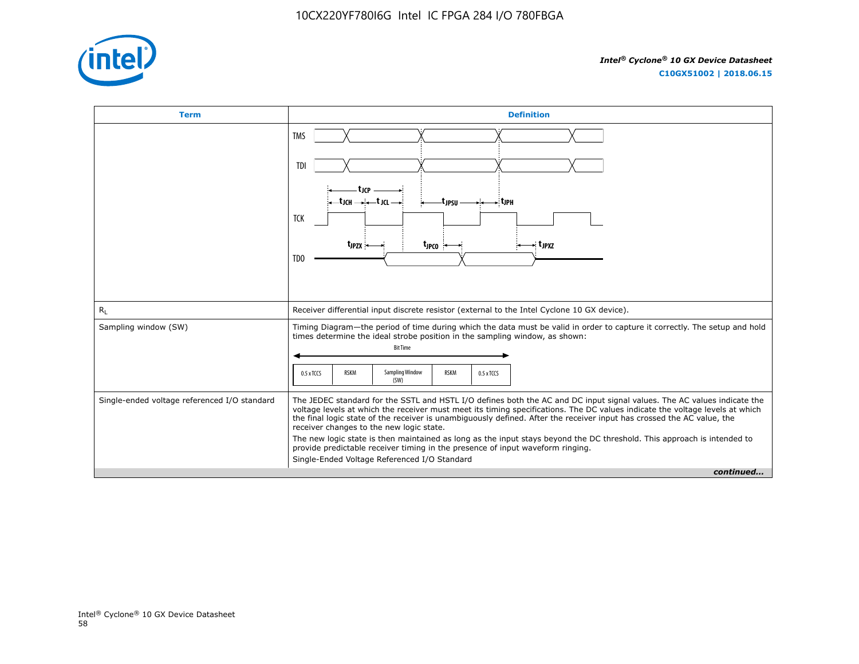

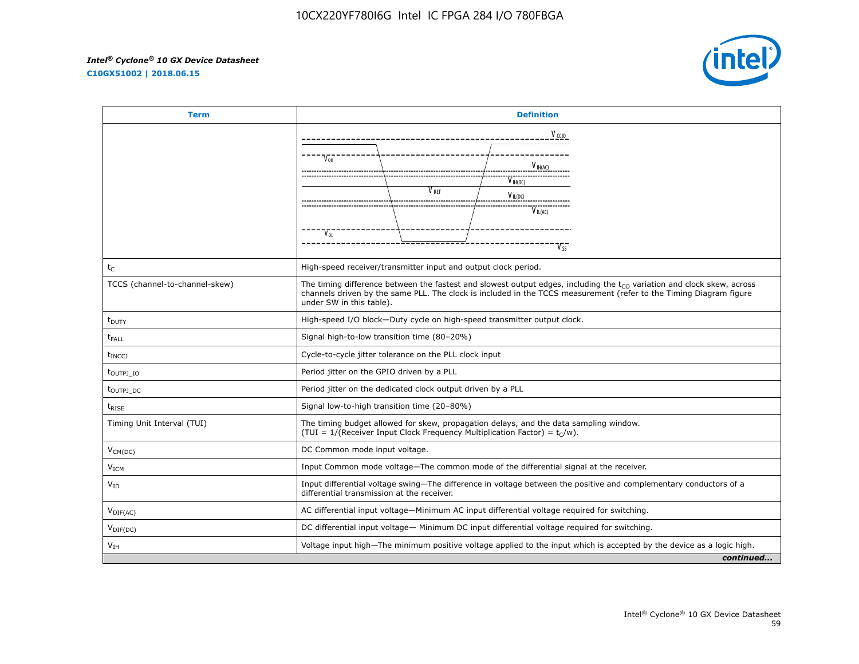**C10GX51002 | 2018.06.15**



| <b>Term</b>                      | <b>Definition</b>                                                                                                                                                                                                                                                             |
|----------------------------------|-------------------------------------------------------------------------------------------------------------------------------------------------------------------------------------------------------------------------------------------------------------------------------|
|                                  | $V_{CCD}$                                                                                                                                                                                                                                                                     |
|                                  | V <sub>OH</sub><br>$V_{H(AC)}$                                                                                                                                                                                                                                                |
|                                  | $V_{\text{IH}(DC)}$<br>V <sub>RFF</sub><br>$V_{IL(DC)}$                                                                                                                                                                                                                       |
|                                  | $V_{IL(AC)}$                                                                                                                                                                                                                                                                  |
|                                  | $V_{OL}$                                                                                                                                                                                                                                                                      |
| $t_C$                            | High-speed receiver/transmitter input and output clock period.                                                                                                                                                                                                                |
| TCCS (channel-to-channel-skew)   | The timing difference between the fastest and slowest output edges, including the $t_{CO}$ variation and clock skew, across<br>channels driven by the same PLL. The clock is included in the TCCS measurement (refer to the Timing Diagram figure<br>under SW in this table). |
| $t_{\text{DUTY}}$                | High-speed I/O block-Duty cycle on high-speed transmitter output clock.                                                                                                                                                                                                       |
| t <sub>FALL</sub>                | Signal high-to-low transition time (80-20%)                                                                                                                                                                                                                                   |
| <b>t</b> <sub>INCC</sub>         | Cycle-to-cycle jitter tolerance on the PLL clock input                                                                                                                                                                                                                        |
| $t_{\text{OUTPJ}$ IO             | Period jitter on the GPIO driven by a PLL                                                                                                                                                                                                                                     |
| t <sub>outpj</sub> <sub>DC</sub> | Period jitter on the dedicated clock output driven by a PLL                                                                                                                                                                                                                   |
| $t_{RISE}$                       | Signal low-to-high transition time (20-80%)                                                                                                                                                                                                                                   |
| Timing Unit Interval (TUI)       | The timing budget allowed for skew, propagation delays, and the data sampling window.<br>(TUI = 1/(Receiver Input Clock Frequency Multiplication Factor) = $t_C/w$ ).                                                                                                         |
| $V_{CM(DC)}$                     | DC Common mode input voltage.                                                                                                                                                                                                                                                 |
| V <sub>ICM</sub>                 | Input Common mode voltage-The common mode of the differential signal at the receiver.                                                                                                                                                                                         |
| $V_{ID}$                         | Input differential voltage swing-The difference in voltage between the positive and complementary conductors of a<br>differential transmission at the receiver.                                                                                                               |
| $V_{\text{DIF(AC)}}$             | AC differential input voltage-Minimum AC input differential voltage required for switching.                                                                                                                                                                                   |
| $V_{\text{DIF(DC)}}$             | DC differential input voltage— Minimum DC input differential voltage required for switching.                                                                                                                                                                                  |
| V <sub>IH</sub>                  | Voltage input high—The minimum positive voltage applied to the input which is accepted by the device as a logic high.                                                                                                                                                         |
|                                  | continued                                                                                                                                                                                                                                                                     |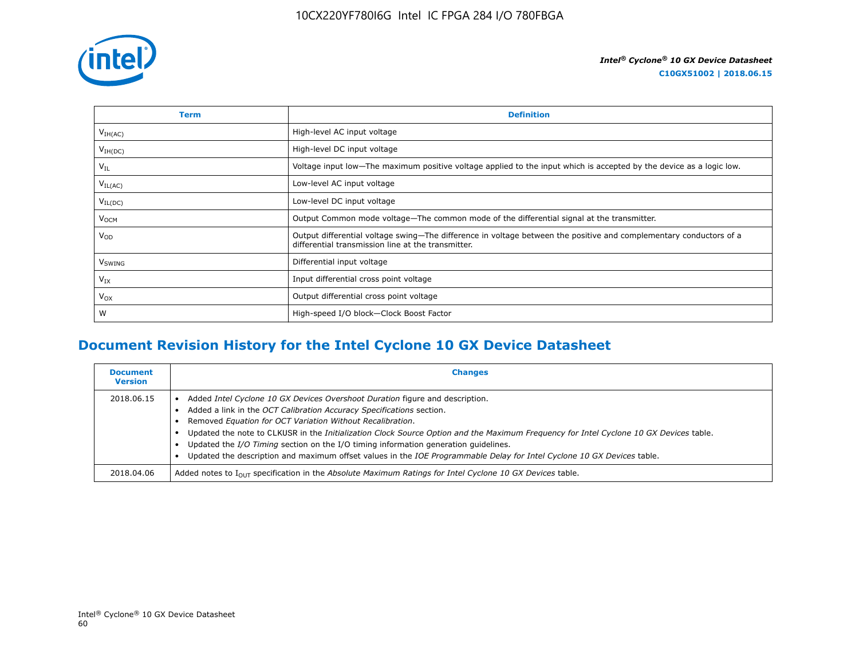

| Term                | <b>Definition</b>                                                                                                                                                        |
|---------------------|--------------------------------------------------------------------------------------------------------------------------------------------------------------------------|
| V <sub>IH(AC)</sub> | High-level AC input voltage                                                                                                                                              |
| $V_{IH(DC)}$        | High-level DC input voltage                                                                                                                                              |
| $V_{IL}$            | Voltage input low-The maximum positive voltage applied to the input which is accepted by the device as a logic low.                                                      |
| $V_{IL(AC)}$        | Low-level AC input voltage                                                                                                                                               |
| $V_{IL(DC)}$        | Low-level DC input voltage                                                                                                                                               |
| V <sub>OCM</sub>    | Output Common mode voltage—The common mode of the differential signal at the transmitter.                                                                                |
| $V_{OD}$            | Output differential voltage swing—The difference in voltage between the positive and complementary conductors of a<br>differential transmission line at the transmitter. |
| V <sub>SWING</sub>  | Differential input voltage                                                                                                                                               |
| $V_{IX}$            | Input differential cross point voltage                                                                                                                                   |
| $V_{OX}$            | Output differential cross point voltage                                                                                                                                  |
| W                   | High-speed I/O block-Clock Boost Factor                                                                                                                                  |

# **Document Revision History for the Intel Cyclone 10 GX Device Datasheet**

| <b>Document</b><br><b>Version</b> | <b>Changes</b>                                                                                                                                                                                                                                                                                                                                                                                                                                                                                                                                                              |
|-----------------------------------|-----------------------------------------------------------------------------------------------------------------------------------------------------------------------------------------------------------------------------------------------------------------------------------------------------------------------------------------------------------------------------------------------------------------------------------------------------------------------------------------------------------------------------------------------------------------------------|
| 2018.06.15                        | Added Intel Cyclone 10 GX Devices Overshoot Duration figure and description.<br>Added a link in the OCT Calibration Accuracy Specifications section.<br>Removed Equation for OCT Variation Without Recalibration.<br>Updated the note to CLKUSR in the Initialization Clock Source Option and the Maximum Frequency for Intel Cyclone 10 GX Devices table.<br>Updated the I/O Timing section on the I/O timing information generation quidelines.<br>Updated the description and maximum offset values in the IOE Programmable Delay for Intel Cyclone 10 GX Devices table. |
| 2018.04.06                        | Added notes to $I_{OUT}$ specification in the Absolute Maximum Ratings for Intel Cyclone 10 GX Devices table.                                                                                                                                                                                                                                                                                                                                                                                                                                                               |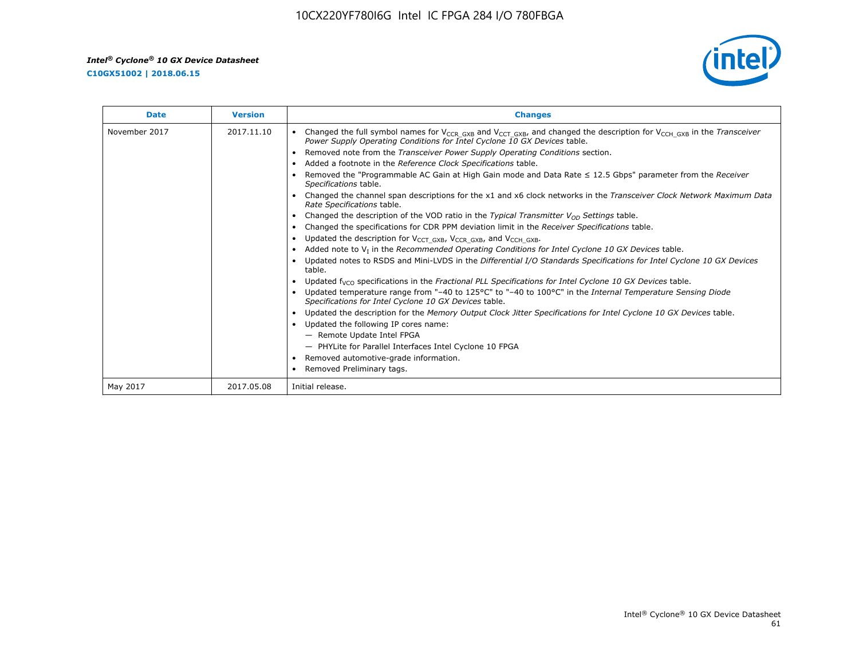**C10GX51002 | 2018.06.15**



| <b>Date</b>   | <b>Version</b> | <b>Changes</b>                                                                                                                                                                                                                        |
|---------------|----------------|---------------------------------------------------------------------------------------------------------------------------------------------------------------------------------------------------------------------------------------|
| November 2017 | 2017.11.10     | Changed the full symbol names for V <sub>CCR_GXB</sub> and V <sub>CCT_GXB</sub> , and changed the description for V <sub>CCH_GXB</sub> in the Transceiver<br>Power Supply Operating Conditions for Intel Cyclone 10 GX Devices table. |
|               |                | Removed note from the Transceiver Power Supply Operating Conditions section.                                                                                                                                                          |
|               |                | Added a footnote in the Reference Clock Specifications table.                                                                                                                                                                         |
|               |                | Removed the "Programmable AC Gain at High Gain mode and Data Rate $\leq$ 12.5 Gbps" parameter from the Receiver<br>Specifications table.                                                                                              |
|               |                | Changed the channel span descriptions for the x1 and x6 clock networks in the Transceiver Clock Network Maximum Data<br>Rate Specifications table.                                                                                    |
|               |                | Changed the description of the VOD ratio in the Typical Transmitter $V_{OD}$ Settings table.                                                                                                                                          |
|               |                | Changed the specifications for CDR PPM deviation limit in the Receiver Specifications table.                                                                                                                                          |
|               |                | Updated the description for V <sub>CCT_GXB</sub> , V <sub>CCR_GXB</sub> , and V <sub>CCH_GXB</sub> .<br>$\bullet$                                                                                                                     |
|               |                | Added note to $V1$ in the Recommended Operating Conditions for Intel Cyclone 10 GX Devices table.                                                                                                                                     |
|               |                | Updated notes to RSDS and Mini-LVDS in the Differential I/O Standards Specifications for Intel Cyclone 10 GX Devices<br>table.                                                                                                        |
|               |                | Updated f <sub>VCO</sub> specifications in the Fractional PLL Specifications for Intel Cyclone 10 GX Devices table.                                                                                                                   |
|               |                | Updated temperature range from "-40 to 125°C" to "-40 to 100°C" in the Internal Temperature Sensing Diode<br>Specifications for Intel Cyclone 10 GX Devices table.                                                                    |
|               |                | Updated the description for the Memory Output Clock Jitter Specifications for Intel Cyclone 10 GX Devices table.                                                                                                                      |
|               |                | Updated the following IP cores name:<br>$\bullet$                                                                                                                                                                                     |
|               |                | - Remote Update Intel FPGA                                                                                                                                                                                                            |
|               |                | - PHYLite for Parallel Interfaces Intel Cyclone 10 FPGA                                                                                                                                                                               |
|               |                | Removed automotive-grade information.                                                                                                                                                                                                 |
|               |                | Removed Preliminary tags.                                                                                                                                                                                                             |
| May 2017      | 2017.05.08     | Initial release.                                                                                                                                                                                                                      |